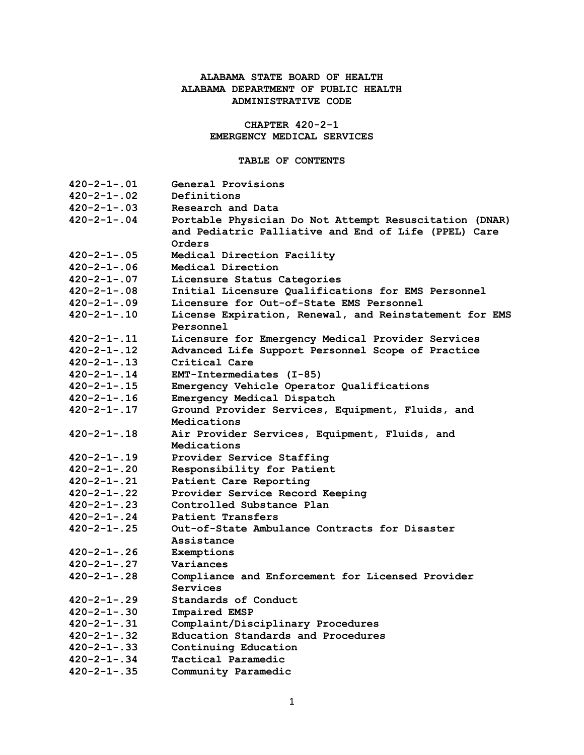# **ALABAMA STATE BOARD OF HEALTH ALABAMA DEPARTMENT OF PUBLIC HEALTH ADMINISTRATIVE CODE**

**CHAPTER 420-2-1 EMERGENCY MEDICAL SERVICES**

### **TABLE OF CONTENTS**

| $420 - 2 - 1 - .01$ | General Provisions                                                  |
|---------------------|---------------------------------------------------------------------|
| $420 - 2 - 1 - .02$ | Definitions                                                         |
| $420 - 2 - 1 - .03$ | Research and Data                                                   |
| $420 - 2 - 1 - 04$  | Portable Physician Do Not Attempt Resuscitation (DNAR)              |
|                     | and Pediatric Palliative and End of Life (PPEL) Care                |
|                     | Orders                                                              |
| $420 - 2 - 1 - .05$ | Medical Direction Facility                                          |
| $420 - 2 - 1 - .06$ | Medical Direction                                                   |
| $420 - 2 - 1 - .07$ | Licensure Status Categories                                         |
| $420 - 2 - 1 - .08$ | Initial Licensure Qualifications for EMS Personnel                  |
| $420 - 2 - 1 - .09$ | Licensure for Out-of-State EMS Personnel                            |
| $420 - 2 - 1 - 10$  | License Expiration, Renewal, and Reinstatement for EMS<br>Personnel |
| $420 - 2 - 1 - .11$ | Licensure for Emergency Medical Provider Services                   |
| $420 - 2 - 1 - .12$ | Advanced Life Support Personnel Scope of Practice                   |
| $420 - 2 - 1 - .13$ | Critical Care                                                       |
| $420 - 2 - 1 - 14$  | EMT-Intermediates (I-85)                                            |
| $420 - 2 - 1 - .15$ | Emergency Vehicle Operator Qualifications                           |
| $420 - 2 - 1 - .16$ | Emergency Medical Dispatch                                          |
| $420 - 2 - 1 - .17$ | Ground Provider Services, Equipment, Fluids, and                    |
|                     | Medications                                                         |
| $420 - 2 - 1 - .18$ | Air Provider Services, Equipment, Fluids, and                       |
|                     | Medications                                                         |
| $420 - 2 - 1 - .19$ | Provider Service Staffing                                           |
| $420 - 2 - 1 - .20$ | Responsibility for Patient                                          |
| $420 - 2 - 1 - .21$ | Patient Care Reporting                                              |
| $420 - 2 - 1 - .22$ | Provider Service Record Keeping                                     |
| $420 - 2 - 1 - .23$ | Controlled Substance Plan                                           |
| $420 - 2 - 1 - .24$ | Patient Transfers                                                   |
| $420 - 2 - 1 - .25$ | Out-of-State Ambulance Contracts for Disaster                       |
|                     | Assistance                                                          |
| $420 - 2 - 1 - .26$ | Exemptions                                                          |
| $420 - 2 - 1 - .27$ | Variances                                                           |
| $420 - 2 - 1 - .28$ | Compliance and Enforcement for Licensed Provider                    |
|                     | Services                                                            |
| $420 - 2 - 1 - .29$ | Standards of Conduct                                                |
| $420 - 2 - 1 - .30$ | Impaired EMSP                                                       |
| $420 - 2 - 1 - .31$ | Complaint/Disciplinary Procedures                                   |
| $420 - 2 - 1 - .32$ | Education Standards and Procedures                                  |
| $420 - 2 - 1 - .33$ | Continuing Education                                                |
| $420 - 2 - 1 - .34$ | Tactical Paramedic                                                  |
| $420 - 2 - 1 - .35$ | Community Paramedic                                                 |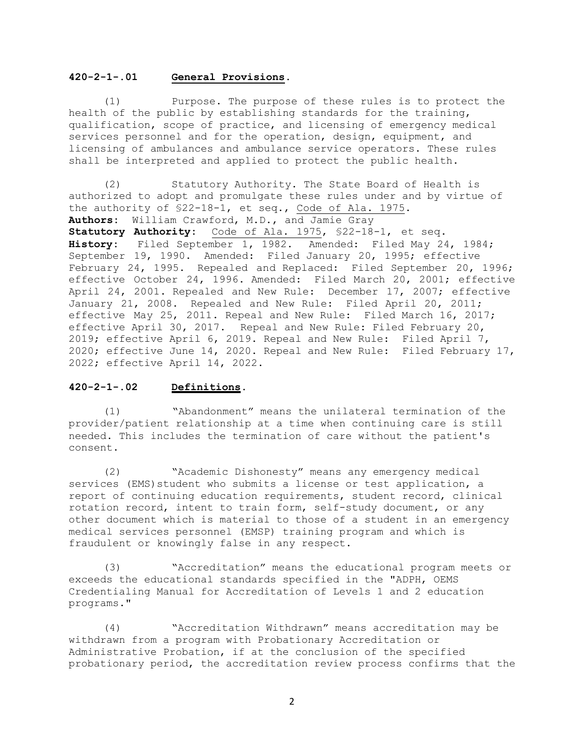### **420-2-1-.01 General Provisions.**

(1) Purpose. The purpose of these rules is to protect the health of the public by establishing standards for the training, qualification, scope of practice, and licensing of emergency medical services personnel and for the operation, design, equipment, and licensing of ambulances and ambulance service operators. These rules shall be interpreted and applied to protect the public health.

(2) Statutory Authority. The State Board of Health is authorized to adopt and promulgate these rules under and by virtue of the authority of §22-18-1, et seq., Code of Ala. 1975. **Authors:** William Crawford, M.D., and Jamie Gray **Statutory Authority:** Code of Ala. 1975, §22-18-1, et seq. **History:** Filed September 1, 1982. Amended: Filed May 24, 1984; September 19, 1990. Amended: Filed January 20, 1995; effective February 24, 1995. Repealed and Replaced: Filed September 20, 1996; effective October 24, 1996. Amended: Filed March 20, 2001; effective April 24, 2001. Repealed and New Rule: December 17, 2007; effective January 21, 2008. Repealed and New Rule: Filed April 20, 2011; effective May 25, 2011. Repeal and New Rule: Filed March 16, 2017; effective April 30, 2017.Repeal and New Rule: Filed February 20, 2019; effective April 6, 2019. Repeal and New Rule: Filed April 7, 2020; effective June 14, 2020. Repeal and New Rule: Filed February 17, 2022; effective April 14, 2022.

### **420-2-1-.02 Definitions.**

(1) "Abandonment" means the unilateral termination of the provider/patient relationship at a time when continuing care is still needed. This includes the termination of care without the patient's consent.

(2) "Academic Dishonesty" means any emergency medical services (EMS) student who submits a license or test application, a report of continuing education requirements, student record, clinical rotation record, intent to train form, self-study document, or any other document which is material to those of a student in an emergency medical services personnel (EMSP) training program and which is fraudulent or knowingly false in any respect.

(3) "Accreditation" means the educational program meets or exceeds the educational standards specified in the "ADPH, OEMS Credentialing Manual for Accreditation of Levels 1 and 2 education programs."

(4) "Accreditation Withdrawn" means accreditation may be withdrawn from a program with Probationary Accreditation or Administrative Probation, if at the conclusion of the specified probationary period, the accreditation review process confirms that the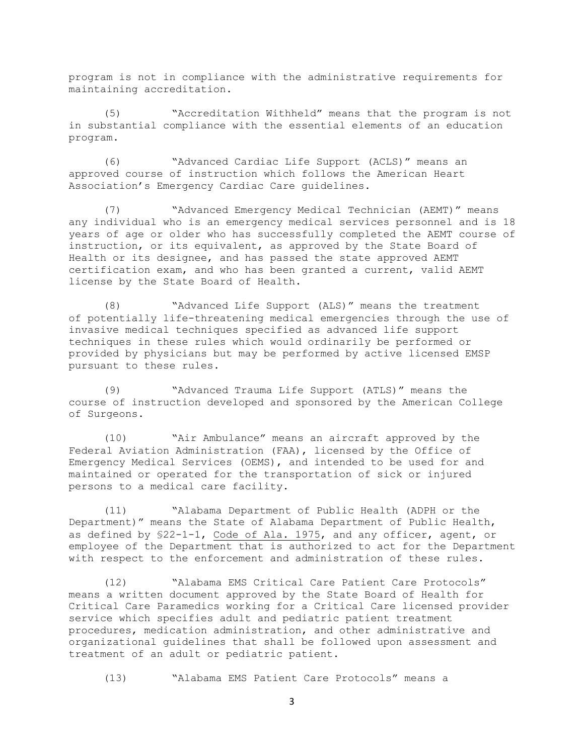program is not in compliance with the administrative requirements for maintaining accreditation.

(5) "Accreditation Withheld" means that the program is not in substantial compliance with the essential elements of an education program.

(6) "Advanced Cardiac Life Support (ACLS)" means an approved course of instruction which follows the American Heart Association's Emergency Cardiac Care guidelines.

(7) "Advanced Emergency Medical Technician (AEMT)" means any individual who is an emergency medical services personnel and is 18 years of age or older who has successfully completed the AEMT course of instruction, or its equivalent, as approved by the State Board of Health or its designee, and has passed the state approved AEMT certification exam, and who has been granted a current, valid AEMT license by the State Board of Health.

(8) "Advanced Life Support (ALS)" means the treatment of potentially life-threatening medical emergencies through the use of invasive medical techniques specified as advanced life support techniques in these rules which would ordinarily be performed or provided by physicians but may be performed by active licensed EMSP pursuant to these rules.

(9) "Advanced Trauma Life Support (ATLS)" means the course of instruction developed and sponsored by the American College of Surgeons.

(10) "Air Ambulance" means an aircraft approved by the Federal Aviation Administration (FAA), licensed by the Office of Emergency Medical Services (OEMS), and intended to be used for and maintained or operated for the transportation of sick or injured persons to a medical care facility.

(11) "Alabama Department of Public Health (ADPH or the Department)" means the State of Alabama Department of Public Health, as defined by §22-1-1, Code of Ala. 1975, and any officer, agent, or employee of the Department that is authorized to act for the Department with respect to the enforcement and administration of these rules.

(12) "Alabama EMS Critical Care Patient Care Protocols" means a written document approved by the State Board of Health for Critical Care Paramedics working for a Critical Care licensed provider service which specifies adult and pediatric patient treatment procedures, medication administration, and other administrative and organizational guidelines that shall be followed upon assessment and treatment of an adult or pediatric patient.

(13) "Alabama EMS Patient Care Protocols" means a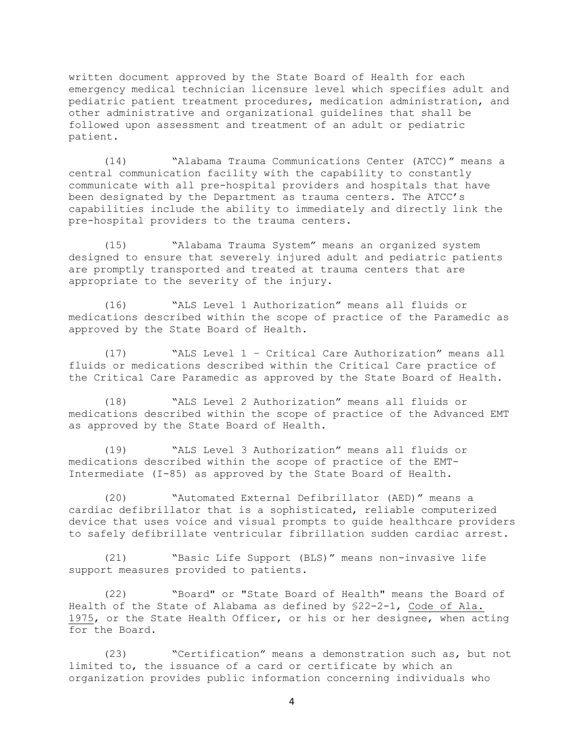written document approved by the State Board of Health for each emergency medical technician licensure level which specifies adult and pediatric patient treatment procedures, medication administration, and other administrative and organizational guidelines that shall be followed upon assessment and treatment of an adult or pediatric patient.

(14) "Alabama Trauma Communications Center (ATCC)" means a central communication facility with the capability to constantly communicate with all pre-hospital providers and hospitals that have been designated by the Department as trauma centers. The ATCC's capabilities include the ability to immediately and directly link the pre-hospital providers to the trauma centers.

(15) "Alabama Trauma System" means an organized system designed to ensure that severely injured adult and pediatric patients are promptly transported and treated at trauma centers that are appropriate to the severity of the injury.

(16) "ALS Level 1 Authorization" means all fluids or medications described within the scope of practice of the Paramedic as approved by the State Board of Health.

(17) "ALS Level 1 – Critical Care Authorization" means all fluids or medications described within the Critical Care practice of the Critical Care Paramedic as approved by the State Board of Health.

(18) "ALS Level 2 Authorization" means all fluids or medications described within the scope of practice of the Advanced EMT as approved by the State Board of Health.

(19) "ALS Level 3 Authorization" means all fluids or medications described within the scope of practice of the EMT-Intermediate (I-85) as approved by the State Board of Health.

(20) "Automated External Defibrillator (AED)" means a cardiac defibrillator that is a sophisticated, reliable computerized device that uses voice and visual prompts to guide healthcare providers to safely defibrillate ventricular fibrillation sudden cardiac arrest.

(21) "Basic Life Support (BLS)" means non-invasive life support measures provided to patients.

(22) "Board" or "State Board of Health" means the Board of Health of the State of Alabama as defined by §22-2-1, Code of Ala. 1975, or the State Health Officer, or his or her designee, when acting for the Board.

(23) "Certification" means a demonstration such as, but not limited to, the issuance of a card or certificate by which an organization provides public information concerning individuals who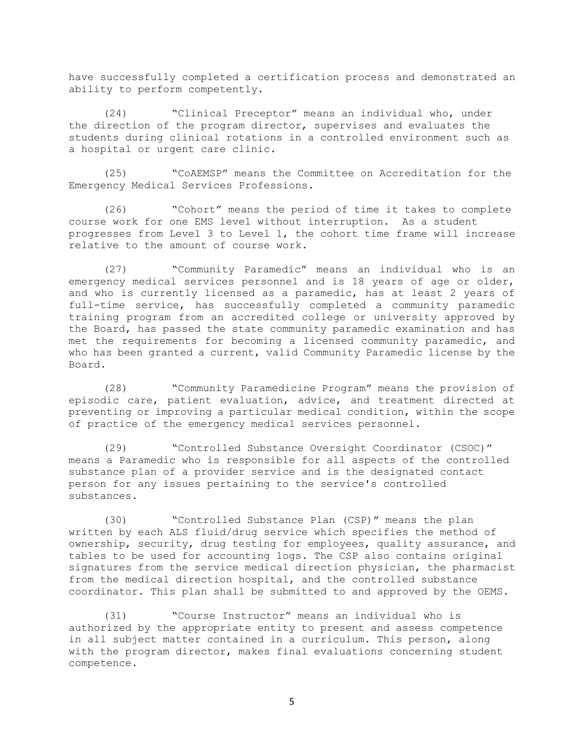have successfully completed a certification process and demonstrated an ability to perform competently.

(24) "Clinical Preceptor" means an individual who, under the direction of the program director, supervises and evaluates the students during clinical rotations in a controlled environment such as a hospital or urgent care clinic.

(25) "CoAEMSP" means the Committee on Accreditation for the Emergency Medical Services Professions.

(26) "Cohort" means the period of time it takes to complete course work for one EMS level without interruption. As a student progresses from Level 3 to Level 1, the cohort time frame will increase relative to the amount of course work.

(27) "Community Paramedic" means an individual who is an emergency medical services personnel and is 18 years of age or older, and who is currently licensed as a paramedic, has at least 2 years of full-time service, has successfully completed a community paramedic training program from an accredited college or university approved by the Board, has passed the state community paramedic examination and has met the requirements for becoming a licensed community paramedic, and who has been granted a current, valid Community Paramedic license by the Board.

(28) "Community Paramedicine Program" means the provision of episodic care, patient evaluation, advice, and treatment directed at preventing or improving a particular medical condition, within the scope of practice of the emergency medical services personnel.

(29) "Controlled Substance Oversight Coordinator (CSOC)" means a Paramedic who is responsible for all aspects of the controlled substance plan of a provider service and is the designated contact person for any issues pertaining to the service's controlled substances.

(30) "Controlled Substance Plan (CSP)" means the plan written by each ALS fluid/drug service which specifies the method of ownership, security, drug testing for employees, quality assurance, and tables to be used for accounting logs. The CSP also contains original signatures from the service medical direction physician, the pharmacist from the medical direction hospital, and the controlled substance coordinator. This plan shall be submitted to and approved by the OEMS.

(31) "Course Instructor" means an individual who is authorized by the appropriate entity to present and assess competence in all subject matter contained in a curriculum. This person, along with the program director, makes final evaluations concerning student competence.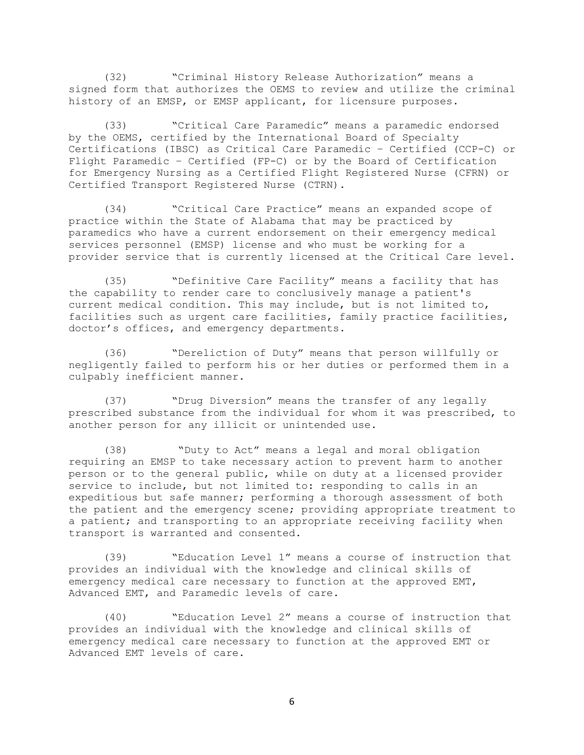(32) "Criminal History Release Authorization" means a signed form that authorizes the OEMS to review and utilize the criminal history of an EMSP, or EMSP applicant, for licensure purposes.

(33) "Critical Care Paramedic" means a paramedic endorsed by the OEMS, certified by the International Board of Specialty Certifications (IBSC) as Critical Care Paramedic – Certified (CCP-C) or Flight Paramedic – Certified (FP-C) or by the Board of Certification for Emergency Nursing as a Certified Flight Registered Nurse (CFRN) or Certified Transport Registered Nurse (CTRN).

(34) "Critical Care Practice" means an expanded scope of practice within the State of Alabama that may be practiced by paramedics who have a current endorsement on their emergency medical services personnel (EMSP) license and who must be working for a provider service that is currently licensed at the Critical Care level.

(35) "Definitive Care Facility" means a facility that has the capability to render care to conclusively manage a patient's current medical condition. This may include, but is not limited to, facilities such as urgent care facilities, family practice facilities, doctor's offices, and emergency departments.

(36) "Dereliction of Duty" means that person willfully or negligently failed to perform his or her duties or performed them in a culpably inefficient manner.

(37) "Drug Diversion" means the transfer of any legally prescribed substance from the individual for whom it was prescribed, to another person for any illicit or unintended use.

(38) "Duty to Act" means a legal and moral obligation requiring an EMSP to take necessary action to prevent harm to another person or to the general public, while on duty at a licensed provider service to include, but not limited to: responding to calls in an expeditious but safe manner; performing a thorough assessment of both the patient and the emergency scene; providing appropriate treatment to a patient; and transporting to an appropriate receiving facility when transport is warranted and consented.

(39) "Education Level 1" means a course of instruction that provides an individual with the knowledge and clinical skills of emergency medical care necessary to function at the approved EMT, Advanced EMT, and Paramedic levels of care.

(40) "Education Level 2" means a course of instruction that provides an individual with the knowledge and clinical skills of emergency medical care necessary to function at the approved EMT or Advanced EMT levels of care.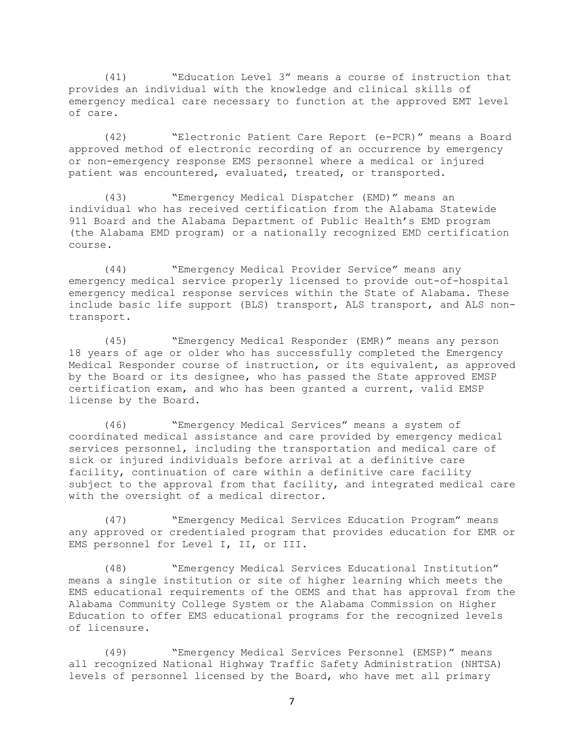(41) "Education Level 3" means a course of instruction that provides an individual with the knowledge and clinical skills of emergency medical care necessary to function at the approved EMT level of care.

(42) "Electronic Patient Care Report (e-PCR)" means a Board approved method of electronic recording of an occurrence by emergency or non-emergency response EMS personnel where a medical or injured patient was encountered, evaluated, treated, or transported.

(43) "Emergency Medical Dispatcher (EMD)" means an individual who has received certification from the Alabama Statewide 911 Board and the Alabama Department of Public Health's EMD program (the Alabama EMD program) or a nationally recognized EMD certification course.

(44) "Emergency Medical Provider Service" means any emergency medical service properly licensed to provide out-of-hospital emergency medical response services within the State of Alabama. These include basic life support (BLS) transport, ALS transport, and ALS nontransport.

(45) "Emergency Medical Responder (EMR)" means any person 18 years of age or older who has successfully completed the Emergency Medical Responder course of instruction, or its equivalent, as approved by the Board or its designee, who has passed the State approved EMSP certification exam, and who has been granted a current, valid EMSP license by the Board.

(46) "Emergency Medical Services" means a system of coordinated medical assistance and care provided by emergency medical services personnel, including the transportation and medical care of sick or injured individuals before arrival at a definitive care facility, continuation of care within a definitive care facility subject to the approval from that facility, and integrated medical care with the oversight of a medical director.

(47) "Emergency Medical Services Education Program" means any approved or credentialed program that provides education for EMR or EMS personnel for Level I, II, or III.

(48) "Emergency Medical Services Educational Institution" means a single institution or site of higher learning which meets the EMS educational requirements of the OEMS and that has approval from the Alabama Community College System or the Alabama Commission on Higher Education to offer EMS educational programs for the recognized levels of licensure.

(49) "Emergency Medical Services Personnel (EMSP)" means all recognized National Highway Traffic Safety Administration (NHTSA) levels of personnel licensed by the Board, who have met all primary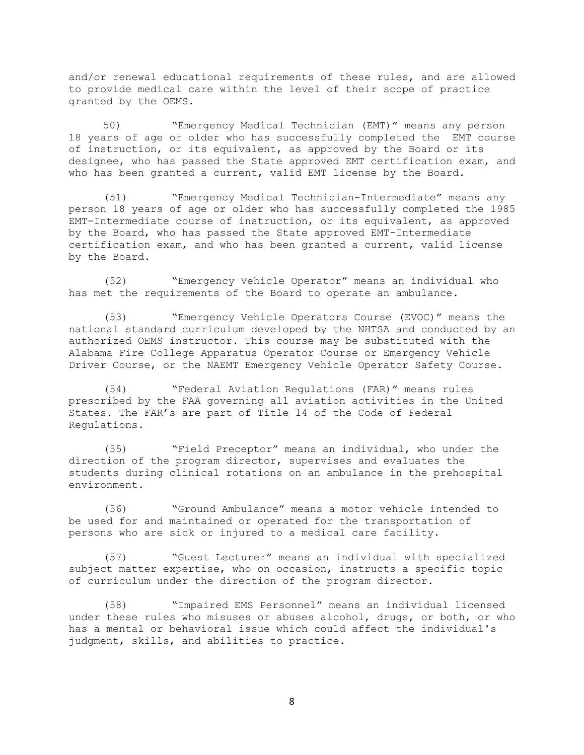and/or renewal educational requirements of these rules, and are allowed to provide medical care within the level of their scope of practice granted by the OEMS.

50) "Emergency Medical Technician (EMT)" means any person 18 years of age or older who has successfully completed the EMT course of instruction, or its equivalent, as approved by the Board or its designee, who has passed the State approved EMT certification exam, and who has been granted a current, valid EMT license by the Board.

(51) "Emergency Medical Technician-Intermediate" means any person 18 years of age or older who has successfully completed the 1985 EMT-Intermediate course of instruction, or its equivalent, as approved by the Board, who has passed the State approved EMT-Intermediate certification exam, and who has been granted a current, valid license by the Board.

(52) "Emergency Vehicle Operator" means an individual who has met the requirements of the Board to operate an ambulance.

(53) "Emergency Vehicle Operators Course (EVOC)" means the national standard curriculum developed by the NHTSA and conducted by an authorized OEMS instructor. This course may be substituted with the Alabama Fire College Apparatus Operator Course or Emergency Vehicle Driver Course, or the NAEMT Emergency Vehicle Operator Safety Course.

(54) "Federal Aviation Regulations (FAR)" means rules prescribed by the FAA governing all aviation activities in the United States. The FAR's are part of Title 14 of the Code of Federal Regulations.

(55) "Field Preceptor" means an individual, who under the direction of the program director, supervises and evaluates the students during clinical rotations on an ambulance in the prehospital environment.

(56) "Ground Ambulance" means a motor vehicle intended to be used for and maintained or operated for the transportation of persons who are sick or injured to a medical care facility.

(57) "Guest Lecturer" means an individual with specialized subject matter expertise, who on occasion, instructs a specific topic of curriculum under the direction of the program director.

(58) "Impaired EMS Personnel" means an individual licensed under these rules who misuses or abuses alcohol, drugs, or both, or who has a mental or behavioral issue which could affect the individual's judgment, skills, and abilities to practice.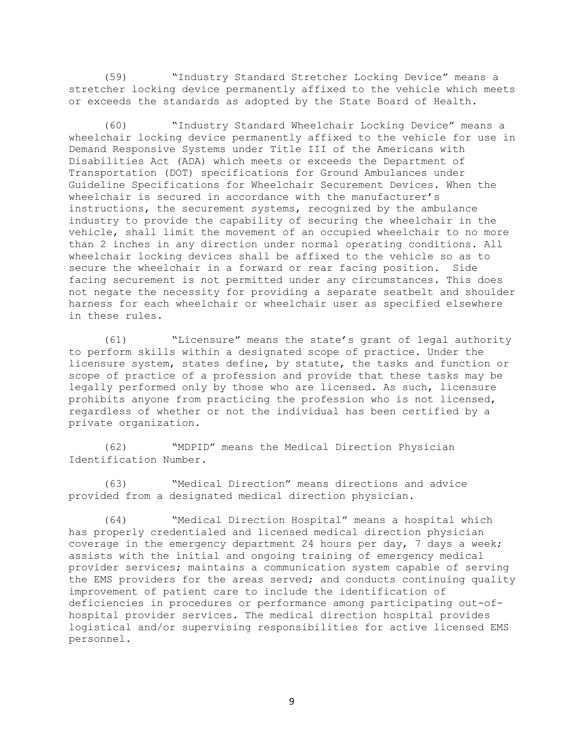(59) "Industry Standard Stretcher Locking Device" means a stretcher locking device permanently affixed to the vehicle which meets or exceeds the standards as adopted by the State Board of Health.

(60) "Industry Standard Wheelchair Locking Device" means a wheelchair locking device permanently affixed to the vehicle for use in Demand Responsive Systems under Title III of the Americans with Disabilities Act (ADA) which meets or exceeds the Department of Transportation (DOT) specifications for Ground Ambulances under Guideline Specifications for Wheelchair Securement Devices. When the wheelchair is secured in accordance with the manufacturer's instructions, the securement systems, recognized by the ambulance industry to provide the capability of securing the wheelchair in the vehicle, shall limit the movement of an occupied wheelchair to no more than 2 inches in any direction under normal operating conditions. All wheelchair locking devices shall be affixed to the vehicle so as to secure the wheelchair in a forward or rear facing position. Side facing securement is not permitted under any circumstances. This does not negate the necessity for providing a separate seatbelt and shoulder harness for each wheelchair or wheelchair user as specified elsewhere in these rules.

(61) "Licensure" means the state's grant of legal authority to perform skills within a designated scope of practice. Under the licensure system, states define, by statute, the tasks and function or scope of practice of a profession and provide that these tasks may be legally performed only by those who are licensed. As such, licensure prohibits anyone from practicing the profession who is not licensed, regardless of whether or not the individual has been certified by a private organization.

(62) "MDPID" means the Medical Direction Physician Identification Number.

(63) "Medical Direction" means directions and advice provided from a designated medical direction physician.

(64) "Medical Direction Hospital" means a hospital which has properly credentialed and licensed medical direction physician coverage in the emergency department 24 hours per day, 7 days a week; assists with the initial and ongoing training of emergency medical provider services; maintains a communication system capable of serving the EMS providers for the areas served; and conducts continuing quality improvement of patient care to include the identification of deficiencies in procedures or performance among participating out-ofhospital provider services. The medical direction hospital provides logistical and/or supervising responsibilities for active licensed EMS personnel.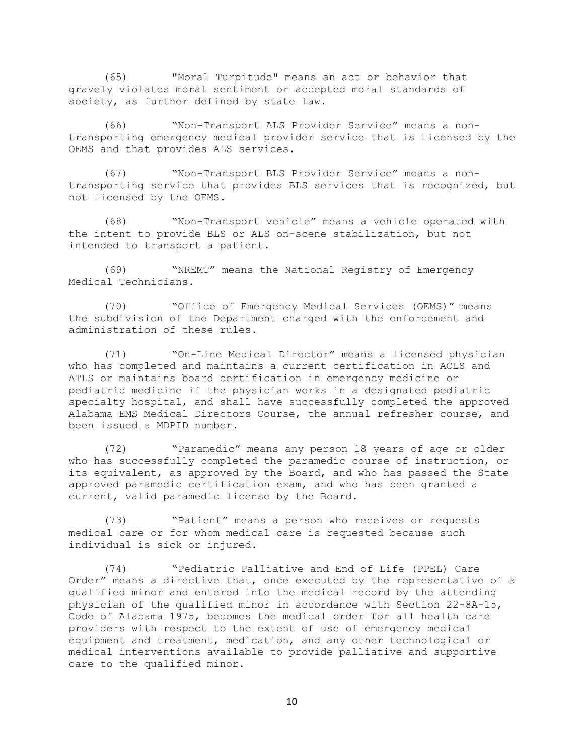(65) "Moral Turpitude" means an act or behavior that gravely violates moral sentiment or accepted moral standards of society, as further defined by state law.

(66) "Non-Transport ALS Provider Service" means a nontransporting emergency medical provider service that is licensed by the OEMS and that provides ALS services.

(67) "Non-Transport BLS Provider Service" means a nontransporting service that provides BLS services that is recognized, but not licensed by the OEMS.

(68) "Non-Transport vehicle" means a vehicle operated with the intent to provide BLS or ALS on-scene stabilization, but not intended to transport a patient.

(69) "NREMT" means the National Registry of Emergency Medical Technicians.

(70) "Office of Emergency Medical Services (OEMS)" means the subdivision of the Department charged with the enforcement and administration of these rules.

(71) "On-Line Medical Director" means a licensed physician who has completed and maintains a current certification in ACLS and ATLS or maintains board certification in emergency medicine or pediatric medicine if the physician works in a designated pediatric specialty hospital, and shall have successfully completed the approved Alabama EMS Medical Directors Course, the annual refresher course, and been issued a MDPID number.

(72) "Paramedic" means any person 18 years of age or older who has successfully completed the paramedic course of instruction, or its equivalent, as approved by the Board, and who has passed the State approved paramedic certification exam, and who has been granted a current, valid paramedic license by the Board.

(73) "Patient" means a person who receives or requests medical care or for whom medical care is requested because such individual is sick or injured.

(74) "Pediatric Palliative and End of Life (PPEL) Care Order" means a directive that, once executed by the representative of a qualified minor and entered into the medical record by the attending physician of the qualified minor in accordance with Section 22-8A-15, Code of Alabama 1975, becomes the medical order for all health care providers with respect to the extent of use of emergency medical equipment and treatment, medication, and any other technological or medical interventions available to provide palliative and supportive care to the qualified minor.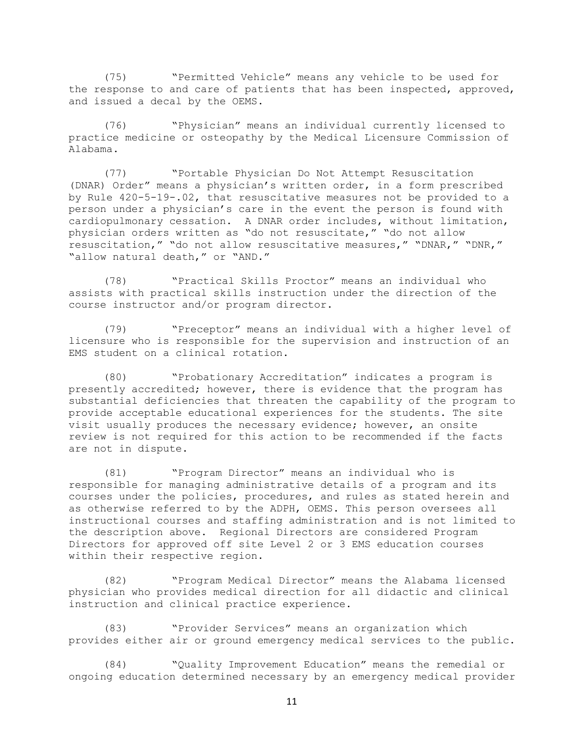(75) "Permitted Vehicle" means any vehicle to be used for the response to and care of patients that has been inspected, approved, and issued a decal by the OEMS.

(76) "Physician" means an individual currently licensed to practice medicine or osteopathy by the Medical Licensure Commission of Alabama.

(77) "Portable Physician Do Not Attempt Resuscitation (DNAR) Order" means a physician's written order, in a form prescribed by Rule 420-5-19-.02, that resuscitative measures not be provided to a person under a physician's care in the event the person is found with cardiopulmonary cessation. A DNAR order includes, without limitation, physician orders written as "do not resuscitate," "do not allow resuscitation," "do not allow resuscitative measures," "DNAR," "DNR," "allow natural death," or "AND."

(78) "Practical Skills Proctor" means an individual who assists with practical skills instruction under the direction of the course instructor and/or program director.

(79) "Preceptor" means an individual with a higher level of licensure who is responsible for the supervision and instruction of an EMS student on a clinical rotation.

(80) "Probationary Accreditation" indicates a program is presently accredited; however, there is evidence that the program has substantial deficiencies that threaten the capability of the program to provide acceptable educational experiences for the students. The site visit usually produces the necessary evidence; however, an onsite review is not required for this action to be recommended if the facts are not in dispute.

(81) "Program Director" means an individual who is responsible for managing administrative details of a program and its courses under the policies, procedures, and rules as stated herein and as otherwise referred to by the ADPH, OEMS. This person oversees all instructional courses and staffing administration and is not limited to the description above. Regional Directors are considered Program Directors for approved off site Level 2 or 3 EMS education courses within their respective region.

(82) "Program Medical Director" means the Alabama licensed physician who provides medical direction for all didactic and clinical instruction and clinical practice experience.

(83) "Provider Services" means an organization which provides either air or ground emergency medical services to the public.

(84) "Quality Improvement Education" means the remedial or ongoing education determined necessary by an emergency medical provider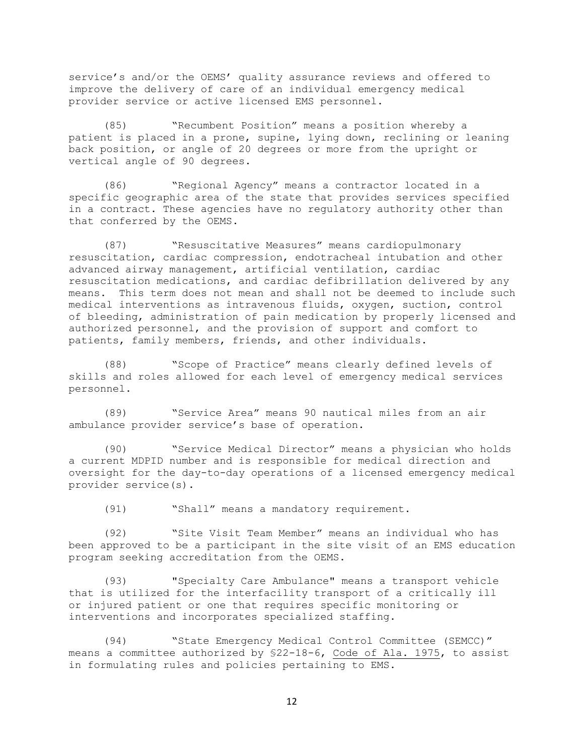service's and/or the OEMS' quality assurance reviews and offered to improve the delivery of care of an individual emergency medical provider service or active licensed EMS personnel.

(85) "Recumbent Position" means a position whereby a patient is placed in a prone, supine, lying down, reclining or leaning back position, or angle of 20 degrees or more from the upright or vertical angle of 90 degrees.

(86) "Regional Agency" means a contractor located in a specific geographic area of the state that provides services specified in a contract. These agencies have no regulatory authority other than that conferred by the OEMS.

(87) "Resuscitative Measures" means cardiopulmonary resuscitation, cardiac compression, endotracheal intubation and other advanced airway management, artificial ventilation, cardiac resuscitation medications, and cardiac defibrillation delivered by any means. This term does not mean and shall not be deemed to include such medical interventions as intravenous fluids, oxygen, suction, control of bleeding, administration of pain medication by properly licensed and authorized personnel, and the provision of support and comfort to patients, family members, friends, and other individuals.

(88) "Scope of Practice" means clearly defined levels of skills and roles allowed for each level of emergency medical services personnel.

(89) "Service Area" means 90 nautical miles from an air ambulance provider service's base of operation.

(90) "Service Medical Director" means a physician who holds a current MDPID number and is responsible for medical direction and oversight for the day-to-day operations of a licensed emergency medical provider service(s).

(91) "Shall" means a mandatory requirement.

(92) "Site Visit Team Member" means an individual who has been approved to be a participant in the site visit of an EMS education program seeking accreditation from the OEMS.

(93) "Specialty Care Ambulance" means a transport vehicle that is utilized for the interfacility transport of a critically ill or injured patient or one that requires specific monitoring or interventions and incorporates specialized staffing.

(94) "State Emergency Medical Control Committee (SEMCC)" means a committee authorized by §22-18-6, Code of Ala. 1975, to assist in formulating rules and policies pertaining to EMS.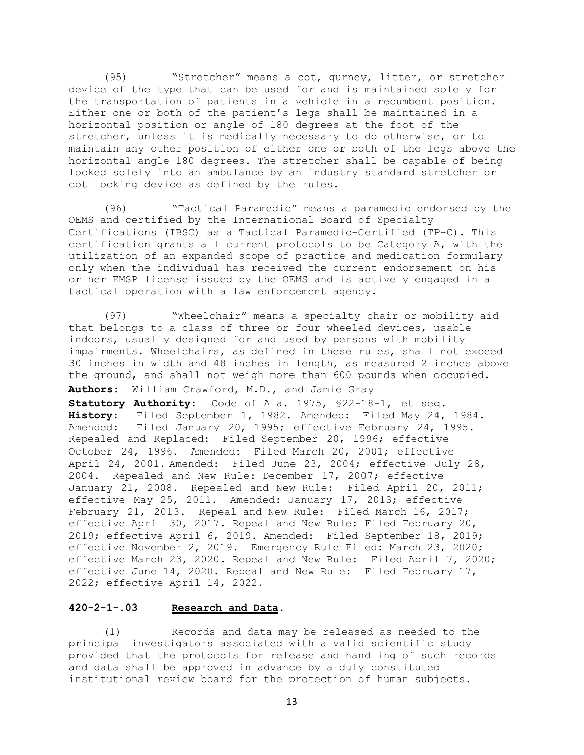(95) "Stretcher" means a cot, gurney, litter, or stretcher device of the type that can be used for and is maintained solely for the transportation of patients in a vehicle in a recumbent position. Either one or both of the patient's legs shall be maintained in a horizontal position or angle of 180 degrees at the foot of the stretcher, unless it is medically necessary to do otherwise, or to maintain any other position of either one or both of the legs above the horizontal angle 180 degrees. The stretcher shall be capable of being locked solely into an ambulance by an industry standard stretcher or cot locking device as defined by the rules.

(96) "Tactical Paramedic" means a paramedic endorsed by the OEMS and certified by the International Board of Specialty Certifications (IBSC) as a Tactical Paramedic-Certified (TP-C). This certification grants all current protocols to be Category A, with the utilization of an expanded scope of practice and medication formulary only when the individual has received the current endorsement on his or her EMSP license issued by the OEMS and is actively engaged in a tactical operation with a law enforcement agency.

(97) "Wheelchair" means a specialty chair or mobility aid that belongs to a class of three or four wheeled devices, usable indoors, usually designed for and used by persons with mobility impairments. Wheelchairs, as defined in these rules, shall not exceed 30 inches in width and 48 inches in length, as measured 2 inches above the ground, and shall not weigh more than 600 pounds when occupied.

**Authors:** William Crawford, M.D., and Jamie Gray

**Statutory Authority:** Code of Ala. 1975, §22-18-1, et seq. **History:** Filed September 1, 1982. Amended: Filed May 24, 1984. Amended: Filed January 20, 1995; effective February 24, 1995. Repealed and Replaced: Filed September 20, 1996; effective October 24, 1996. Amended: Filed March 20, 2001; effective April 24, 2001. Amended: Filed June 23, 2004; effective July 28, 2004. Repealed and New Rule: December 17, 2007; effective January 21, 2008. Repealed and New Rule: Filed April 20, 2011; effective May 25, 2011. Amended: January 17, 2013; effective February 21, 2013. Repeal and New Rule: Filed March 16, 2017; effective April 30, 2017. Repeal and New Rule: Filed February 20, 2019; effective April 6, 2019. Amended: Filed September 18, 2019; effective November 2, 2019. Emergency Rule Filed: March 23, 2020; effective March 23, 2020. Repeal and New Rule: Filed April 7, 2020; effective June 14, 2020. Repeal and New Rule: Filed February 17, 2022; effective April 14, 2022.

# **420-2-1-.03 Research and Data.**

(1) Records and data may be released as needed to the principal investigators associated with a valid scientific study provided that the protocols for release and handling of such records and data shall be approved in advance by a duly constituted institutional review board for the protection of human subjects.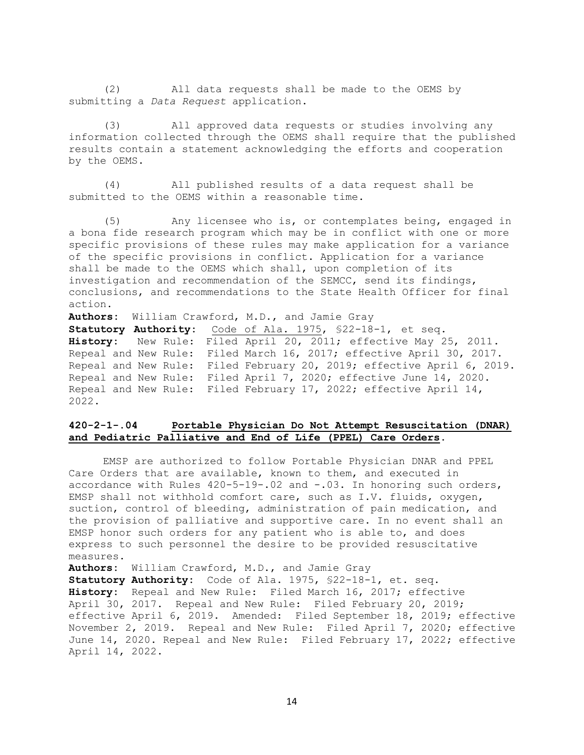(2) All data requests shall be made to the OEMS by submitting a *Data Request* application.

(3) All approved data requests or studies involving any information collected through the OEMS shall require that the published results contain a statement acknowledging the efforts and cooperation by the OEMS.

(4) All published results of a data request shall be submitted to the OEMS within a reasonable time.

(5) Any licensee who is, or contemplates being, engaged in a bona fide research program which may be in conflict with one or more specific provisions of these rules may make application for a variance of the specific provisions in conflict. Application for a variance shall be made to the OEMS which shall, upon completion of its investigation and recommendation of the SEMCC, send its findings, conclusions, and recommendations to the State Health Officer for final action.

**Authors:** William Crawford, M.D., and Jamie Gray

**Statutory Authority:** Code of Ala. 1975, §22-18-1, et seq. **History:** New Rule: Filed April 20, 2011; effective May 25, 2011. Repeal and New Rule: Filed March 16, 2017; effective April 30, 2017. Repeal and New Rule: Filed February 20, 2019; effective April 6, 2019. Repeal and New Rule: Filed April 7, 2020; effective June 14, 2020. Repeal and New Rule: Filed February 17, 2022; effective April 14, 2022.

# **420-2-1-.04 Portable Physician Do Not Attempt Resuscitation (DNAR) and Pediatric Palliative and End of Life (PPEL) Care Orders.**

EMSP are authorized to follow Portable Physician DNAR and PPEL Care Orders that are available, known to them, and executed in accordance with Rules 420-5-19-.02 and -.03. In honoring such orders, EMSP shall not withhold comfort care, such as I.V. fluids, oxygen, suction, control of bleeding, administration of pain medication, and the provision of palliative and supportive care. In no event shall an EMSP honor such orders for any patient who is able to, and does express to such personnel the desire to be provided resuscitative measures.

**Authors:** William Crawford, M.D., and Jamie Gray

**Statutory Authority:** Code of Ala. 1975, §22-18-1, et. seq. **History:** Repeal and New Rule: Filed March 16, 2017; effective April 30, 2017. Repeal and New Rule: Filed February 20, 2019; effective April 6, 2019. Amended: Filed September 18, 2019; effective November 2, 2019. Repeal and New Rule: Filed April 7, 2020; effective June 14, 2020. Repeal and New Rule: Filed February 17, 2022; effective April 14, 2022.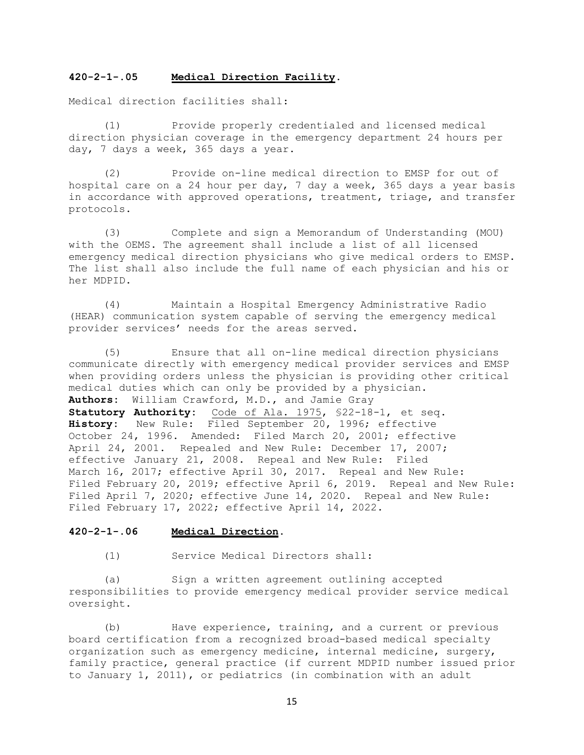### **420-2-1-.05 Medical Direction Facility.**

Medical direction facilities shall:

(1) Provide properly credentialed and licensed medical direction physician coverage in the emergency department 24 hours per day, 7 days a week, 365 days a year.

(2) Provide on-line medical direction to EMSP for out of hospital care on a 24 hour per day, 7 day a week, 365 days a year basis in accordance with approved operations, treatment, triage, and transfer protocols.

(3) Complete and sign a Memorandum of Understanding (MOU) with the OEMS. The agreement shall include a list of all licensed emergency medical direction physicians who give medical orders to EMSP. The list shall also include the full name of each physician and his or her MDPID.

(4) Maintain a Hospital Emergency Administrative Radio (HEAR) communication system capable of serving the emergency medical provider services' needs for the areas served.

(5) Ensure that all on-line medical direction physicians communicate directly with emergency medical provider services and EMSP when providing orders unless the physician is providing other critical medical duties which can only be provided by a physician. **Authors:** William Crawford, M.D., and Jamie Gray **Statutory Authority:** Code of Ala. 1975, §22-18-1, et seq. **History:** New Rule: Filed September 20, 1996; effective October 24, 1996. Amended: Filed March 20, 2001; effective April 24, 2001. Repealed and New Rule: December 17, 2007; effective January 21, 2008. Repeal and New Rule: Filed March 16, 2017; effective April 30, 2017. Repeal and New Rule: Filed February 20, 2019; effective April 6, 2019. Repeal and New Rule: Filed April 7, 2020; effective June 14, 2020. Repeal and New Rule: Filed February 17, 2022; effective April 14, 2022.

# **420-2-1-.06 Medical Direction.**

(1) Service Medical Directors shall:

(a) Sign a written agreement outlining accepted responsibilities to provide emergency medical provider service medical oversight.

(b) Have experience, training, and a current or previous board certification from a recognized broad-based medical specialty organization such as emergency medicine, internal medicine, surgery, family practice, general practice (if current MDPID number issued prior to January 1, 2011), or pediatrics (in combination with an adult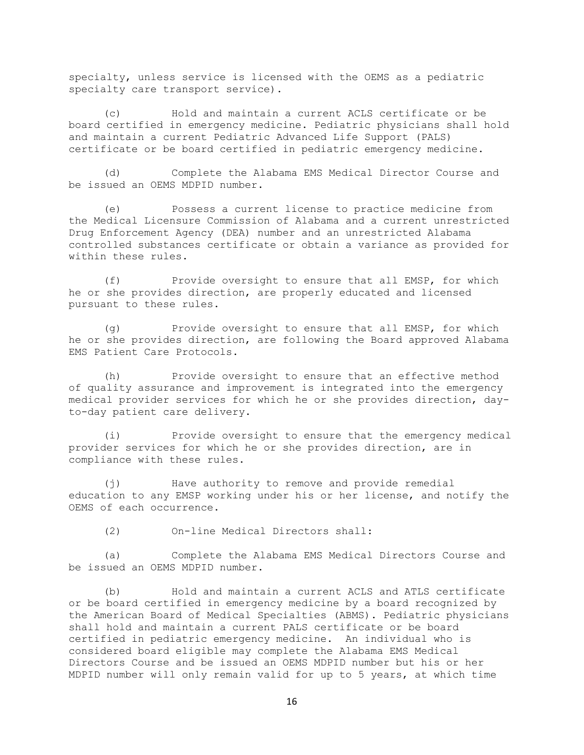specialty, unless service is licensed with the OEMS as a pediatric specialty care transport service).

(c) Hold and maintain a current ACLS certificate or be board certified in emergency medicine. Pediatric physicians shall hold and maintain a current Pediatric Advanced Life Support (PALS) certificate or be board certified in pediatric emergency medicine.

(d) Complete the Alabama EMS Medical Director Course and be issued an OEMS MDPID number.

(e) Possess a current license to practice medicine from the Medical Licensure Commission of Alabama and a current unrestricted Drug Enforcement Agency (DEA) number and an unrestricted Alabama controlled substances certificate or obtain a variance as provided for within these rules.

(f) Provide oversight to ensure that all EMSP, for which he or she provides direction, are properly educated and licensed pursuant to these rules.

(g) Provide oversight to ensure that all EMSP, for which he or she provides direction, are following the Board approved Alabama EMS Patient Care Protocols.

(h) Provide oversight to ensure that an effective method of quality assurance and improvement is integrated into the emergency medical provider services for which he or she provides direction, dayto-day patient care delivery.

(i) Provide oversight to ensure that the emergency medical provider services for which he or she provides direction, are in compliance with these rules.

(j) Have authority to remove and provide remedial education to any EMSP working under his or her license, and notify the OEMS of each occurrence.

(2) On-line Medical Directors shall:

(a) Complete the Alabama EMS Medical Directors Course and be issued an OEMS MDPID number.

(b) Hold and maintain a current ACLS and ATLS certificate or be board certified in emergency medicine by a board recognized by the American Board of Medical Specialties (ABMS). Pediatric physicians shall hold and maintain a current PALS certificate or be board certified in pediatric emergency medicine. An individual who is considered board eligible may complete the Alabama EMS Medical Directors Course and be issued an OEMS MDPID number but his or her MDPID number will only remain valid for up to 5 years, at which time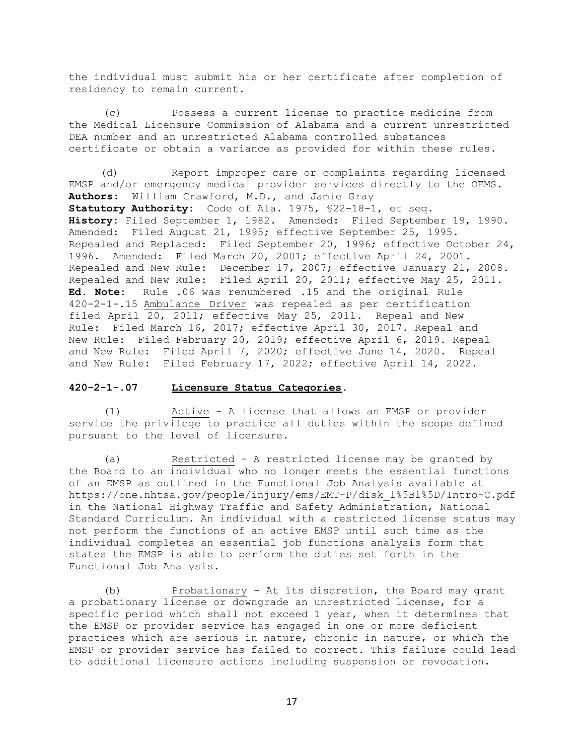the individual must submit his or her certificate after completion of residency to remain current.

(c) Possess a current license to practice medicine from the Medical Licensure Commission of Alabama and a current unrestricted DEA number and an unrestricted Alabama controlled substances certificate or obtain a variance as provided for within these rules.

 (d) Report improper care or complaints regarding licensed EMSP and/or emergency medical provider services directly to the OEMS. **Authors:** William Crawford, M.D., and Jamie Gray **Statutory Authority:** Code of Ala. 1975, §22-18-1, et seq. **History:** Filed September 1, 1982. Amended: Filed September 19, 1990. Amended: Filed August 21, 1995; effective September 25, 1995. Repealed and Replaced: Filed September 20, 1996; effective October 24, 1996. Amended: Filed March 20, 2001; effective April 24, 2001. Repealed and New Rule: December 17, 2007; effective January 21, 2008. Repealed and New Rule: Filed April 20, 2011; effective May 25, 2011. **Ed. Note:** Rule .06 was renumbered .15 and the original Rule 420-2-1-.15 Ambulance Driver was repealed as per certification filed April 20, 2011; effective May 25, 2011. Repeal and New Rule: Filed March 16, 2017; effective April 30, 2017. Repeal and New Rule: Filed February 20, 2019; effective April 6, 2019. Repeal and New Rule: Filed April 7, 2020; effective June 14, 2020. Repeal and New Rule: Filed February 17, 2022; effective April 14, 2022.

### **420-2-1-.07 Licensure Status Categories.**

(1) Active - A license that allows an EMSP or provider service the privilege to practice all duties within the scope defined pursuant to the level of licensure.

(a) Restricted – A restricted license may be granted by the Board to an individual who no longer meets the essential functions of an EMSP as outlined in the Functional Job Analysis available at https://one.nhtsa.gov/people/injury/ems/EMT-P/disk\_1%5B1%5D/Intro-C.pdf in the National Highway Traffic and Safety Administration, National Standard Curriculum. An individual with a restricted license status may not perform the functions of an active EMSP until such time as the individual completes an essential job functions analysis form that states the EMSP is able to perform the duties set forth in the Functional Job Analysis.

(b) Probationary - At its discretion, the Board may grant a probationary license or downgrade an unrestricted license, for a specific period which shall not exceed 1 year, when it determines that the EMSP or provider service has engaged in one or more deficient practices which are serious in nature, chronic in nature, or which the EMSP or provider service has failed to correct. This failure could lead to additional licensure actions including suspension or revocation.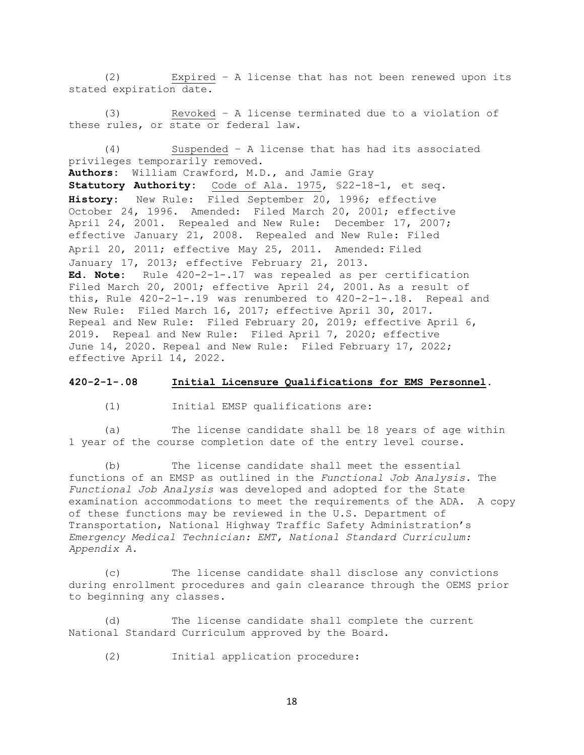(2) Expired – A license that has not been renewed upon its stated expiration date.

(3) Revoked – A license terminated due to a violation of these rules, or state or federal law.

(4) Suspended – A license that has had its associated privileges temporarily removed.

**Authors:** William Crawford, M.D., and Jamie Gray **Statutory Authority:** Code of Ala. 1975, §22-18-1, et seq. **History:** New Rule: Filed September 20, 1996; effective October 24, 1996. Amended: Filed March 20, 2001; effective April 24, 2001. Repealed and New Rule: December 17, 2007; effective January 21, 2008. Repealed and New Rule: Filed April 20, 2011; effective May 25, 2011. Amended: Filed January 17, 2013; effective February 21, 2013. **Ed. Note:** Rule 420-2-1-.17 was repealed as per certification Filed March 20, 2001; effective April 24, 2001. As a result of this, Rule 420-2-1-.19 was renumbered to 420-2-1-.18. Repeal and New Rule: Filed March 16, 2017; effective April 30, 2017. Repeal and New Rule: Filed February 20, 2019; effective April 6, 2019. Repeal and New Rule: Filed April 7, 2020; effective June 14, 2020. Repeal and New Rule: Filed February 17, 2022; effective April 14, 2022.

#### **420-2-1-.08 Initial Licensure Qualifications for EMS Personnel.**

(1) Initial EMSP qualifications are:

(a) The license candidate shall be 18 years of age within 1 year of the course completion date of the entry level course.

(b) The license candidate shall meet the essential functions of an EMSP as outlined in the *Functional Job Analysis*. The *Functional Job Analysis* was developed and adopted for the State examination accommodations to meet the requirements of the ADA. A copy of these functions may be reviewed in the U.S. Department of Transportation, National Highway Traffic Safety Administration's *Emergency Medical Technician: EMT, National Standard Curriculum: Appendix A.*

(c) The license candidate shall disclose any convictions during enrollment procedures and gain clearance through the OEMS prior to beginning any classes.

The license candidate shall complete the current National Standard Curriculum approved by the Board.

(2) Initial application procedure: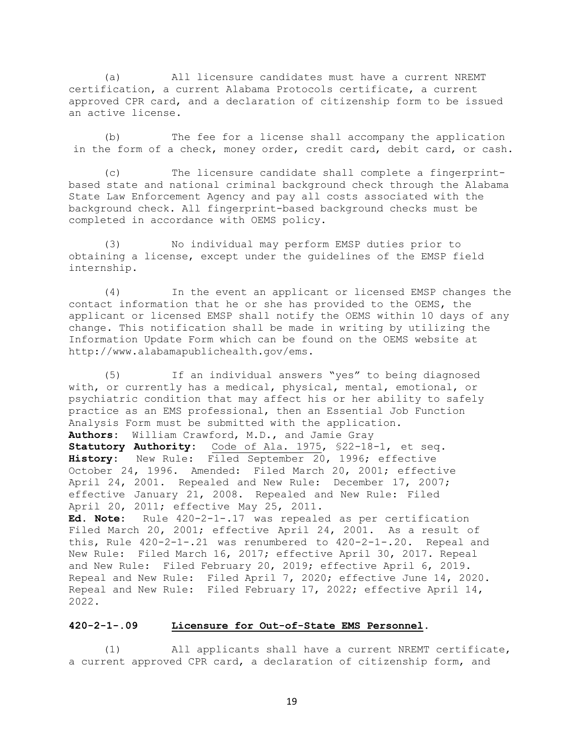(a) All licensure candidates must have a current NREMT certification, a current Alabama Protocols certificate, a current approved CPR card, and a declaration of citizenship form to be issued an active license.

(b) The fee for a license shall accompany the application in the form of a check, money order, credit card, debit card, or cash.

(c) The licensure candidate shall complete a fingerprintbased state and national criminal background check through the Alabama State Law Enforcement Agency and pay all costs associated with the background check. All fingerprint-based background checks must be completed in accordance with OEMS policy.

(3) No individual may perform EMSP duties prior to obtaining a license, except under the guidelines of the EMSP field internship.

(4) In the event an applicant or licensed EMSP changes the contact information that he or she has provided to the OEMS, the applicant or licensed EMSP shall notify the OEMS within 10 days of any change. This notification shall be made in writing by utilizing the Information Update Form which can be found on the OEMS website at http://www.alabamapublichealth.gov/ems.

(5) If an individual answers "yes" to being diagnosed with, or currently has a medical, physical, mental, emotional, or psychiatric condition that may affect his or her ability to safely practice as an EMS professional, then an Essential Job Function Analysis Form must be submitted with the application. **Authors:** William Crawford, M.D., and Jamie Gray **Statutory Authority:** Code of Ala. 1975, §22-18-1, et seq. **History:** New Rule: Filed September 20, 1996; effective October 24, 1996. Amended: Filed March 20, 2001; effective April 24, 2001. Repealed and New Rule: December 17, 2007; effective January 21, 2008. Repealed and New Rule: Filed April 20, 2011; effective May 25, 2011. **Ed. Note:** Rule 420-2-1-.17 was repealed as per certification Filed March 20, 2001; effective April 24, 2001. As a result of this, Rule  $420-2-1-.21$  was renumbered to  $420-2-1-.20$ . Repeal and New Rule: Filed March 16, 2017; effective April 30, 2017. Repeal and New Rule: Filed February 20, 2019; effective April 6, 2019. Repeal and New Rule: Filed April 7, 2020; effective June 14, 2020. Repeal and New Rule: Filed February 17, 2022; effective April 14, 2022.

### **420-2-1-.09 Licensure for Out-of-State EMS Personnel.**

(1) All applicants shall have a current NREMT certificate, a current approved CPR card, a declaration of citizenship form, and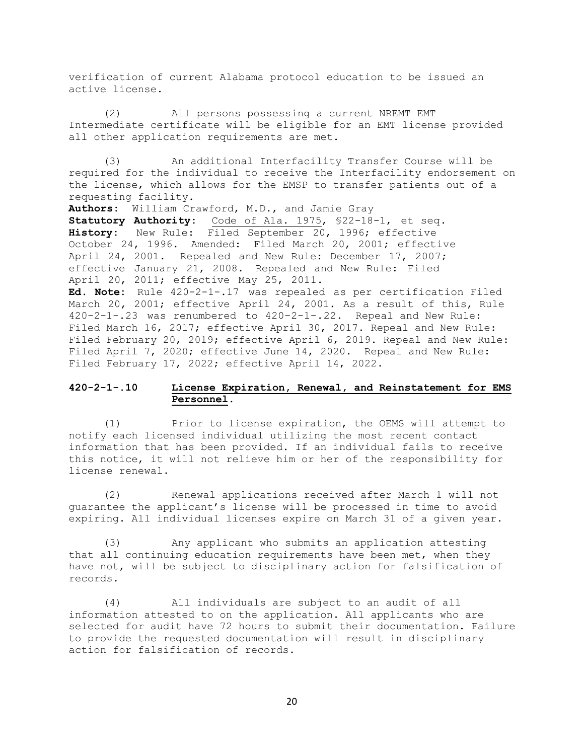verification of current Alabama protocol education to be issued an active license.

(2) All persons possessing a current NREMT EMT Intermediate certificate will be eligible for an EMT license provided all other application requirements are met.

(3) An additional Interfacility Transfer Course will be required for the individual to receive the Interfacility endorsement on the license, which allows for the EMSP to transfer patients out of a requesting facility.

**Authors:** William Crawford, M.D., and Jamie Gray **Statutory Authority:** Code of Ala. 1975, §22-18-1, et seq. **History:** New Rule: Filed September 20, 1996; effective October 24, 1996. Amended: Filed March 20, 2001; effective April 24, 2001. Repealed and New Rule: December 17, 2007; effective January 21, 2008. Repealed and New Rule: Filed April 20, 2011; effective May 25, 2011.

**Ed. Note:** Rule 420-2-1-.17 was repealed as per certification Filed March 20, 2001; effective April 24, 2001. As a result of this, Rule 420-2-1-.23 was renumbered to 420-2-1-.22. Repeal and New Rule: Filed March 16, 2017; effective April 30, 2017. Repeal and New Rule: Filed February 20, 2019; effective April 6, 2019. Repeal and New Rule: Filed April 7, 2020; effective June 14, 2020. Repeal and New Rule: Filed February 17, 2022; effective April 14, 2022.

# **420-2-1-.10 License Expiration, Renewal, and Reinstatement for EMS Personnel.**

(1) Prior to license expiration, the OEMS will attempt to notify each licensed individual utilizing the most recent contact information that has been provided. If an individual fails to receive this notice, it will not relieve him or her of the responsibility for license renewal.

(2) Renewal applications received after March 1 will not guarantee the applicant's license will be processed in time to avoid expiring. All individual licenses expire on March 31 of a given year.

(3) Any applicant who submits an application attesting that all continuing education requirements have been met, when they have not, will be subject to disciplinary action for falsification of records.

(4) All individuals are subject to an audit of all information attested to on the application. All applicants who are selected for audit have 72 hours to submit their documentation. Failure to provide the requested documentation will result in disciplinary action for falsification of records.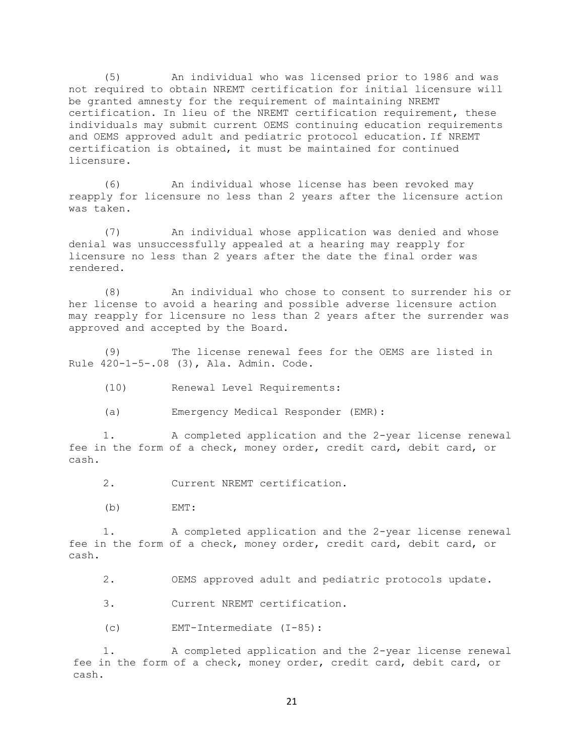(5) An individual who was licensed prior to 1986 and was not required to obtain NREMT certification for initial licensure will be granted amnesty for the requirement of maintaining NREMT certification. In lieu of the NREMT certification requirement, these individuals may submit current OEMS continuing education requirements and OEMS approved adult and pediatric protocol education. If NREMT certification is obtained, it must be maintained for continued licensure.

(6) An individual whose license has been revoked may reapply for licensure no less than 2 years after the licensure action was taken.

(7) An individual whose application was denied and whose denial was unsuccessfully appealed at a hearing may reapply for licensure no less than 2 years after the date the final order was rendered.

(8) An individual who chose to consent to surrender his or her license to avoid a hearing and possible adverse licensure action may reapply for licensure no less than 2 years after the surrender was approved and accepted by the Board.

(9) The license renewal fees for the OEMS are listed in Rule 420-1-5-.08 (3), Ala. Admin. Code.

(10) Renewal Level Requirements:

(a) Emergency Medical Responder (EMR):

1. A completed application and the 2-year license renewal fee in the form of a check, money order, credit card, debit card, or cash.

2. Current NREMT certification.

(b) EMT:

1. A completed application and the 2-year license renewal fee in the form of a check, money order, credit card, debit card, or cash.

2. OEMS approved adult and pediatric protocols update.

3. Current NREMT certification.

(c) EMT-Intermediate (I-85):

1. A completed application and the 2-year license renewal fee in the form of a check, money order, credit card, debit card, or cash.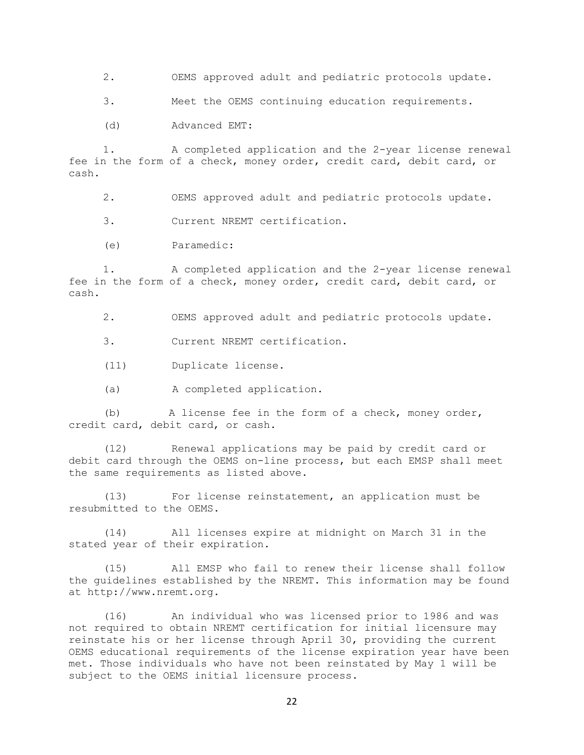2. OEMS approved adult and pediatric protocols update.

3. Meet the OEMS continuing education requirements.

(d) Advanced EMT:

1. A completed application and the 2-year license renewal fee in the form of a check, money order, credit card, debit card, or cash.

2. OEMS approved adult and pediatric protocols update.

3. Current NREMT certification.

(e) Paramedic:

1. A completed application and the 2-year license renewal fee in the form of a check, money order, credit card, debit card, or cash.

2. OEMS approved adult and pediatric protocols update.

3. Current NREMT certification.

- (11) Duplicate license.
- (a) A completed application.

(b) A license fee in the form of a check, money order, credit card, debit card, or cash.

(12) Renewal applications may be paid by credit card or debit card through the OEMS on-line process, but each EMSP shall meet the same requirements as listed above.

(13) For license reinstatement, an application must be resubmitted to the OEMS.

(14) All licenses expire at midnight on March 31 in the stated year of their expiration.

(15) All EMSP who fail to renew their license shall follow the guidelines established by the NREMT. This information may be found at http://www.nremt.org.

(16) An individual who was licensed prior to 1986 and was not required to obtain NREMT certification for initial licensure may reinstate his or her license through April 30, providing the current OEMS educational requirements of the license expiration year have been met. Those individuals who have not been reinstated by May 1 will be subject to the OEMS initial licensure process.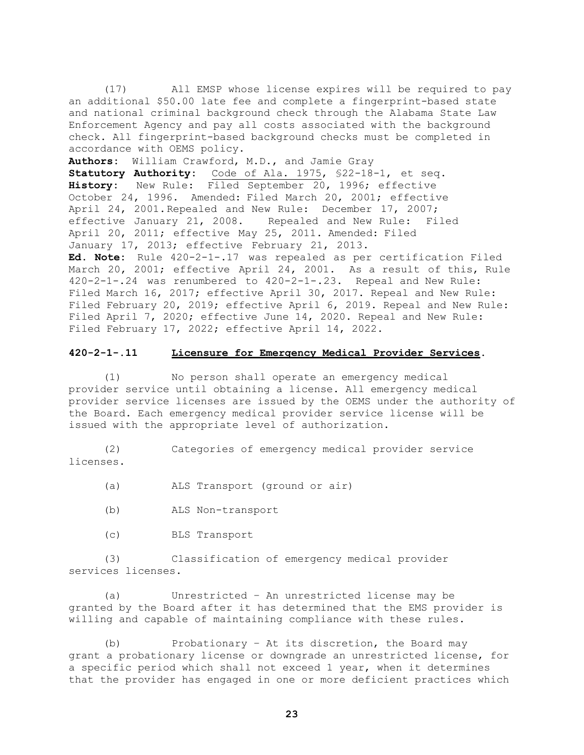(17) All EMSP whose license expires will be required to pay an additional \$50.00 late fee and complete a fingerprint-based state and national criminal background check through the Alabama State Law Enforcement Agency and pay all costs associated with the background check. All fingerprint-based background checks must be completed in accordance with OEMS policy.

**Authors:** William Crawford, M.D., and Jamie Gray

**Statutory Authority:** Code of Ala. 1975, §22-18-1, et seq. **History:** New Rule: Filed September 20, 1996; effective October 24, 1996. Amended: Filed March 20, 2001; effective April 24, 2001.Repealed and New Rule: December 17, 2007; effective January 21, 2008. Repealed and New Rule: Filed April 20, 2011; effective May 25, 2011. Amended: Filed January 17, 2013; effective February 21, 2013.

**Ed. Note:** Rule 420-2-1-.17 was repealed as per certification Filed March 20, 2001; effective April 24, 2001. As a result of this, Rule 420-2-1-.24 was renumbered to 420-2-1-.23. Repeal and New Rule: Filed March 16, 2017; effective April 30, 2017. Repeal and New Rule: Filed February 20, 2019; effective April 6, 2019. Repeal and New Rule: Filed April 7, 2020; effective June 14, 2020. Repeal and New Rule: Filed February 17, 2022; effective April 14, 2022.

### **420-2-1-.11 Licensure for Emergency Medical Provider Services.**

(1) No person shall operate an emergency medical provider service until obtaining a license. All emergency medical provider service licenses are issued by the OEMS under the authority of the Board. Each emergency medical provider service license will be issued with the appropriate level of authorization.

(2) Categories of emergency medical provider service licenses.

(a) ALS Transport (ground or air)

- (b) ALS Non-transport
- (c) BLS Transport

(3) Classification of emergency medical provider services licenses.

(a) Unrestricted – An unrestricted license may be granted by the Board after it has determined that the EMS provider is willing and capable of maintaining compliance with these rules.

(b) Probationary – At its discretion, the Board may grant a probationary license or downgrade an unrestricted license, for a specific period which shall not exceed 1 year, when it determines that the provider has engaged in one or more deficient practices which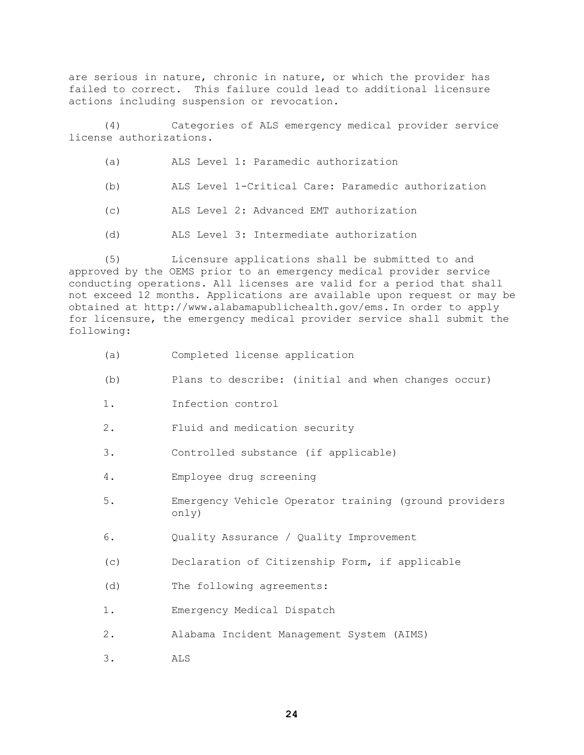are serious in nature, chronic in nature, or which the provider has failed to correct. This failure could lead to additional licensure actions including suspension or revocation.

(4) Categories of ALS emergency medical provider service license authorizations.

- (a) ALS Level 1: Paramedic authorization
- (b) ALS Level 1-Critical Care: Paramedic authorization
- (c) ALS Level 2: Advanced EMT authorization
- (d) ALS Level 3: Intermediate authorization

(5) Licensure applications shall be submitted to and approved by the OEMS prior to an emergency medical provider service conducting operations. All licenses are valid for a period that shall not exceed 12 months. Applications are available upon request or may be obtained at [http://www.alabamapublichealth.gov/ems.](http://www.adph.org/ems) In order to apply for licensure, the emergency medical provider service shall submit the following:

- (a) Completed license application
- (b) Plans to describe: (initial and when changes occur)
- 1. Infection control
- 2. Fluid and medication security
- 3. Controlled substance (if applicable)
- 4. Employee drug screening
- 5. Emergency Vehicle Operator training (ground providers only)
- 6. Quality Assurance / Quality Improvement
- (c) Declaration of Citizenship Form, if applicable
- (d) The following agreements:
- 1. Emergency Medical Dispatch
- 2. Alabama Incident Management System (AIMS)
- 3. ALS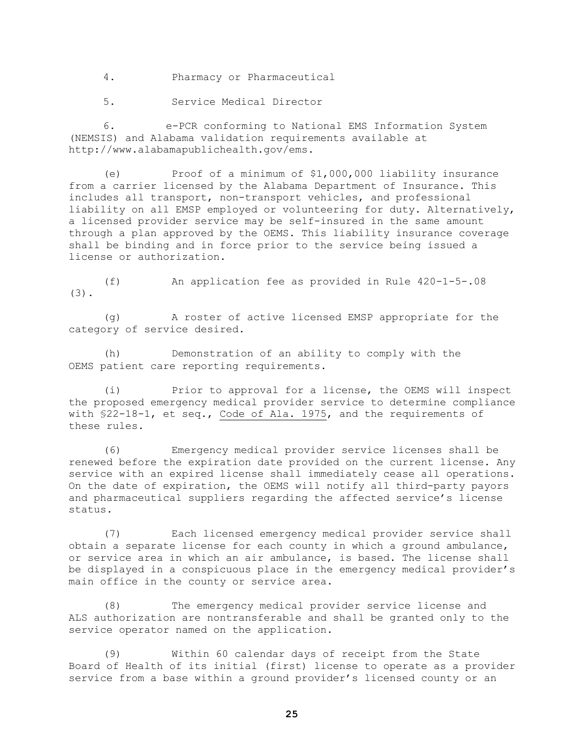4. Pharmacy or Pharmaceutical

5. Service Medical Director

6. e-PCR conforming to National EMS Information System (NEMSIS) and Alabama validation requirements available at http://www.alabamapublichealth.gov/ems.

(e) Proof of a minimum of \$1,000,000 liability insurance from a carrier licensed by the Alabama Department of Insurance. This includes all transport, non-transport vehicles, and professional liability on all EMSP employed or volunteering for duty. Alternatively, a licensed provider service may be self-insured in the same amount through a plan approved by the OEMS. This liability insurance coverage shall be binding and in force prior to the service being issued a license or authorization.

(f) An application fee as provided in Rule 420-1-5-.08 (3).

(g) A roster of active licensed EMSP appropriate for the category of service desired.

(h) Demonstration of an ability to comply with the OEMS patient care reporting requirements.

(i) Prior to approval for a license, the OEMS will inspect the proposed emergency medical provider service to determine compliance with §22-18-1, et seq., Code of Ala. 1975, and the requirements of these rules.

(6) Emergency medical provider service licenses shall be renewed before the expiration date provided on the current license. Any service with an expired license shall immediately cease all operations. On the date of expiration, the OEMS will notify all third-party payors and pharmaceutical suppliers regarding the affected service's license status.

(7) Each licensed emergency medical provider service shall obtain a separate license for each county in which a ground ambulance, or service area in which an air ambulance, is based. The license shall be displayed in a conspicuous place in the emergency medical provider's main office in the county or service area.

(8) The emergency medical provider service license and ALS authorization are nontransferable and shall be granted only to the service operator named on the application.

(9) Within 60 calendar days of receipt from the State Board of Health of its initial (first) license to operate as a provider service from a base within a ground provider's licensed county or an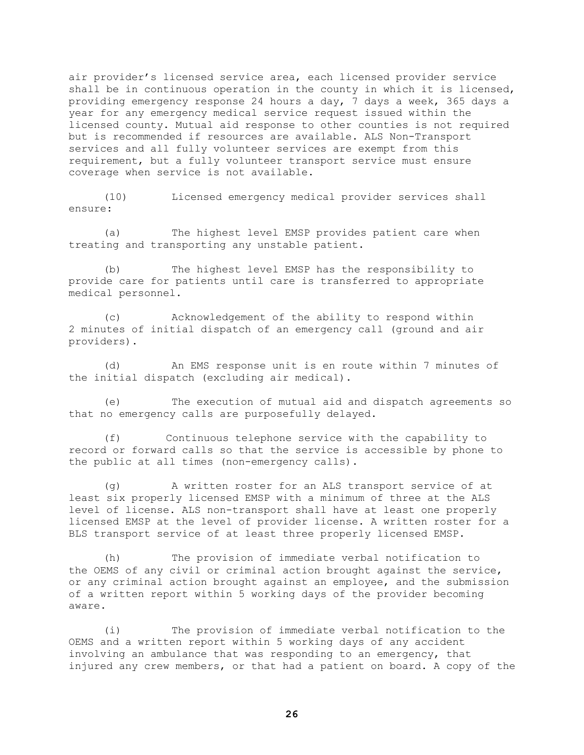air provider's licensed service area, each licensed provider service shall be in continuous operation in the county in which it is licensed, providing emergency response 24 hours a day, 7 days a week, 365 days a year for any emergency medical service request issued within the licensed county. Mutual aid response to other counties is not required but is recommended if resources are available. ALS Non-Transport services and all fully volunteer services are exempt from this requirement, but a fully volunteer transport service must ensure coverage when service is not available.

(10) Licensed emergency medical provider services shall ensure:

(a) The highest level EMSP provides patient care when treating and transporting any unstable patient.

(b) The highest level EMSP has the responsibility to provide care for patients until care is transferred to appropriate medical personnel.

(c) Acknowledgement of the ability to respond within 2 minutes of initial dispatch of an emergency call (ground and air providers).

(d) An EMS response unit is en route within 7 minutes of the initial dispatch (excluding air medical).

(e) The execution of mutual aid and dispatch agreements so that no emergency calls are purposefully delayed.

(f) Continuous telephone service with the capability to record or forward calls so that the service is accessible by phone to the public at all times (non-emergency calls).

(g) A written roster for an ALS transport service of at least six properly licensed EMSP with a minimum of three at the ALS level of license. ALS non-transport shall have at least one properly licensed EMSP at the level of provider license. A written roster for a BLS transport service of at least three properly licensed EMSP.

(h) The provision of immediate verbal notification to the OEMS of any civil or criminal action brought against the service, or any criminal action brought against an employee, and the submission of a written report within 5 working days of the provider becoming aware.

(i) The provision of immediate verbal notification to the OEMS and a written report within 5 working days of any accident involving an ambulance that was responding to an emergency, that injured any crew members, or that had a patient on board. A copy of the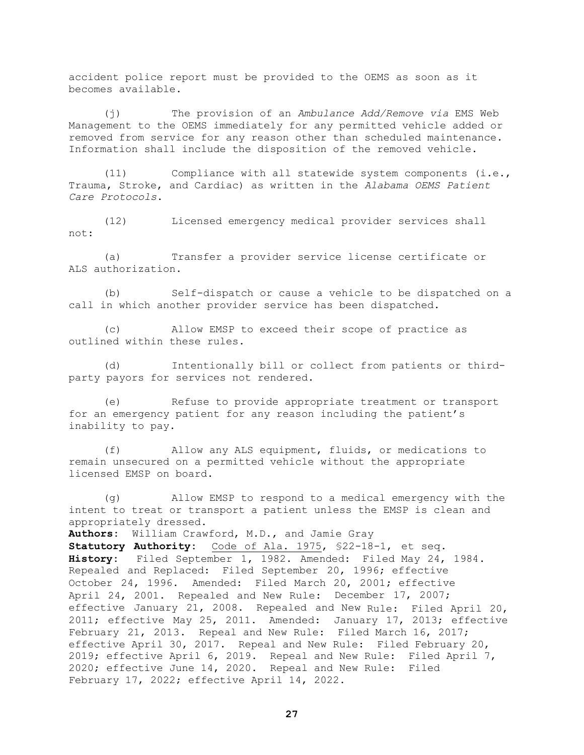accident police report must be provided to the OEMS as soon as it becomes available.

(j) The provision of an *Ambulance Add/Remove via* EMS Web Management to the OEMS immediately for any permitted vehicle added or removed from service for any reason other than scheduled maintenance. Information shall include the disposition of the removed vehicle.

(11) Compliance with all statewide system components (i.e., Trauma, Stroke, and Cardiac) as written in the *Alabama OEMS Patient Care Protocols*.

(12) Licensed emergency medical provider services shall not:

(a) Transfer a provider service license certificate or ALS authorization.

(b) Self-dispatch or cause a vehicle to be dispatched on a call in which another provider service has been dispatched.

(c) Allow EMSP to exceed their scope of practice as outlined within these rules.

(d) Intentionally bill or collect from patients or thirdparty payors for services not rendered.

(e) Refuse to provide appropriate treatment or transport for an emergency patient for any reason including the patient's inability to pay.

(f) Allow any ALS equipment, fluids, or medications to remain unsecured on a permitted vehicle without the appropriate licensed EMSP on board.

(g) Allow EMSP to respond to a medical emergency with the intent to treat or transport a patient unless the EMSP is clean and appropriately dressed.

**Authors:** William Crawford, M.D., and Jamie Gray

**Statutory Authority:** Code of Ala. 1975, §22-18-1, et seq. **History:** Filed September 1, 1982. Amended: Filed May 24, 1984. Repealed and Replaced: Filed September 20, 1996; effective October 24, 1996. Amended: Filed March 20, 2001; effective April 24, 2001. Repealed and New Rule: December 17, 2007; effective January 21, 2008. Repealed and New Rule: Filed April 20, 2011; effective May 25, 2011. Amended: January 17, 2013; effective February 21, 2013. Repeal and New Rule: Filed March 16, 2017; effective April 30, 2017. Repeal and New Rule: Filed February 20, 2019; effective April 6, 2019. Repeal and New Rule: Filed April 7, 2020; effective June 14, 2020. Repeal and New Rule: Filed February 17, 2022; effective April 14, 2022.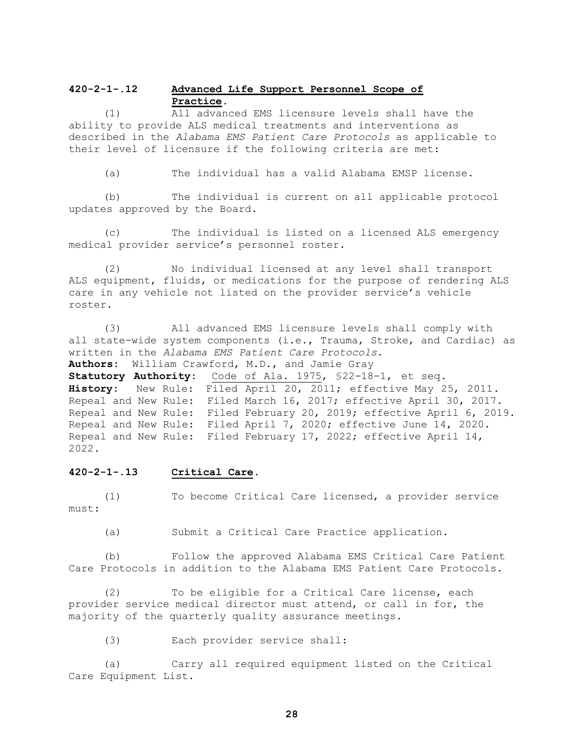# **420-2-1-.12 Advanced Life Support Personnel Scope of Practice.**

(1) All advanced EMS licensure levels shall have the ability to provide ALS medical treatments and interventions as described in the *Alabama EMS Patient Care Protocols* as applicable to their level of licensure if the following criteria are met:

(a) The individual has a valid Alabama EMSP license.

(b) The individual is current on all applicable protocol updates approved by the Board.

(c) The individual is listed on a licensed ALS emergency medical provider service's personnel roster.

(2) No individual licensed at any level shall transport ALS equipment, fluids, or medications for the purpose of rendering ALS care in any vehicle not listed on the provider service's vehicle roster.

(3) All advanced EMS licensure levels shall comply with all state-wide system components (i.e., Trauma, Stroke, and Cardiac) as written in the *Alabama EMS Patient Care Protocols*.

**Authors:** William Crawford, M.D., and Jamie Gray

**Statutory Authority:** Code of Ala. 1975, §22-18-1, et seq. **History:** New Rule: Filed April 20, 2011; effective May 25, 2011. Repeal and New Rule: Filed March 16, 2017; effective April 30, 2017. Repeal and New Rule: Filed February 20, 2019; effective April 6, 2019. Repeal and New Rule: Filed April 7, 2020; effective June 14, 2020. Repeal and New Rule: Filed February 17, 2022; effective April 14, 2022.

### **420-2-1-.13 Critical Care.**

(1) To become Critical Care licensed, a provider service must:

(a) Submit a Critical Care Practice application.

(b) Follow the approved Alabama EMS Critical Care Patient Care Protocols in addition to the Alabama EMS Patient Care Protocols.

(2) To be eligible for a Critical Care license, each provider service medical director must attend, or call in for, the majority of the quarterly quality assurance meetings.

(3) Each provider service shall:

(a) Carry all required equipment listed on the Critical Care Equipment List.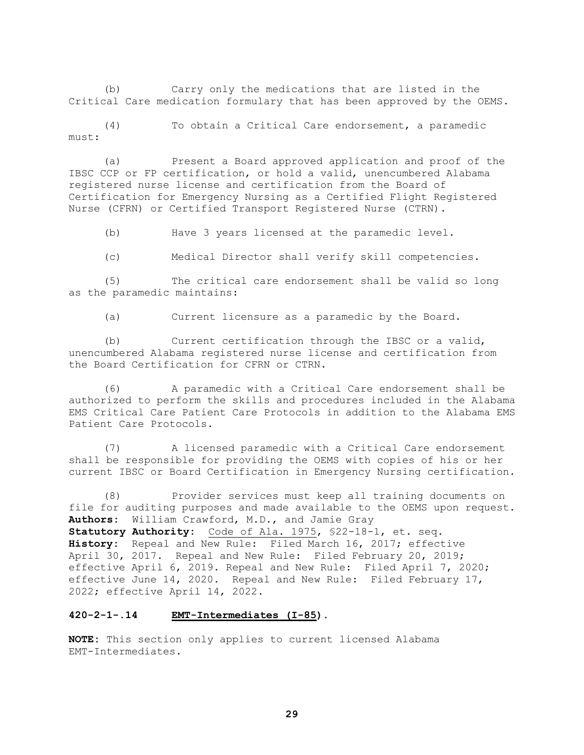(b) Carry only the medications that are listed in the Critical Care medication formulary that has been approved by the OEMS.

(4) To obtain a Critical Care endorsement, a paramedic must:

(a) Present a Board approved application and proof of the IBSC CCP or FP certification, or hold a valid, unencumbered Alabama registered nurse license and certification from the Board of Certification for Emergency Nursing as a Certified Flight Registered Nurse (CFRN) or Certified Transport Registered Nurse (CTRN).

(b) Have 3 years licensed at the paramedic level.

(c) Medical Director shall verify skill competencies.

(5) The critical care endorsement shall be valid so long as the paramedic maintains:

(a) Current licensure as a paramedic by the Board.

(b) Current certification through the IBSC or a valid, unencumbered Alabama registered nurse license and certification from the Board Certification for CFRN or CTRN.

(6) A paramedic with a Critical Care endorsement shall be authorized to perform the skills and procedures included in the Alabama EMS Critical Care Patient Care Protocols in addition to the Alabama EMS Patient Care Protocols.

(7) A licensed paramedic with a Critical Care endorsement shall be responsible for providing the OEMS with copies of his or her current IBSC or Board Certification in Emergency Nursing certification.

(8) Provider services must keep all training documents on file for auditing purposes and made available to the OEMS upon request. **Authors:** William Crawford, M.D., and Jamie Gray **Statutory Authority:** Code of Ala. 1975, §22-18-1, et. seq. **History:** Repeal and New Rule: Filed March 16, 2017; effective April 30, 2017. Repeal and New Rule: Filed February 20, 2019; effective April 6, 2019. Repeal and New Rule: Filed April 7, 2020; effective June 14, 2020. Repeal and New Rule: Filed February 17, 2022; effective April 14, 2022.

### **420-2-1-.14 EMT-Intermediates (I-85).**

**NOTE:** This section only applies to current licensed Alabama EMT-Intermediates.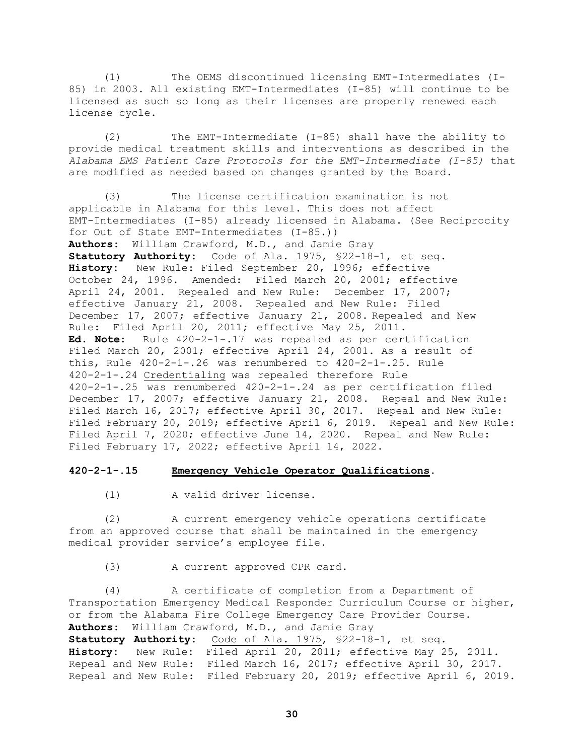(1) The OEMS discontinued licensing EMT-Intermediates (I-85) in 2003. All existing EMT-Intermediates (I-85) will continue to be licensed as such so long as their licenses are properly renewed each license cycle.

(2) The EMT-Intermediate (I-85) shall have the ability to provide medical treatment skills and interventions as described in the *Alabama EMS Patient Care Protocols for the EMT-Intermediate (I-85)* that are modified as needed based on changes granted by the Board.

(3) The license certification examination is not applicable in Alabama for this level. This does not affect EMT-Intermediates (I-85) already licensed in Alabama. (See Reciprocity for Out of State EMT-Intermediates (I-85.)) **Authors:** William Crawford, M.D., and Jamie Gray **Statutory Authority:** Code of Ala. 1975, §22-18-1, et seq. **History:** New Rule: Filed September 20, 1996; effective October 24, 1996. Amended: Filed March 20, 2001; effective April 24, 2001. Repealed and New Rule: December 17, 2007; effective January 21, 2008. Repealed and New Rule: Filed December 17, 2007; effective January 21, 2008. Repealed and New Rule: Filed April 20, 2011; effective May 25, 2011. **Ed. Note:** Rule 420-2-1-.17 was repealed as per certification Filed March 20, 2001; effective April 24, 2001. As a result of this, Rule 420-2-1-.26 was renumbered to 420-2-1-.25. Rule 420-2-1-.24 Credentialing was repealed therefore Rule 420-2-1-.25 was renumbered 420-2-1-.24 as per certification filed December 17, 2007; effective January 21, 2008. Repeal and New Rule: Filed March 16, 2017; effective April 30, 2017. Repeal and New Rule: Filed February 20, 2019; effective April 6, 2019. Repeal and New Rule: Filed April 7, 2020; effective June 14, 2020. Repeal and New Rule: Filed February 17, 2022; effective April 14, 2022.

### **420-2-1-.15 Emergency Vehicle Operator Qualifications.**

(1) A valid driver license.

(2) A current emergency vehicle operations certificate from an approved course that shall be maintained in the emergency medical provider service's employee file.

(3) A current approved CPR card.

(4) A certificate of completion from a Department of Transportation Emergency Medical Responder Curriculum Course or higher, or from the Alabama Fire College Emergency Care Provider Course. **Authors:** William Crawford, M.D., and Jamie Gray

**Statutory Authority:** Code of Ala. 1975, §22-18-1, et seq. **History:** New Rule**:** Filed April 20, 2011; effective May 25, 2011. Repeal and New Rule: Filed March 16, 2017; effective April 30, 2017. Repeal and New Rule: Filed February 20, 2019; effective April 6, 2019.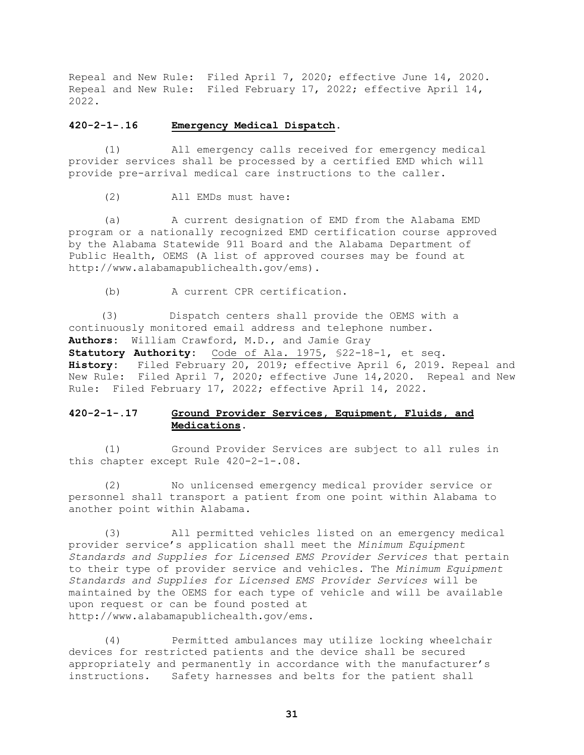Repeal and New Rule: Filed April 7, 2020; effective June 14, 2020. Repeal and New Rule: Filed February 17, 2022; effective April 14, 2022.

### **420-2-1-.16 Emergency Medical Dispatch.**

(1) All emergency calls received for emergency medical provider services shall be processed by a certified EMD which will provide pre-arrival medical care instructions to the caller.

(2) All EMDs must have:

(a) A current designation of EMD from the Alabama EMD program or a nationally recognized EMD certification course approved by the Alabama Statewide 911 Board and the Alabama Department of Public Health, OEMS (A list of approved courses may be found at http://www.alabamapublichealth.gov/ems).

(b) A current CPR certification.

 (3) Dispatch centers shall provide the OEMS with a continuously monitored email address and telephone number. **Authors:** William Crawford, M.D., and Jamie Gray

**Statutory Authority:** Code of Ala. 1975, §22-18-1, et seq. **History:** Filed February 20, 2019; effective April 6, 2019. Repeal and New Rule: Filed April 7, 2020; effective June 14,2020. Repeal and New Rule: Filed February 17, 2022; effective April 14, 2022.

# **420-2-1-.17 Ground Provider Services, Equipment, Fluids, and Medications.**

(1) Ground Provider Services are subject to all rules in this chapter except Rule 420-2-1-.08.

(2) No unlicensed emergency medical provider service or personnel shall transport a patient from one point within Alabama to another point within Alabama.

(3) All permitted vehicles listed on an emergency medical provider service's application shall meet the *Minimum Equipment Standards and Supplies for Licensed EMS Provider Services* that pertain to their type of provider service and vehicles. The *Minimum Equipment Standards and Supplies for Licensed EMS Provider Services* will be maintained by the OEMS for each type of vehicle and will be available upon request or can be found posted at http://www.alabamapublichealth.gov/ems.

(4) Permitted ambulances may utilize locking wheelchair devices for restricted patients and the device shall be secured appropriately and permanently in accordance with the manufacturer's instructions. Safety harnesses and belts for the patient shall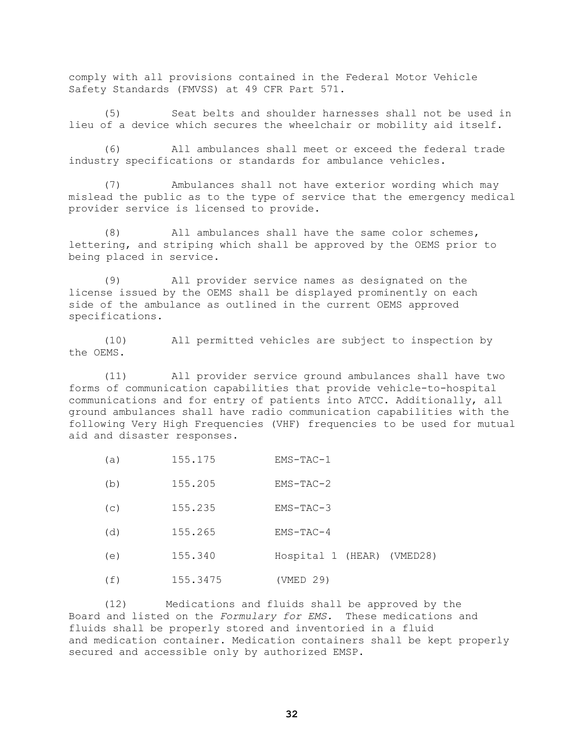comply with all provisions contained in the Federal Motor Vehicle Safety Standards (FMVSS) at 49 CFR Part 571.

(5) Seat belts and shoulder harnesses shall not be used in lieu of a device which secures the wheelchair or mobility aid itself.

(6) All ambulances shall meet or exceed the federal trade industry specifications or standards for ambulance vehicles.

(7) Ambulances shall not have exterior wording which may mislead the public as to the type of service that the emergency medical provider service is licensed to provide.

(8) All ambulances shall have the same color schemes, lettering, and striping which shall be approved by the OEMS prior to being placed in service.

(9) All provider service names as designated on the license issued by the OEMS shall be displayed prominently on each side of the ambulance as outlined in the current OEMS approved specifications.

(10) All permitted vehicles are subject to inspection by the OEMS.

(11) All provider service ground ambulances shall have two forms of communication capabilities that provide vehicle-to-hospital communications and for entry of patients into ATCC. Additionally, all ground ambulances shall have radio communication capabilities with the following Very High Frequencies (VHF) frequencies to be used for mutual aid and disaster responses.

| (a) | 155.175  | $EMS-TAC-1$                |
|-----|----------|----------------------------|
| (b) | 155.205  | $ENS-TAC-2$                |
| (C) | 155.235  | $EMS-TAC-3$                |
| (d) | 155.265  | $EMS-TAC-4$                |
| (e) | 155.340  | Hospital 1 (HEAR) (VMED28) |
| (f) | 155.3475 | (VMED 29)                  |

(12) Medications and fluids shall be approved by the Board and listed on the *Formulary for EMS.* These medications and fluids shall be properly stored and inventoried in a fluid and medication container. Medication containers shall be kept properly secured and accessible only by authorized EMSP.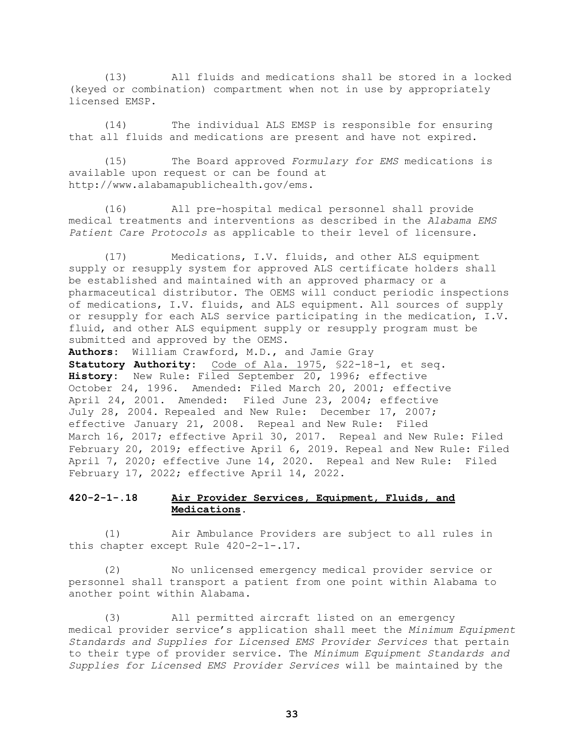(13) All fluids and medications shall be stored in a locked (keyed or combination) compartment when not in use by appropriately licensed EMSP.

(14) The individual ALS EMSP is responsible for ensuring that all fluids and medications are present and have not expired.

(15) The Board approved *Formulary for EMS* medications is available upon request or can be found at http://www.alabamapublichealth.gov/ems.

(16) All pre-hospital medical personnel shall provide medical treatments and interventions as described in the *Alabama EMS Patient Care Protocols* as applicable to their level of licensure.

(17) Medications, I.V. fluids, and other ALS equipment supply or resupply system for approved ALS certificate holders shall be established and maintained with an approved pharmacy or a pharmaceutical distributor. The OEMS will conduct periodic inspections of medications, I.V. fluids, and ALS equipment. All sources of supply or resupply for each ALS service participating in the medication, I.V. fluid, and other ALS equipment supply or resupply program must be submitted and approved by the OEMS.

**Authors:** William Crawford, M.D., and Jamie Gray **Statutory Authority:** Code of Ala. 1975, §22-18-1, et seq. **History:** New Rule: Filed September 20, 1996; effective October 24, 1996. Amended: Filed March 20, 2001; effective April 24, 2001. Amended: Filed June 23, 2004; effective July 28, 2004. Repealed and New Rule: December 17, 2007; effective January 21, 2008. Repeal and New Rule: Filed March 16, 2017; effective April 30, 2017. Repeal and New Rule: Filed February 20, 2019; effective April 6, 2019. Repeal and New Rule: Filed April 7, 2020; effective June 14, 2020. Repeal and New Rule: Filed February 17, 2022; effective April 14, 2022.

# **420-2-1-.18 Air Provider Services, Equipment, Fluids, and Medications.**

(1) Air Ambulance Providers are subject to all rules in this chapter except Rule 420-2-1-.17.

(2) No unlicensed emergency medical provider service or personnel shall transport a patient from one point within Alabama to another point within Alabama.

(3) All permitted aircraft listed on an emergency medical provider service's application shall meet the *Minimum Equipment Standards and Supplies for Licensed EMS Provider Services* that pertain to their type of provider service. The *Minimum Equipment Standards and Supplies for Licensed EMS Provider Services* will be maintained by the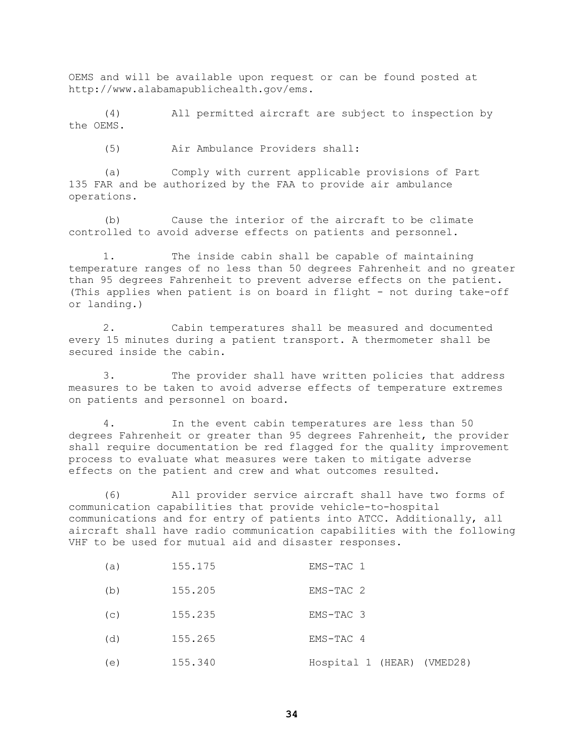OEMS and will be available upon request or can be found posted at [http://www.alabamapublichealth.gov/ems.](http://www.adph.org/ems)

(4) All permitted aircraft are subject to inspection by the OEMS.

(5) Air Ambulance Providers shall:

(a) Comply with current applicable provisions of Part 135 FAR and be authorized by the FAA to provide air ambulance operations.

(b) Cause the interior of the aircraft to be climate controlled to avoid adverse effects on patients and personnel.

1. The inside cabin shall be capable of maintaining temperature ranges of no less than 50 degrees Fahrenheit and no greater than 95 degrees Fahrenheit to prevent adverse effects on the patient. (This applies when patient is on board in flight - not during take-off or landing.)

2. Cabin temperatures shall be measured and documented every 15 minutes during a patient transport. A thermometer shall be secured inside the cabin.

3. The provider shall have written policies that address measures to be taken to avoid adverse effects of temperature extremes on patients and personnel on board.

4. In the event cabin temperatures are less than 50 degrees Fahrenheit or greater than 95 degrees Fahrenheit, the provider shall require documentation be red flagged for the quality improvement process to evaluate what measures were taken to mitigate adverse effects on the patient and crew and what outcomes resulted.

(6) All provider service aircraft shall have two forms of communication capabilities that provide vehicle-to-hospital communications and for entry of patients into ATCC. Additionally, all aircraft shall have radio communication capabilities with the following VHF to be used for mutual aid and disaster responses.

| (a) | 155.175 | EMS-TAC 1                  |
|-----|---------|----------------------------|
| (b) | 155.205 | EMS-TAC 2                  |
| (C) | 155.235 | EMS-TAC 3                  |
| (d) | 155.265 | EMS-TAC 4                  |
| (e) | 155.340 | Hospital 1 (HEAR) (VMED28) |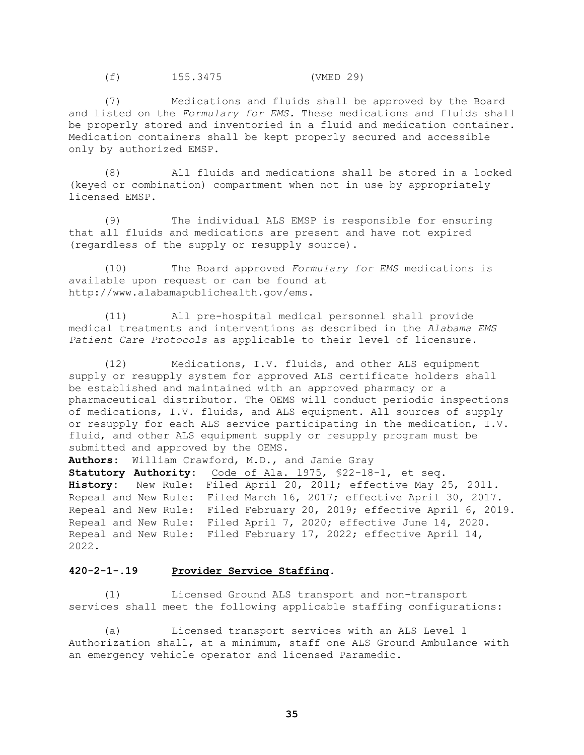(f) 155.3475 (VMED 29)

(7) Medications and fluids shall be approved by the Board and listed on the *Formulary for EMS.* These medications and fluids shall be properly stored and inventoried in a fluid and medication container. Medication containers shall be kept properly secured and accessible only by authorized EMSP.

(8) All fluids and medications shall be stored in a locked (keyed or combination) compartment when not in use by appropriately licensed EMSP.

(9) The individual ALS EMSP is responsible for ensuring that all fluids and medications are present and have not expired (regardless of the supply or resupply source).

(10) The Board approved *Formulary for EMS* medications is available upon request or can be found at http://www.alabamapublichealth.gov/ems.

(11) All pre-hospital medical personnel shall provide medical treatments and interventions as described in the *Alabama EMS Patient Care Protocols* as applicable to their level of licensure.

(12) Medications, I.V. fluids, and other ALS equipment supply or resupply system for approved ALS certificate holders shall be established and maintained with an approved pharmacy or a pharmaceutical distributor. The OEMS will conduct periodic inspections of medications, I.V. fluids, and ALS equipment. All sources of supply or resupply for each ALS service participating in the medication, I.V. fluid, and other ALS equipment supply or resupply program must be submitted and approved by the OEMS.

**Authors:** William Crawford, M.D., and Jamie Gray

**Statutory Authority:** Code of Ala. 1975, §22-18-1, et seq. **History:** New Rule: Filed April 20, 2011; effective May 25, 2011. Repeal and New Rule: Filed March 16, 2017; effective April 30, 2017. Repeal and New Rule: Filed February 20, 2019; effective April 6, 2019. Repeal and New Rule: Filed April 7, 2020; effective June 14, 2020. Repeal and New Rule: Filed February 17, 2022; effective April 14, 2022.

### **420-2-1-.19 Provider Service Staffing.**

(1) Licensed Ground ALS transport and non-transport services shall meet the following applicable staffing configurations:

(a) Licensed transport services with an ALS Level 1 Authorization shall, at a minimum, staff one ALS Ground Ambulance with an emergency vehicle operator and licensed Paramedic.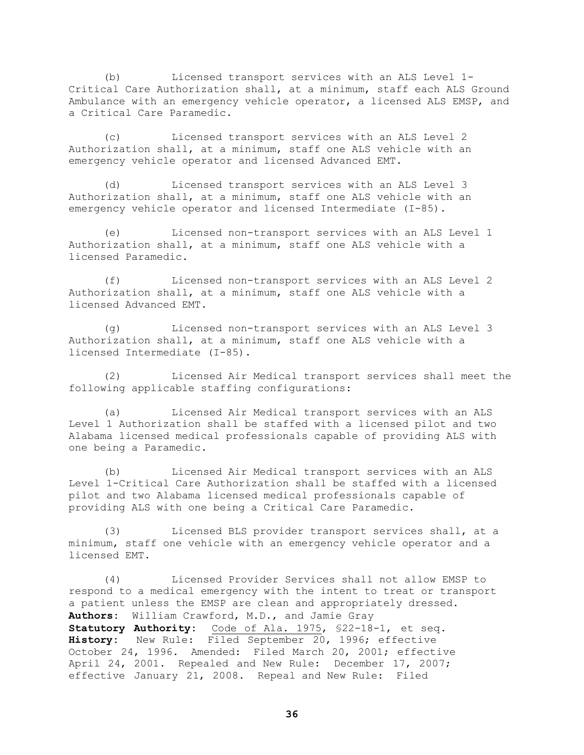Licensed transport services with an ALS Level 1-Critical Care Authorization shall, at a minimum, staff each ALS Ground Ambulance with an emergency vehicle operator, a licensed ALS EMSP, and a Critical Care Paramedic.

(c) Licensed transport services with an ALS Level 2 Authorization shall, at a minimum, staff one ALS vehicle with an emergency vehicle operator and licensed Advanced EMT.

(d) Licensed transport services with an ALS Level 3 Authorization shall, at a minimum, staff one ALS vehicle with an emergency vehicle operator and licensed Intermediate (I-85).

(e) Licensed non-transport services with an ALS Level 1 Authorization shall, at a minimum, staff one ALS vehicle with a licensed Paramedic.

(f) Licensed non-transport services with an ALS Level 2 Authorization shall, at a minimum, staff one ALS vehicle with a licensed Advanced EMT.

(g) Licensed non-transport services with an ALS Level 3 Authorization shall, at a minimum, staff one ALS vehicle with a licensed Intermediate (I-85).

(2) Licensed Air Medical transport services shall meet the following applicable staffing configurations:

(a) Licensed Air Medical transport services with an ALS Level 1 Authorization shall be staffed with a licensed pilot and two Alabama licensed medical professionals capable of providing ALS with one being a Paramedic.

(b) Licensed Air Medical transport services with an ALS Level 1-Critical Care Authorization shall be staffed with a licensed pilot and two Alabama licensed medical professionals capable of providing ALS with one being a Critical Care Paramedic.

(3) Licensed BLS provider transport services shall, at a minimum, staff one vehicle with an emergency vehicle operator and a licensed EMT.

(4) Licensed Provider Services shall not allow EMSP to respond to a medical emergency with the intent to treat or transport a patient unless the EMSP are clean and appropriately dressed. **Authors:** William Crawford, M.D., and Jamie Gray **Statutory Authority:** Code of Ala. 1975, §22-18-1, et seq. **History:** New Rule: Filed September 20, 1996; effective October 24, 1996. Amended: Filed March 20, 2001; effective April 24, 2001. Repealed and New Rule: December 17, 2007; effective January 21, 2008. Repeal and New Rule: Filed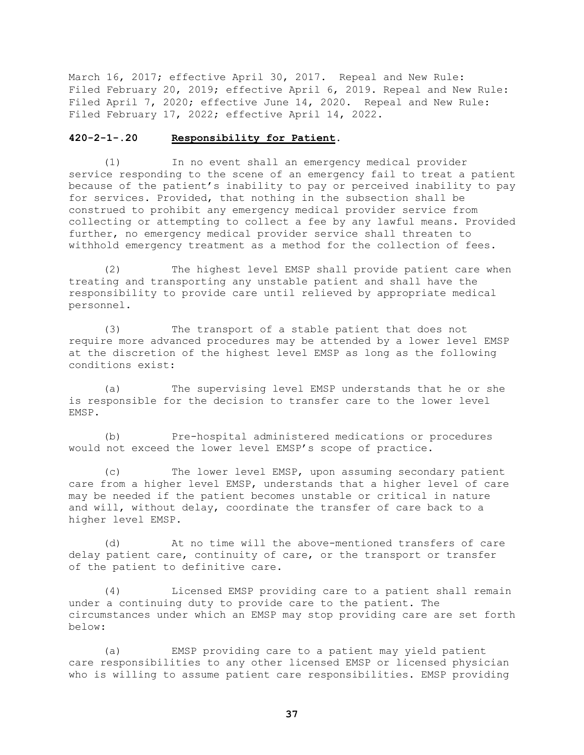March 16, 2017; effective April 30, 2017. Repeal and New Rule: Filed February 20, 2019; effective April 6, 2019. Repeal and New Rule: Filed April 7, 2020; effective June 14, 2020. Repeal and New Rule: Filed February 17, 2022; effective April 14, 2022.

#### **420-2-1-.20 Responsibility for Patient.**

(1) In no event shall an emergency medical provider service responding to the scene of an emergency fail to treat a patient because of the patient's inability to pay or perceived inability to pay for services. Provided, that nothing in the subsection shall be construed to prohibit any emergency medical provider service from collecting or attempting to collect a fee by any lawful means. Provided further, no emergency medical provider service shall threaten to withhold emergency treatment as a method for the collection of fees.

(2) The highest level EMSP shall provide patient care when treating and transporting any unstable patient and shall have the responsibility to provide care until relieved by appropriate medical personnel.

(3) The transport of a stable patient that does not require more advanced procedures may be attended by a lower level EMSP at the discretion of the highest level EMSP as long as the following conditions exist:

(a) The supervising level EMSP understands that he or she is responsible for the decision to transfer care to the lower level EMSP.

(b) Pre-hospital administered medications or procedures would not exceed the lower level EMSP's scope of practice.

(c) The lower level EMSP, upon assuming secondary patient care from a higher level EMSP, understands that a higher level of care may be needed if the patient becomes unstable or critical in nature and will, without delay, coordinate the transfer of care back to a higher level EMSP.

(d) At no time will the above-mentioned transfers of care delay patient care, continuity of care, or the transport or transfer of the patient to definitive care.

(4) Licensed EMSP providing care to a patient shall remain under a continuing duty to provide care to the patient. The circumstances under which an EMSP may stop providing care are set forth below:

(a) EMSP providing care to a patient may yield patient care responsibilities to any other licensed EMSP or licensed physician who is willing to assume patient care responsibilities. EMSP providing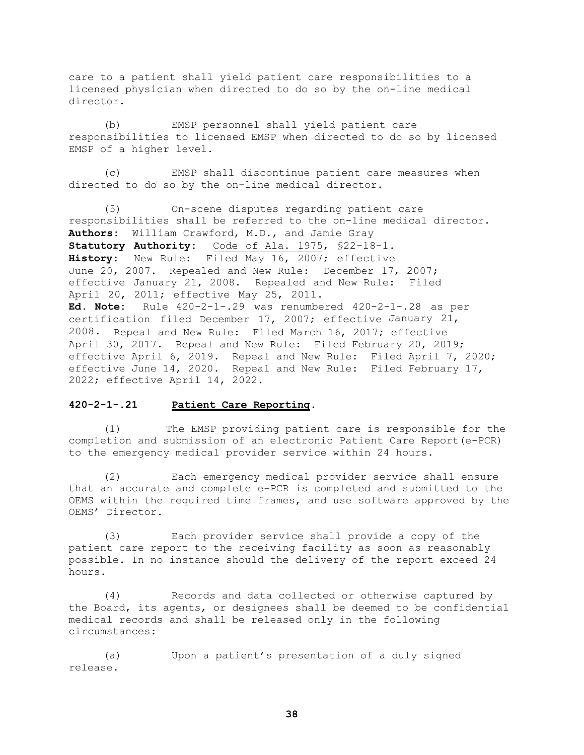care to a patient shall yield patient care responsibilities to a licensed physician when directed to do so by the on-line medical director.

(b) EMSP personnel shall yield patient care responsibilities to licensed EMSP when directed to do so by licensed EMSP of a higher level.

(c) EMSP shall discontinue patient care measures when directed to do so by the on-line medical director.

(5) On-scene disputes regarding patient care responsibilities shall be referred to the on-line medical director. **Authors:** William Crawford, M.D., and Jamie Gray **Statutory Authority:** Code of Ala. 1975, §22-18-1. **History:** New Rule: Filed May 16, 2007; effective June 20, 2007. Repealed and New Rule: December 17, 2007; effective January 21, 2008. Repealed and New Rule: Filed April 20, 2011; effective May 25, 2011. **Ed. Note:** Rule 420-2-1-.29 was renumbered 420-2-1-.28 as per certification filed December 17, 2007; effective January 21, 2008. Repeal and New Rule: Filed March 16, 2017; effective April 30, 2017. Repeal and New Rule: Filed February 20, 2019; effective April 6, 2019. Repeal and New Rule: Filed April 7, 2020; effective June 14, 2020. Repeal and New Rule: Filed February 17, 2022; effective April 14, 2022.

### **420-2-1-.21 Patient Care Reporting.**

(1) The EMSP providing patient care is responsible for the completion and submission of an electronic Patient Care Report(e-PCR) to the emergency medical provider service within 24 hours.

(2) Each emergency medical provider service shall ensure that an accurate and complete e-PCR is completed and submitted to the OEMS within the required time frames, and use software approved by the OEMS' Director.

(3) Each provider service shall provide a copy of the patient care report to the receiving facility as soon as reasonably possible. In no instance should the delivery of the report exceed 24 hours.

(4) Records and data collected or otherwise captured by the Board, its agents, or designees shall be deemed to be confidential medical records and shall be released only in the following circumstances:

(a) Upon a patient's presentation of a duly signed release.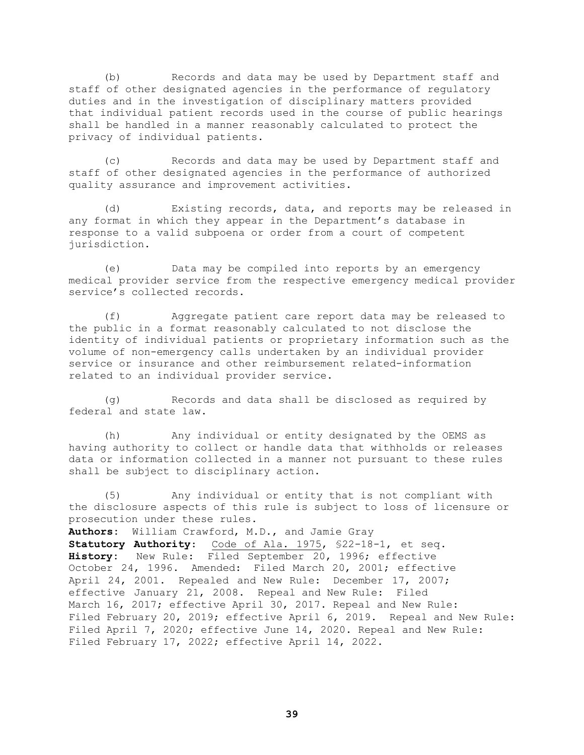(b) Records and data may be used by Department staff and staff of other designated agencies in the performance of regulatory duties and in the investigation of disciplinary matters provided that individual patient records used in the course of public hearings shall be handled in a manner reasonably calculated to protect the privacy of individual patients.

(c) Records and data may be used by Department staff and staff of other designated agencies in the performance of authorized quality assurance and improvement activities.

(d) Existing records, data, and reports may be released in any format in which they appear in the Department's database in response to a valid subpoena or order from a court of competent jurisdiction.

(e) Data may be compiled into reports by an emergency medical provider service from the respective emergency medical provider service's collected records.

(f) Aggregate patient care report data may be released to the public in a format reasonably calculated to not disclose the identity of individual patients or proprietary information such as the volume of non-emergency calls undertaken by an individual provider service or insurance and other reimbursement related-information related to an individual provider service.

(g) Records and data shall be disclosed as required by federal and state law.

(h) Any individual or entity designated by the OEMS as having authority to collect or handle data that withholds or releases data or information collected in a manner not pursuant to these rules shall be subject to disciplinary action.

(5) Any individual or entity that is not compliant with the disclosure aspects of this rule is subject to loss of licensure or prosecution under these rules.

**Authors:** William Crawford, M.D., and Jamie Gray

**Statutory Authority**: Code of Ala. 1975, §22-18-1, et seq. **History:** New Rule: Filed September 20, 1996; effective October 24, 1996. Amended: Filed March 20, 2001; effective April 24, 2001. Repealed and New Rule: December 17, 2007; effective January 21, 2008. Repeal and New Rule: Filed March 16, 2017; effective April 30, 2017. Repeal and New Rule: Filed February 20, 2019; effective April 6, 2019. Repeal and New Rule: Filed April 7, 2020; effective June 14, 2020. Repeal and New Rule: Filed February 17, 2022; effective April 14, 2022.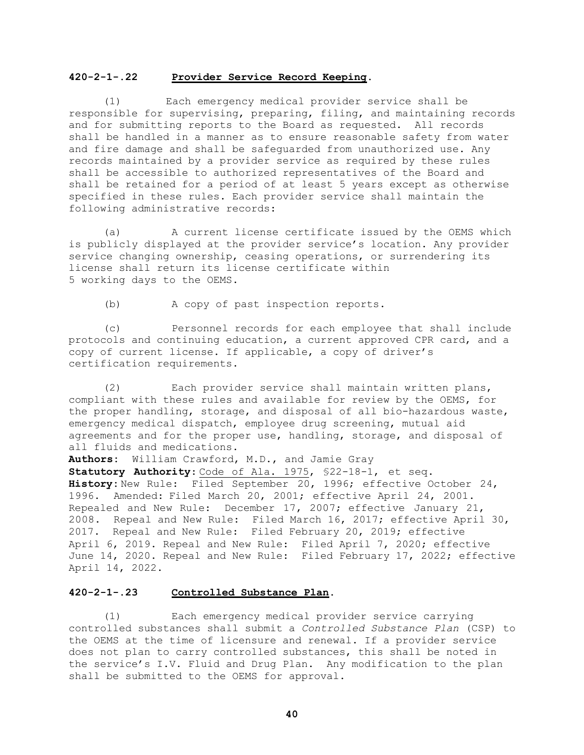#### **420-2-1-.22 Provider Service Record Keeping.**

(1) Each emergency medical provider service shall be responsible for supervising, preparing, filing, and maintaining records and for submitting reports to the Board as requested. All records shall be handled in a manner as to ensure reasonable safety from water and fire damage and shall be safeguarded from unauthorized use. Any records maintained by a provider service as required by these rules shall be accessible to authorized representatives of the Board and shall be retained for a period of at least 5 years except as otherwise specified in these rules. Each provider service shall maintain the following administrative records:

(a) A current license certificate issued by the OEMS which is publicly displayed at the provider service's location. Any provider service changing ownership, ceasing operations, or surrendering its license shall return its license certificate within 5 working days to the OEMS.

(b) A copy of past inspection reports.

(c) Personnel records for each employee that shall include protocols and continuing education, a current approved CPR card, and a copy of current license. If applicable, a copy of driver's certification requirements.

(2) Each provider service shall maintain written plans, compliant with these rules and available for review by the OEMS, for the proper handling, storage, and disposal of all bio-hazardous waste, emergency medical dispatch, employee drug screening, mutual aid agreements and for the proper use, handling, storage, and disposal of all fluids and medications.

**Authors:** William Crawford, M.D., and Jamie Gray **Statutory Authority**: Code of Ala. 1975, §22-18-1, et seq. **History:** New Rule: Filed September 20, 1996; effective October 24, 1996. Amended: Filed March 20, 2001; effective April 24, 2001. Repealed and New Rule: December 17, 2007; effective January 21, 2008. Repeal and New Rule: Filed March 16, 2017; effective April 30, 2017. Repeal and New Rule: Filed February 20, 2019; effective April 6, 2019. Repeal and New Rule: Filed April 7, 2020; effective June 14, 2020. Repeal and New Rule: Filed February 17, 2022; effective April 14, 2022.

## **420-2-1-.23 Controlled Substance Plan.**

(1) Each emergency medical provider service carrying controlled substances shall submit a *Controlled Substance Plan* (CSP) to the OEMS at the time of licensure and renewal. If a provider service does not plan to carry controlled substances, this shall be noted in the service's I.V. Fluid and Drug Plan. Any modification to the plan shall be submitted to the OEMS for approval.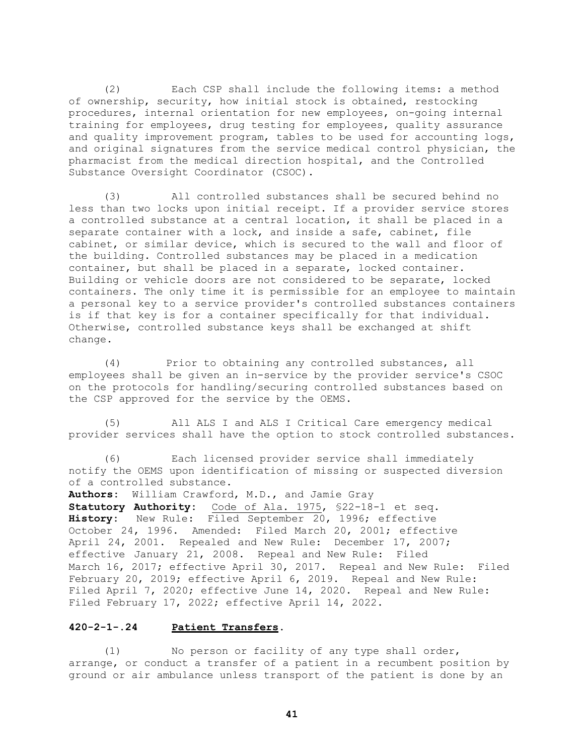(2) Each CSP shall include the following items: a method of ownership, security, how initial stock is obtained, restocking procedures, internal orientation for new employees, on-going internal training for employees, drug testing for employees, quality assurance and quality improvement program, tables to be used for accounting logs, and original signatures from the service medical control physician, the pharmacist from the medical direction hospital, and the Controlled Substance Oversight Coordinator (CSOC).

(3) All controlled substances shall be secured behind no less than two locks upon initial receipt. If a provider service stores a controlled substance at a central location, it shall be placed in a separate container with a lock, and inside a safe, cabinet, file cabinet, or similar device, which is secured to the wall and floor of the building. Controlled substances may be placed in a medication container, but shall be placed in a separate, locked container. Building or vehicle doors are not considered to be separate, locked containers. The only time it is permissible for an employee to maintain a personal key to a service provider's controlled substances containers is if that key is for a container specifically for that individual. Otherwise, controlled substance keys shall be exchanged at shift change.

(4) Prior to obtaining any controlled substances, all employees shall be given an in-service by the provider service's CSOC on the protocols for handling/securing controlled substances based on the CSP approved for the service by the OEMS.

(5) All ALS I and ALS I Critical Care emergency medical provider services shall have the option to stock controlled substances.

(6) Each licensed provider service shall immediately notify the OEMS upon identification of missing or suspected diversion of a controlled substance.

**Authors:** William Crawford, M.D., and Jamie Gray **Statutory Authority:** Code of Ala. 1975, §22-18-1 et seq. **History:** New Rule: Filed September 20, 1996; effective October 24, 1996. Amended: Filed March 20, 2001; effective April 24, 2001. Repealed and New Rule: December 17, 2007; effective January 21, 2008. Repeal and New Rule: Filed March 16, 2017; effective April 30, 2017. Repeal and New Rule: Filed February 20, 2019; effective April 6, 2019. Repeal and New Rule: Filed April 7, 2020; effective June 14, 2020. Repeal and New Rule: Filed February 17, 2022; effective April 14, 2022.

### **420-2-1-.24 Patient Transfers.**

(1) No person or facility of any type shall order, arrange, or conduct a transfer of a patient in a recumbent position by ground or air ambulance unless transport of the patient is done by an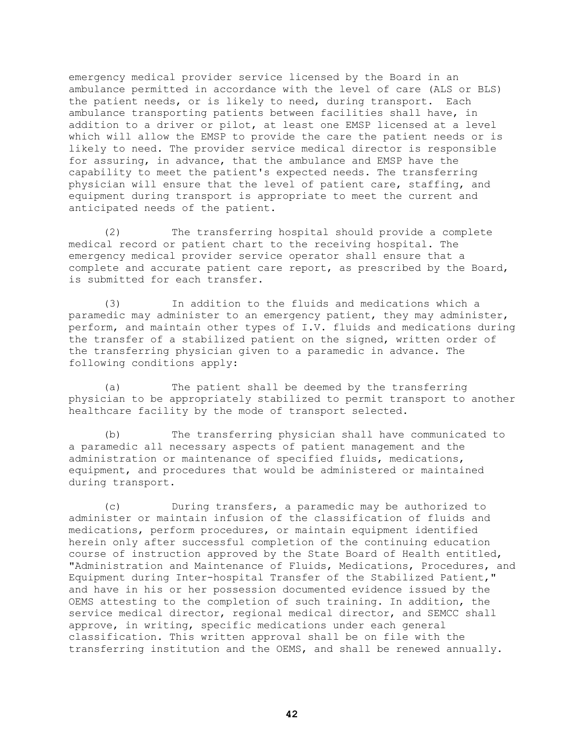emergency medical provider service licensed by the Board in an ambulance permitted in accordance with the level of care (ALS or BLS) the patient needs, or is likely to need, during transport. Each ambulance transporting patients between facilities shall have, in addition to a driver or pilot, at least one EMSP licensed at a level which will allow the EMSP to provide the care the patient needs or is likely to need. The provider service medical director is responsible for assuring, in advance, that the ambulance and EMSP have the capability to meet the patient's expected needs. The transferring physician will ensure that the level of patient care, staffing, and equipment during transport is appropriate to meet the current and anticipated needs of the patient.

(2) The transferring hospital should provide a complete medical record or patient chart to the receiving hospital. The emergency medical provider service operator shall ensure that a complete and accurate patient care report, as prescribed by the Board, is submitted for each transfer.

(3) In addition to the fluids and medications which a paramedic may administer to an emergency patient, they may administer, perform, and maintain other types of I.V. fluids and medications during the transfer of a stabilized patient on the signed, written order of the transferring physician given to a paramedic in advance. The following conditions apply:

(a) The patient shall be deemed by the transferring physician to be appropriately stabilized to permit transport to another healthcare facility by the mode of transport selected.

(b) The transferring physician shall have communicated to a paramedic all necessary aspects of patient management and the administration or maintenance of specified fluids, medications, equipment, and procedures that would be administered or maintained during transport.

(c) During transfers, a paramedic may be authorized to administer or maintain infusion of the classification of fluids and medications, perform procedures, or maintain equipment identified herein only after successful completion of the continuing education course of instruction approved by the State Board of Health entitled, "Administration and Maintenance of Fluids, Medications, Procedures, and Equipment during Inter-hospital Transfer of the Stabilized Patient," and have in his or her possession documented evidence issued by the OEMS attesting to the completion of such training. In addition, the service medical director, regional medical director, and SEMCC shall approve, in writing, specific medications under each general classification. This written approval shall be on file with the transferring institution and the OEMS, and shall be renewed annually.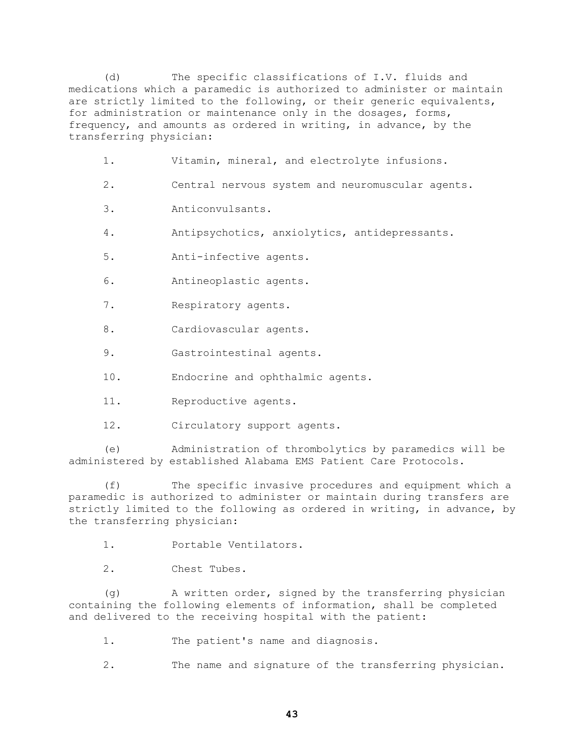(d) The specific classifications of I.V. fluids and medications which a paramedic is authorized to administer or maintain are strictly limited to the following, or their generic equivalents, for administration or maintenance only in the dosages, forms, frequency, and amounts as ordered in writing, in advance, by the transferring physician:

- 1. Vitamin, mineral, and electrolyte infusions.
- 2. Central nervous system and neuromuscular agents.
- 3. Anticonvulsants.
- 4. Antipsychotics, anxiolytics, antidepressants.
- 5. Anti-infective agents.
- 6. Antineoplastic agents.
- 7. Respiratory agents.
- 8. Cardiovascular agents.
- 9. Gastrointestinal agents.
- 10. Endocrine and ophthalmic agents.
- 11. Reproductive agents.
- 12. Circulatory support agents.

(e) Administration of thrombolytics by paramedics will be administered by established Alabama EMS Patient Care Protocols.

(f) The specific invasive procedures and equipment which a paramedic is authorized to administer or maintain during transfers are strictly limited to the following as ordered in writing, in advance, by the transferring physician:

1. Portable Ventilators.

2. Chest Tubes.

(g) A written order, signed by the transferring physician containing the following elements of information, shall be completed and delivered to the receiving hospital with the patient:

- 1. The patient's name and diagnosis.
- 2. The name and signature of the transferring physician.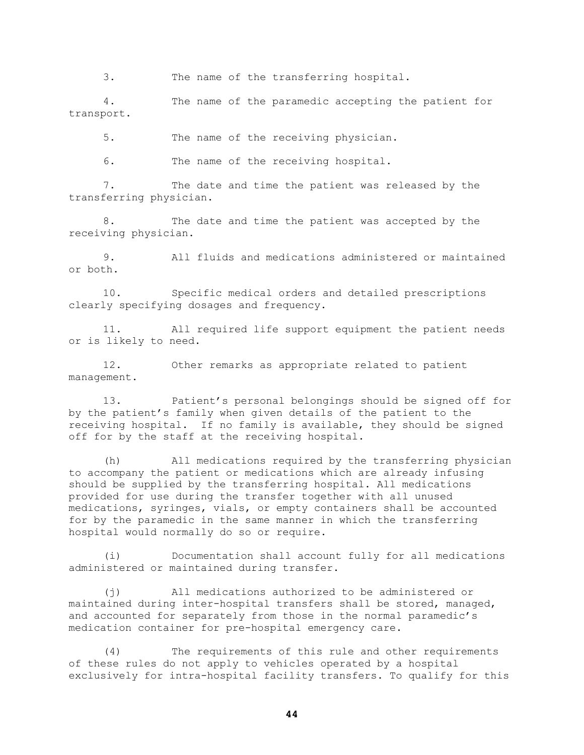3. The name of the transferring hospital.

4. The name of the paramedic accepting the patient for transport.

5. The name of the receiving physician.

6. The name of the receiving hospital.

7. The date and time the patient was released by the transferring physician.

8. The date and time the patient was accepted by the receiving physician.

9. All fluids and medications administered or maintained or both.

10. Specific medical orders and detailed prescriptions clearly specifying dosages and frequency.

11. All required life support equipment the patient needs or is likely to need.

12. Other remarks as appropriate related to patient management.

13. Patient's personal belongings should be signed off for by the patient's family when given details of the patient to the receiving hospital. If no family is available, they should be signed off for by the staff at the receiving hospital.

(h) All medications required by the transferring physician to accompany the patient or medications which are already infusing should be supplied by the transferring hospital. All medications provided for use during the transfer together with all unused medications, syringes, vials, or empty containers shall be accounted for by the paramedic in the same manner in which the transferring hospital would normally do so or require.

(i) Documentation shall account fully for all medications administered or maintained during transfer.

(j) All medications authorized to be administered or maintained during inter-hospital transfers shall be stored, managed, and accounted for separately from those in the normal paramedic's medication container for pre-hospital emergency care.

(4) The requirements of this rule and other requirements of these rules do not apply to vehicles operated by a hospital exclusively for intra-hospital facility transfers. To qualify for this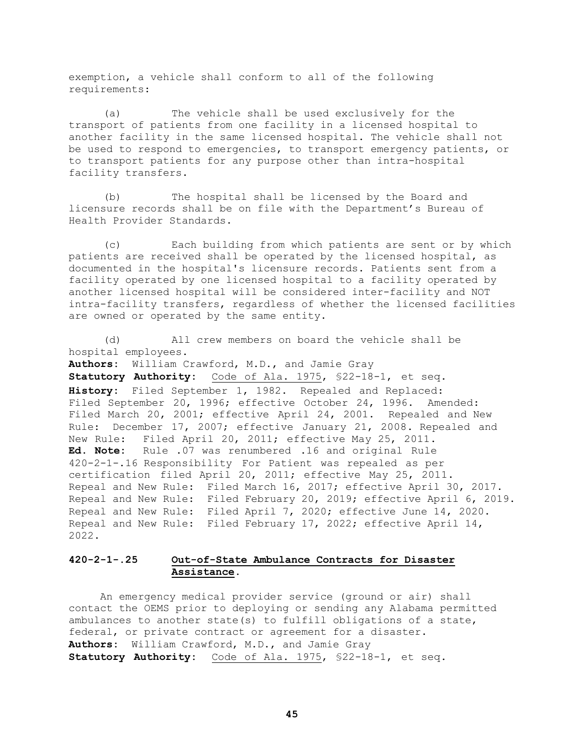exemption, a vehicle shall conform to all of the following requirements:

(a) The vehicle shall be used exclusively for the transport of patients from one facility in a licensed hospital to another facility in the same licensed hospital. The vehicle shall not be used to respond to emergencies, to transport emergency patients, or to transport patients for any purpose other than intra-hospital facility transfers.

(b) The hospital shall be licensed by the Board and licensure records shall be on file with the Department's Bureau of Health Provider Standards.

(c) Each building from which patients are sent or by which patients are received shall be operated by the licensed hospital, as documented in the hospital's licensure records. Patients sent from a facility operated by one licensed hospital to a facility operated by another licensed hospital will be considered inter-facility and NOT intra-facility transfers, regardless of whether the licensed facilities are owned or operated by the same entity.

(d) All crew members on board the vehicle shall be hospital employees. **Authors:** William Crawford, M.D., and Jamie Gray **Statutory Authority:** Code of Ala. 1975, §22-18-1, et seq. **History:** Filed September 1, 1982. Repealed and Replaced: Filed September 20, 1996; effective October 24, 1996. Amended: Filed March 20, 2001; effective April 24, 2001. Repealed and New Rule: December 17, 2007; effective January 21, 2008. Repealed and New Rule: Filed April 20, 2011; effective May 25, 2011. **Ed. Note:** Rule .07 was renumbered .16 and original Rule 420-2-1-.16 Responsibility For Patient was repealed as per certification filed April 20, 2011; effective May 25, 2011. Repeal and New Rule: Filed March 16, 2017; effective April 30, 2017. Repeal and New Rule: Filed February 20, 2019; effective April 6, 2019. Repeal and New Rule: Filed April 7, 2020; effective June 14, 2020. Repeal and New Rule: Filed February 17, 2022; effective April 14, 2022.

# **420-2-1-.25 Out-of-State Ambulance Contracts for Disaster Assistance.**

 An emergency medical provider service (ground or air) shall contact the OEMS prior to deploying or sending any Alabama permitted ambulances to another state(s) to fulfill obligations of a state, federal, or private contract or agreement for a disaster. **Authors:** William Crawford, M.D., and Jamie Gray **Statutory Authority:** Code of Ala. 1975, §22-18-1, et seq.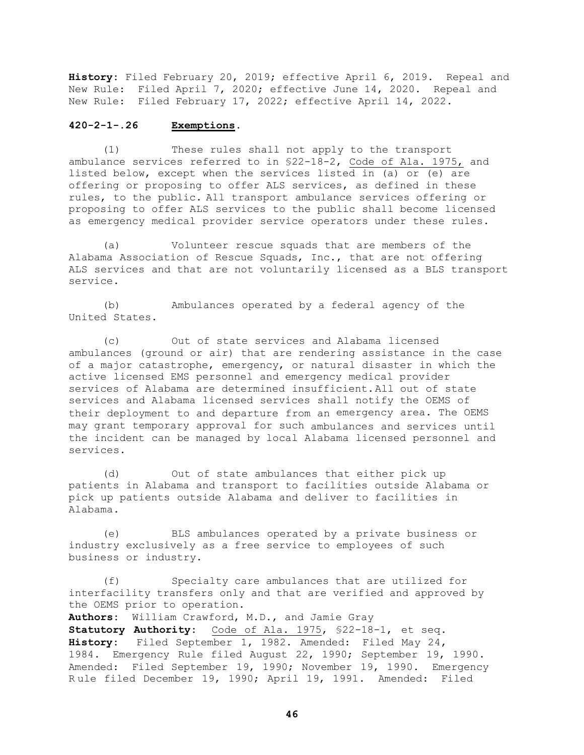**History:** Filed February 20, 2019; effective April 6, 2019. Repeal and New Rule: Filed April 7, 2020; effective June 14, 2020. Repeal and New Rule: Filed February 17, 2022; effective April 14, 2022.

# **420-2-1-.26 Exemptions.**

(1) These rules shall not apply to the transport ambulance services referred to in §22-18-2, Code of Ala. 1975, and listed below, except when the services listed in (a) or (e) are offering or proposing to offer ALS services, as defined in these rules, to the public. All transport ambulance services offering or proposing to offer ALS services to the public shall become licensed as emergency medical provider service operators under these rules.

(a) Volunteer rescue squads that are members of the Alabama Association of Rescue Squads, Inc., that are not offering ALS services and that are not voluntarily licensed as a BLS transport service.

(b) Ambulances operated by a federal agency of the United States.

(c) Out of state services and Alabama licensed ambulances (ground or air) that are rendering assistance in the case of a major catastrophe, emergency, or natural disaster in which the active licensed EMS personnel and emergency medical provider services of Alabama are determined insufficient. All out of state services and Alabama licensed services shall notify the OEMS of their deployment to and departure from an emergency area. The OEMS may grant temporary approval for such ambulances and services until the incident can be managed by local Alabama licensed personnel and services.

(d) Out of state ambulances that either pick up patients in Alabama and transport to facilities outside Alabama or pick up patients outside Alabama and deliver to facilities in Alabama.

(e) BLS ambulances operated by a private business or industry exclusively as a free service to employees of such business or industry.

(f) Specialty care ambulances that are utilized for interfacility transfers only and that are verified and approved by the OEMS prior to operation.

**Authors:** William Crawford, M.D., and Jamie Gray **Statutory Authority:** Code of Ala. 1975, §22-18-1, et seq. **History:** Filed September 1, 1982. Amended: Filed May 24, 1984. Emergency Rule filed August 22, 1990; September 19, 1990. Amended: Filed September 19, 1990; November 19, 1990. Emergency R ule filed December 19, 1990; April 19, 1991. Amended: Filed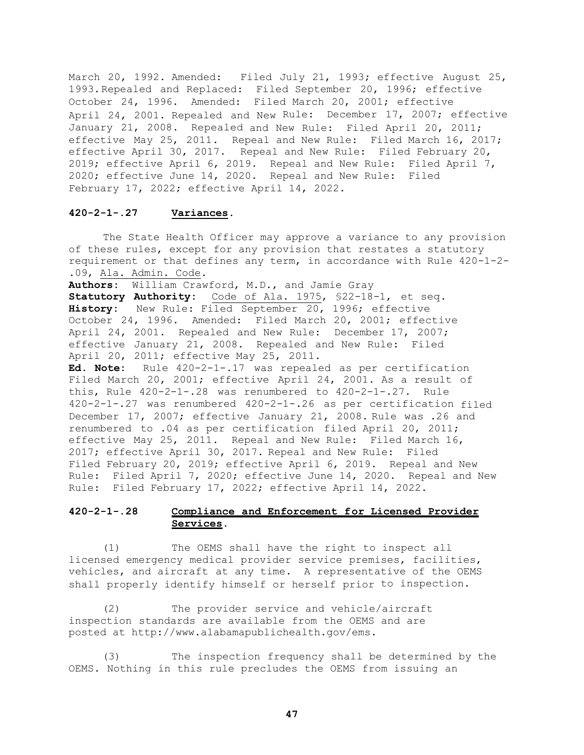March 20, 1992. Amended: Filed July 21, 1993; effective August 25, 1993.Repealed and Replaced: Filed September 20, 1996; effective October 24, 1996. Amended: Filed March 20, 2001; effective April 24, 2001. Repealed and New Rule: December 17, 2007; effective January 21, 2008. Repealed and New Rule: Filed April 20, 2011; effective May 25, 2011. Repeal and New Rule: Filed March 16, 2017; effective April 30, 2017.Repeal and New Rule: Filed February 20, 2019; effective April 6, 2019. Repeal and New Rule: Filed April 7, 2020; effective June 14, 2020. Repeal and New Rule: Filed February 17, 2022; effective April 14, 2022.

#### **420-2-1-.27 Variances.**

The State Health Officer may approve a variance to any provision of these rules, except for any provision that restates a statutory requirement or that defines any term, in accordance with Rule 420-1-2- .09, Ala. Admin. Code.

**Authors:** William Crawford, M.D., and Jamie Gray

**Statutory Authority:** Code of Ala. 1975, §22-18-1, et seq. **History:** New Rule: Filed September 20, 1996; effective October 24, 1996. Amended: Filed March 20, 2001; effective April 24, 2001. Repealed and New Rule: December 17, 2007; effective January 21, 2008. Repealed and New Rule: Filed April 20, 2011; effective May 25, 2011.

**Ed. Note:** Rule 420-2-1-.17 was repealed as per certification Filed March 20, 2001; effective April 24, 2001. As a result of this, Rule  $420-2-1-.28$  was renumbered to  $420-2-1-.27$ . Rule 420-2-1-.27 was renumbered 420-2-1-.26 as per certification filed December 17, 2007; effective January 21, 2008. Rule was .26 and renumbered to .04 as per certification filed April 20, 2011; effective May 25, 2011. Repeal and New Rule: Filed March 16, 2017; effective April 30, 2017.Repeal and New Rule: Filed Filed February 20, 2019; effective April 6, 2019. Repeal and New Rule: Filed April 7, 2020; effective June 14, 2020. Repeal and New Rule: Filed February 17, 2022; effective April 14, 2022.

# **420-2-1-.28 Compliance and Enforcement for Licensed Provider Services.**

(1) The OEMS shall have the right to inspect all licensed emergency medical provider service premises, facilities, vehicles, and aircraft at any time. A representative of the OEMS shall properly identify himself or herself prior to inspection.

(2) The provider service and vehicle/aircraft inspection standards are available from the OEMS and are posted at http://www.alabamapublichealth.gov/ems.

(3) The inspection frequency shall be determined by the OEMS. Nothing in this rule precludes the OEMS from issuing an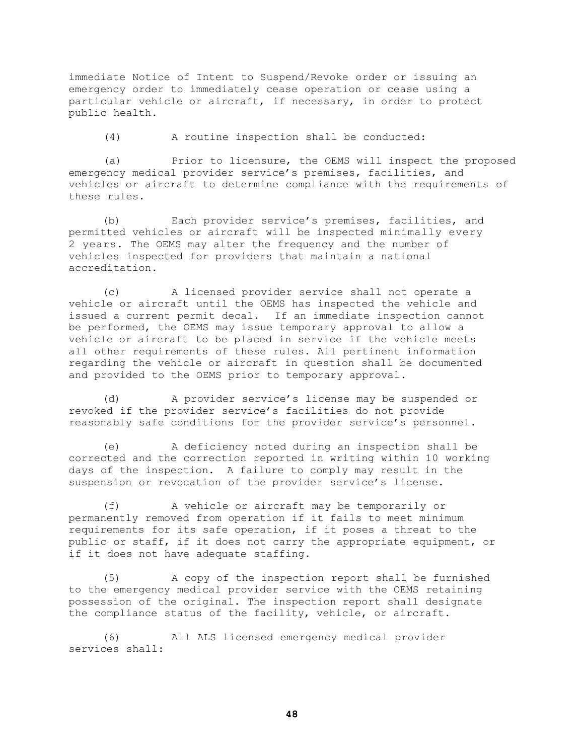immediate Notice of Intent to Suspend/Revoke order or issuing an emergency order to immediately cease operation or cease using a particular vehicle or aircraft, if necessary, in order to protect public health.

(4) A routine inspection shall be conducted:

(a) Prior to licensure, the OEMS will inspect the proposed emergency medical provider service's premises, facilities, and vehicles or aircraft to determine compliance with the requirements of these rules.

(b) Each provider service's premises, facilities, and permitted vehicles or aircraft will be inspected minimally every 2 years. The OEMS may alter the frequency and the number of vehicles inspected for providers that maintain a national accreditation.

(c) A licensed provider service shall not operate a vehicle or aircraft until the OEMS has inspected the vehicle and issued a current permit decal. If an immediate inspection cannot be performed, the OEMS may issue temporary approval to allow a vehicle or aircraft to be placed in service if the vehicle meets all other requirements of these rules. All pertinent information regarding the vehicle or aircraft in question shall be documented and provided to the OEMS prior to temporary approval.

(d) A provider service's license may be suspended or revoked if the provider service's facilities do not provide reasonably safe conditions for the provider service's personnel.

(e) A deficiency noted during an inspection shall be corrected and the correction reported in writing within 10 working days of the inspection. A failure to comply may result in the suspension or revocation of the provider service's license.

(f) A vehicle or aircraft may be temporarily or permanently removed from operation if it fails to meet minimum requirements for its safe operation, if it poses a threat to the public or staff, if it does not carry the appropriate equipment, or if it does not have adequate staffing.

(5) A copy of the inspection report shall be furnished to the emergency medical provider service with the OEMS retaining possession of the original. The inspection report shall designate the compliance status of the facility, vehicle, or aircraft.

(6) All ALS licensed emergency medical provider services shall: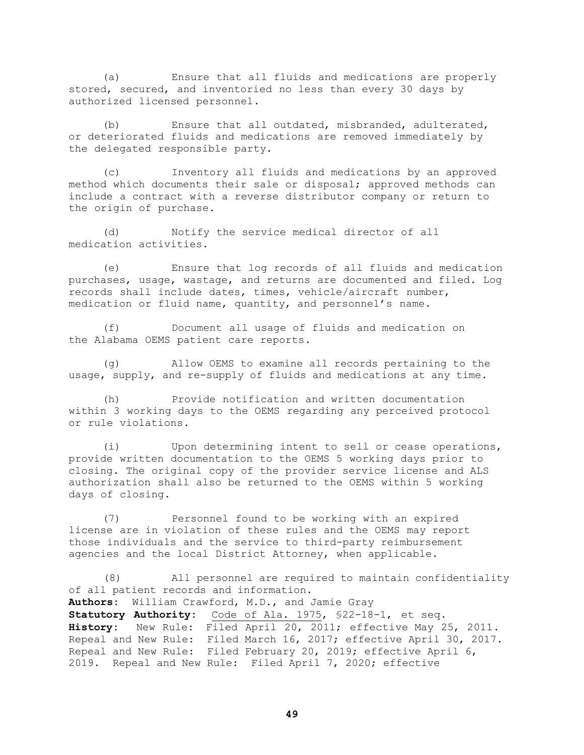(a) Ensure that all fluids and medications are properly stored, secured, and inventoried no less than every 30 days by authorized licensed personnel.

(b) Ensure that all outdated, misbranded, adulterated, or deteriorated fluids and medications are removed immediately by the delegated responsible party.

(c) Inventory all fluids and medications by an approved method which documents their sale or disposal; approved methods can include a contract with a reverse distributor company or return to the origin of purchase.

(d) Notify the service medical director of all medication activities.

(e) Ensure that log records of all fluids and medication purchases, usage, wastage, and returns are documented and filed. Log records shall include dates, times, vehicle/aircraft number, medication or fluid name, quantity, and personnel's name.

(f) Document all usage of fluids and medication on the Alabama OEMS patient care reports.

(g) Allow OEMS to examine all records pertaining to the usage, supply, and re-supply of fluids and medications at any time.

(h) Provide notification and written documentation within 3 working days to the OEMS regarding any perceived protocol or rule violations.

(i) Upon determining intent to sell or cease operations, provide written documentation to the OEMS 5 working days prior to closing. The original copy of the provider service license and ALS authorization shall also be returned to the OEMS within 5 working days of closing.

(7) Personnel found to be working with an expired license are in violation of these rules and the OEMS may report those individuals and the service to third-party reimbursement agencies and the local District Attorney, when applicable.

(8) All personnel are required to maintain confidentiality of all patient records and information. **Authors:** William Crawford, M.D., and Jamie Gray **Statutory Authority:** Code of Ala. 1975, §22-18-1, et seq. **History:** New Rule: Filed April 20, 2011; effective May 25, 2011. Repeal and New Rule: Filed March 16, 2017; effective April 30, 2017. Repeal and New Rule: Filed February 20, 2019; effective April 6, 2019. Repeal and New Rule: Filed April 7, 2020; effective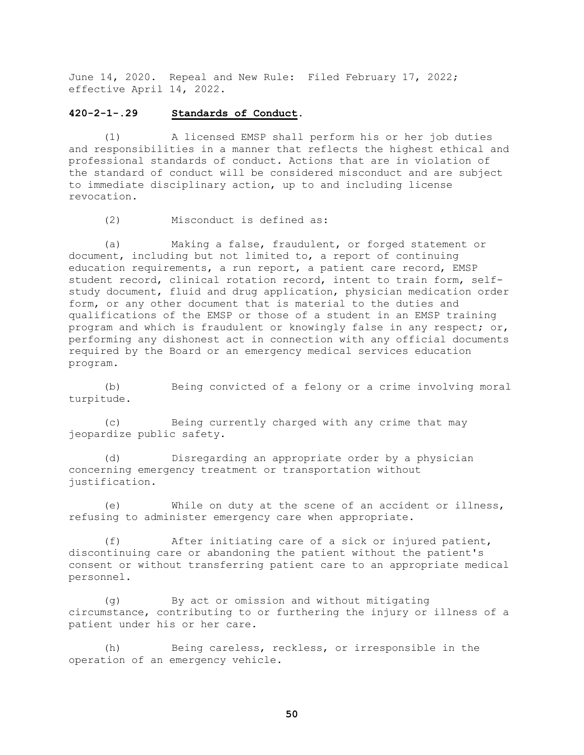June 14, 2020. Repeal and New Rule: Filed February 17, 2022; effective April 14, 2022.

### **420-2-1-.29 Standards of Conduct.**

(1) A licensed EMSP shall perform his or her job duties and responsibilities in a manner that reflects the highest ethical and professional standards of conduct. Actions that are in violation of the standard of conduct will be considered misconduct and are subject to immediate disciplinary action, up to and including license revocation.

(2) Misconduct is defined as:

(a) Making a false, fraudulent, or forged statement or document, including but not limited to, a report of continuing education requirements, a run report, a patient care record, EMSP student record, clinical rotation record, intent to train form, selfstudy document, fluid and drug application, physician medication order form, or any other document that is material to the duties and qualifications of the EMSP or those of a student in an EMSP training program and which is fraudulent or knowingly false in any respect; or, performing any dishonest act in connection with any official documents required by the Board or an emergency medical services education program.

 (b) Being convicted of a felony or a crime involving moral turpitude.

(c) Being currently charged with any crime that may jeopardize public safety.

 (d) Disregarding an appropriate order by a physician concerning emergency treatment or transportation without justification.

 (e) While on duty at the scene of an accident or illness, refusing to administer emergency care when appropriate.

 (f) After initiating care of a sick or injured patient, discontinuing care or abandoning the patient without the patient's consent or without transferring patient care to an appropriate medical personnel.

 (g) By act or omission and without mitigating circumstance, contributing to or furthering the injury or illness of a patient under his or her care.

 (h) Being careless, reckless, or irresponsible in the operation of an emergency vehicle.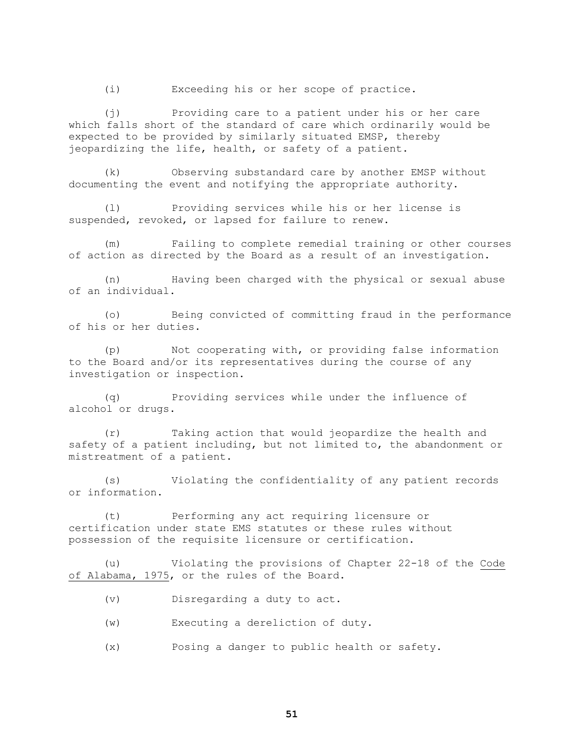(i) Exceeding his or her scope of practice.

(j) Providing care to a patient under his or her care which falls short of the standard of care which ordinarily would be expected to be provided by similarly situated EMSP, thereby jeopardizing the life, health, or safety of a patient.

 (k) Observing substandard care by another EMSP without documenting the event and notifying the appropriate authority.

(l) Providing services while his or her license is suspended, revoked, or lapsed for failure to renew.

 (m) Failing to complete remedial training or other courses of action as directed by the Board as a result of an investigation.

(n) Having been charged with the physical or sexual abuse of an individual.

(o) Being convicted of committing fraud in the performance of his or her duties.

(p) Not cooperating with, or providing false information to the Board and/or its representatives during the course of any investigation or inspection.

(q) Providing services while under the influence of alcohol or drugs.

(r) Taking action that would jeopardize the health and safety of a patient including, but not limited to, the abandonment or mistreatment of a patient.

(s) Violating the confidentiality of any patient records or information.

(t) Performing any act requiring licensure or certification under state EMS statutes or these rules without possession of the requisite licensure or certification.

(u) Violating the provisions of Chapter 22-18 of the Code of Alabama, 1975, or the rules of the Board.

- (v) Disregarding a duty to act.
- (w) Executing a dereliction of duty.
- (x) Posing a danger to public health or safety.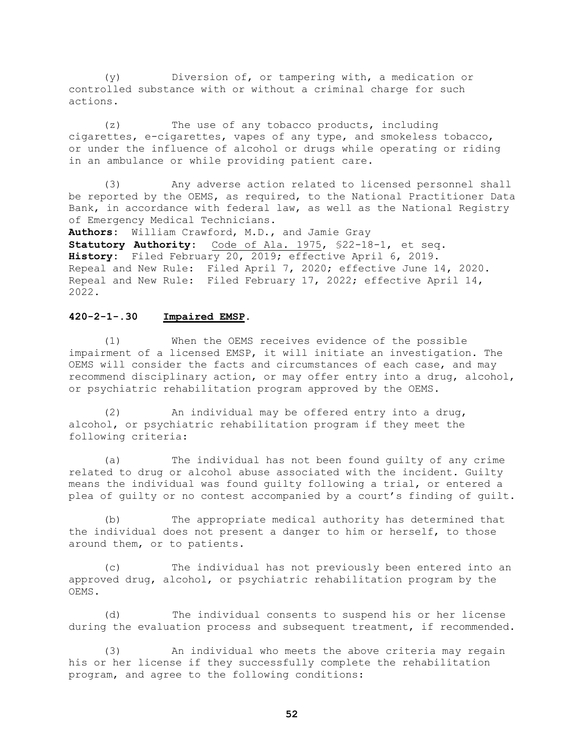(y) Diversion of, or tampering with, a medication or controlled substance with or without a criminal charge for such actions.

(z) The use of any tobacco products, including cigarettes, e-cigarettes, vapes of any type, and smokeless tobacco, or under the influence of alcohol or drugs while operating or riding in an ambulance or while providing patient care.

(3) Any adverse action related to licensed personnel shall be reported by the OEMS, as required, to the National Practitioner Data Bank, in accordance with federal law, as well as the National Registry of Emergency Medical Technicians.

**Authors:** William Crawford, M.D., and Jamie Gray **Statutory Authority:** Code of Ala. 1975, §22-18-1, et seq. **History:** Filed February 20, 2019; effective April 6, 2019. Repeal and New Rule: Filed April 7, 2020; effective June 14, 2020. Repeal and New Rule: Filed February 17, 2022; effective April 14, 2022.

### **420-2-1-.30 Impaired EMSP.**

(1) When the OEMS receives evidence of the possible impairment of a licensed EMSP, it will initiate an investigation. The OEMS will consider the facts and circumstances of each case, and may recommend disciplinary action, or may offer entry into a drug, alcohol, or psychiatric rehabilitation program approved by the OEMS.

(2) An individual may be offered entry into a drug, alcohol, or psychiatric rehabilitation program if they meet the following criteria:

(a) The individual has not been found guilty of any crime related to drug or alcohol abuse associated with the incident. Guilty means the individual was found guilty following a trial, or entered a plea of guilty or no contest accompanied by a court's finding of guilt.

(b) The appropriate medical authority has determined that the individual does not present a danger to him or herself, to those around them, or to patients.

(c) The individual has not previously been entered into an approved drug, alcohol, or psychiatric rehabilitation program by the OEMS.

(d) The individual consents to suspend his or her license during the evaluation process and subsequent treatment, if recommended.

(3) An individual who meets the above criteria may regain his or her license if they successfully complete the rehabilitation program, and agree to the following conditions: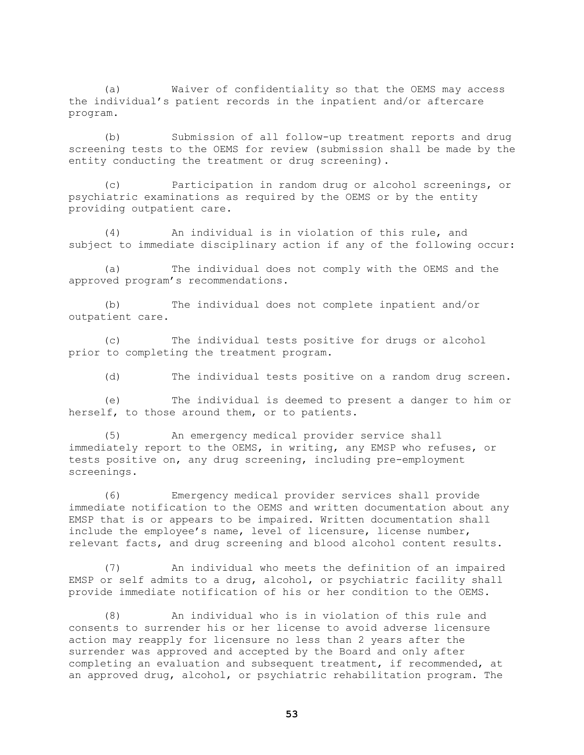(a) Waiver of confidentiality so that the OEMS may access the individual's patient records in the inpatient and/or aftercare program.

(b) Submission of all follow-up treatment reports and drug screening tests to the OEMS for review (submission shall be made by the entity conducting the treatment or drug screening).

(c) Participation in random drug or alcohol screenings, or psychiatric examinations as required by the OEMS or by the entity providing outpatient care.

(4) An individual is in violation of this rule, and subject to immediate disciplinary action if any of the following occur:

(a) The individual does not comply with the OEMS and the approved program's recommendations.

(b) The individual does not complete inpatient and/or outpatient care.

(c) The individual tests positive for drugs or alcohol prior to completing the treatment program.

(d) The individual tests positive on a random drug screen.

(e) The individual is deemed to present a danger to him or herself, to those around them, or to patients.

(5) An emergency medical provider service shall immediately report to the OEMS, in writing, any EMSP who refuses, or tests positive on, any drug screening, including pre-employment screenings.

(6) Emergency medical provider services shall provide immediate notification to the OEMS and written documentation about any EMSP that is or appears to be impaired. Written documentation shall include the employee's name, level of licensure, license number, relevant facts, and drug screening and blood alcohol content results.

(7) An individual who meets the definition of an impaired EMSP or self admits to a drug, alcohol, or psychiatric facility shall provide immediate notification of his or her condition to the OEMS.

(8) An individual who is in violation of this rule and consents to surrender his or her license to avoid adverse licensure action may reapply for licensure no less than 2 years after the surrender was approved and accepted by the Board and only after completing an evaluation and subsequent treatment, if recommended, at an approved drug, alcohol, or psychiatric rehabilitation program. The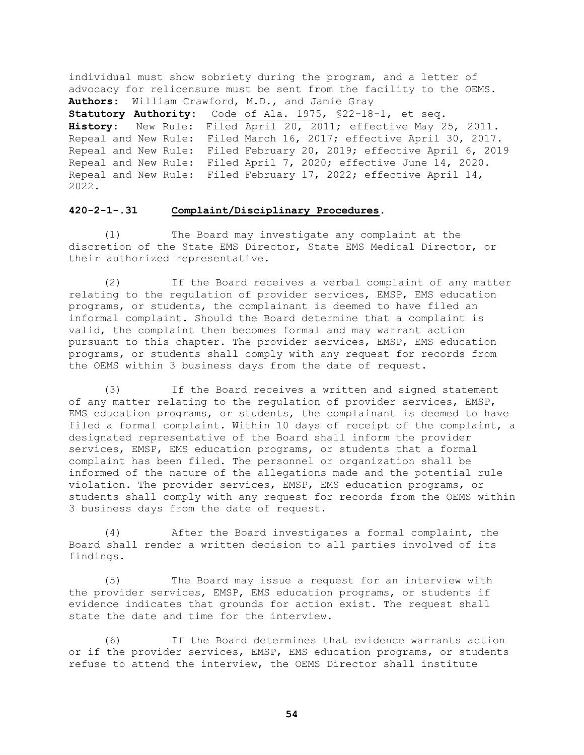individual must show sobriety during the program, and a letter of advocacy for relicensure must be sent from the facility to the OEMS. **Authors:** William Crawford, M.D., and Jamie Gray **Statutory Authority:** Code of Ala. 1975, §22-18-1, et seq. **History:** New Rule: Filed April 20, 2011; effective May 25, 2011. Repeal and New Rule: Filed March 16, 2017; effective April 30, 2017. Repeal and New Rule: Filed February 20, 2019; effective April 6, 2019 Repeal and New Rule: Filed April 7, 2020; effective June 14, 2020. Repeal and New Rule: Filed February 17, 2022; effective April 14, 2022.

#### **420-2-1-.31 Complaint/Disciplinary Procedures.**

(1) The Board may investigate any complaint at the discretion of the State EMS Director, State EMS Medical Director, or their authorized representative.

(2) If the Board receives a verbal complaint of any matter relating to the regulation of provider services, EMSP, EMS education programs, or students, the complainant is deemed to have filed an informal complaint. Should the Board determine that a complaint is valid, the complaint then becomes formal and may warrant action pursuant to this chapter. The provider services, EMSP, EMS education programs, or students shall comply with any request for records from the OEMS within 3 business days from the date of request.

(3) If the Board receives a written and signed statement of any matter relating to the regulation of provider services, EMSP, EMS education programs, or students, the complainant is deemed to have filed a formal complaint. Within 10 days of receipt of the complaint, a designated representative of the Board shall inform the provider services, EMSP, EMS education programs, or students that a formal complaint has been filed. The personnel or organization shall be informed of the nature of the allegations made and the potential rule violation. The provider services, EMSP, EMS education programs, or students shall comply with any request for records from the OEMS within 3 business days from the date of request.

(4) After the Board investigates a formal complaint, the Board shall render a written decision to all parties involved of its findings.

(5) The Board may issue a request for an interview with the provider services, EMSP, EMS education programs, or students if evidence indicates that grounds for action exist. The request shall state the date and time for the interview.

(6) If the Board determines that evidence warrants action or if the provider services, EMSP, EMS education programs, or students refuse to attend the interview, the OEMS Director shall institute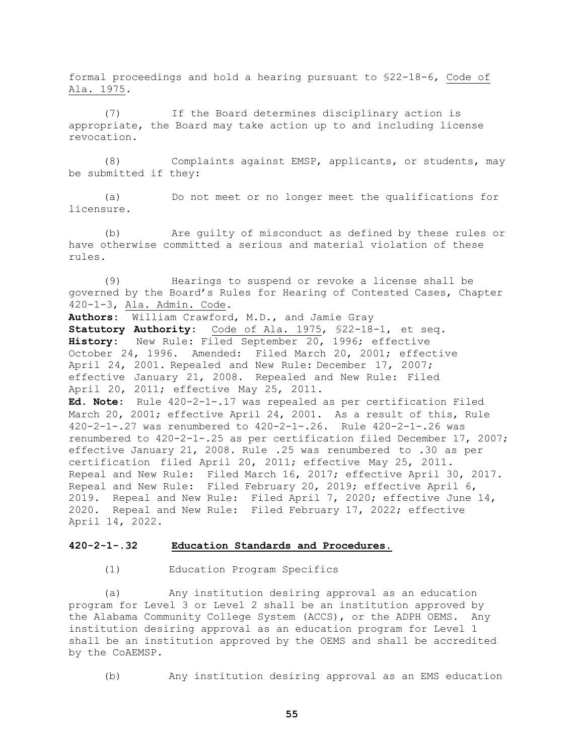formal proceedings and hold a hearing pursuant to §22-18-6, Code of Ala. 1975.

(7) If the Board determines disciplinary action is appropriate, the Board may take action up to and including license revocation.

(8) Complaints against EMSP, applicants, or students, may be submitted if they:

(a) Do not meet or no longer meet the qualifications for licensure.

(b) Are guilty of misconduct as defined by these rules or have otherwise committed a serious and material violation of these rules.

(9) Hearings to suspend or revoke a license shall be governed by the Board's Rules for Hearing of Contested Cases, Chapter 420-1-3, Ala. Admin. Code.

**Authors:** William Crawford, M.D., and Jamie Gray

**Statutory Authority:** Code of Ala. 1975, §22-18-1, et seq. **History:** New Rule: Filed September 20, 1996; effective October 24, 1996. Amended: Filed March 20, 2001; effective April 24, 2001. Repealed and New Rule: December 17, 2007; effective January 21, 2008. Repealed and New Rule: Filed April 20, 2011; effective May 25, 2011.

**Ed. Note:** Rule 420-2-1-.17 was repealed as per certification Filed March 20, 2001; effective April 24, 2001. As a result of this, Rule 420-2-1-.27 was renumbered to 420-2-1-.26. Rule 420-2-1-.26 was renumbered to 420-2-1-.25 as per certification filed December 17, 2007; effective January 21, 2008. Rule .25 was renumbered to .30 as per certification filed April 20, 2011; effective May 25, 2011. Repeal and New Rule: Filed March 16, 2017; effective April 30, 2017. Repeal and New Rule: Filed February 20, 2019; effective April 6, 2019. Repeal and New Rule: Filed April 7, 2020; effective June 14, 2020. Repeal and New Rule: Filed February 17, 2022; effective April 14, 2022.

# **420-2-1-.32 Education Standards and Procedures.**

(1) Education Program Specifics

(a) Any institution desiring approval as an education program for Level 3 or Level 2 shall be an institution approved by the Alabama Community College System (ACCS), or the ADPH OEMS. Any institution desiring approval as an education program for Level 1 shall be an institution approved by the OEMS and shall be accredited by the CoAEMSP.

(b) Any institution desiring approval as an EMS education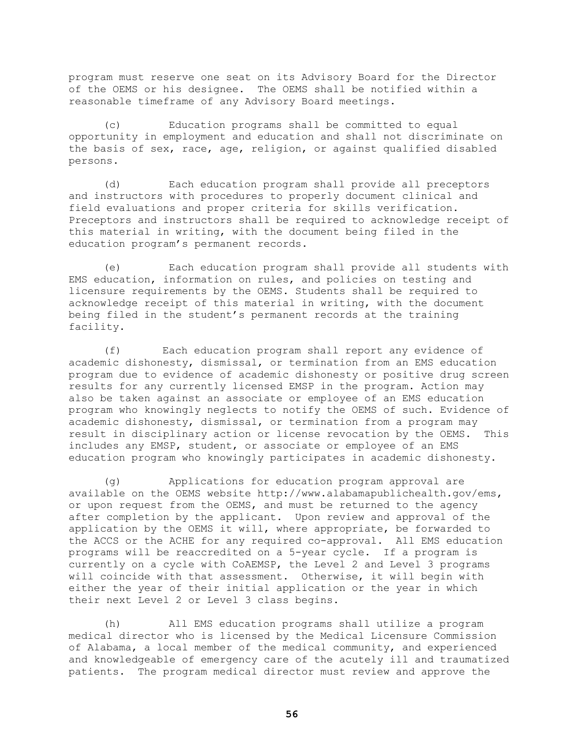program must reserve one seat on its Advisory Board for the Director of the OEMS or his designee. The OEMS shall be notified within a reasonable timeframe of any Advisory Board meetings.

(c) Education programs shall be committed to equal opportunity in employment and education and shall not discriminate on the basis of sex, race, age, religion, or against qualified disabled persons.

(d) Each education program shall provide all preceptors and instructors with procedures to properly document clinical and field evaluations and proper criteria for skills verification. Preceptors and instructors shall be required to acknowledge receipt of this material in writing, with the document being filed in the education program's permanent records.

(e) Each education program shall provide all students with EMS education, information on rules, and policies on testing and licensure requirements by the OEMS. Students shall be required to acknowledge receipt of this material in writing, with the document being filed in the student's permanent records at the training facility.

(f) Each education program shall report any evidence of academic dishonesty, dismissal, or termination from an EMS education program due to evidence of academic dishonesty or positive drug screen results for any currently licensed EMSP in the program. Action may also be taken against an associate or employee of an EMS education program who knowingly neglects to notify the OEMS of such. Evidence of academic dishonesty, dismissal, or termination from a program may result in disciplinary action or license revocation by the OEMS. This includes any EMSP, student, or associate or employee of an EMS education program who knowingly participates in academic dishonesty.

(g) Applications for education program approval are available on the OEMS website http://www.alabamapublichealth.gov/ems, or upon request from the OEMS, and must be returned to the agency after completion by the applicant. Upon review and approval of the application by the OEMS it will, where appropriate, be forwarded to the ACCS or the ACHE for any required co-approval. All EMS education programs will be reaccredited on a 5-year cycle. If a program is currently on a cycle with CoAEMSP, the Level 2 and Level 3 programs will coincide with that assessment. Otherwise, it will begin with either the year of their initial application or the year in which their next Level 2 or Level 3 class begins.

(h) All EMS education programs shall utilize a program medical director who is licensed by the Medical Licensure Commission of Alabama, a local member of the medical community, and experienced and knowledgeable of emergency care of the acutely ill and traumatized patients. The program medical director must review and approve the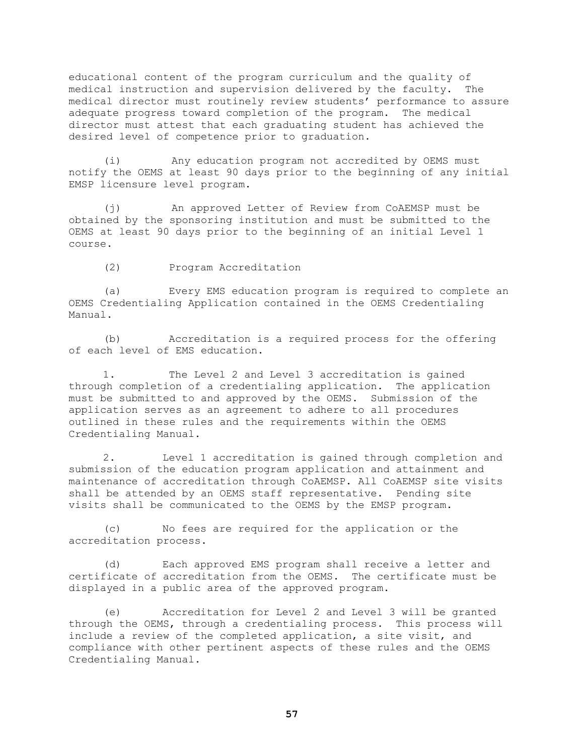educational content of the program curriculum and the quality of medical instruction and supervision delivered by the faculty. The medical director must routinely review students' performance to assure adequate progress toward completion of the program. The medical director must attest that each graduating student has achieved the desired level of competence prior to graduation.

(i) Any education program not accredited by OEMS must notify the OEMS at least 90 days prior to the beginning of any initial EMSP licensure level program.

(j) An approved Letter of Review from CoAEMSP must be obtained by the sponsoring institution and must be submitted to the OEMS at least 90 days prior to the beginning of an initial Level 1 course.

(2) Program Accreditation

(a) Every EMS education program is required to complete an OEMS Credentialing Application contained in the OEMS Credentialing Manual.

(b) Accreditation is a required process for the offering of each level of EMS education.

1. The Level 2 and Level 3 accreditation is gained through completion of a credentialing application. The application must be submitted to and approved by the OEMS. Submission of the application serves as an agreement to adhere to all procedures outlined in these rules and the requirements within the OEMS Credentialing Manual.

2. Level 1 accreditation is gained through completion and submission of the education program application and attainment and maintenance of accreditation through CoAEMSP. All CoAEMSP site visits shall be attended by an OEMS staff representative. Pending site visits shall be communicated to the OEMS by the EMSP program.

(c) No fees are required for the application or the accreditation process.

(d) Each approved EMS program shall receive a letter and certificate of accreditation from the OEMS. The certificate must be displayed in a public area of the approved program.

(e) Accreditation for Level 2 and Level 3 will be granted through the OEMS, through a credentialing process. This process will include a review of the completed application, a site visit, and compliance with other pertinent aspects of these rules and the OEMS Credentialing Manual.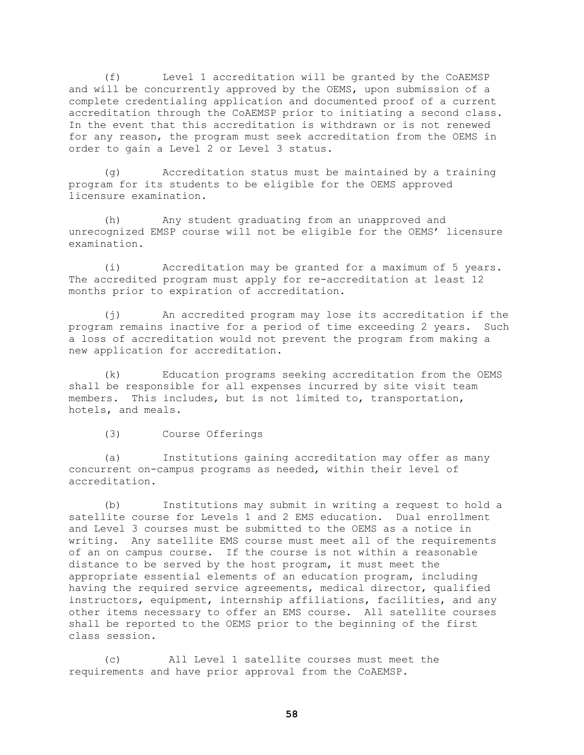(f) Level 1 accreditation will be granted by the CoAEMSP and will be concurrently approved by the OEMS, upon submission of a complete credentialing application and documented proof of a current accreditation through the CoAEMSP prior to initiating a second class. In the event that this accreditation is withdrawn or is not renewed for any reason, the program must seek accreditation from the OEMS in order to gain a Level 2 or Level 3 status.

(g) Accreditation status must be maintained by a training program for its students to be eligible for the OEMS approved licensure examination.

(h) Any student graduating from an unapproved and unrecognized EMSP course will not be eligible for the OEMS' licensure examination.

(i) Accreditation may be granted for a maximum of 5 years. The accredited program must apply for re-accreditation at least 12 months prior to expiration of accreditation.

(j) An accredited program may lose its accreditation if the program remains inactive for a period of time exceeding 2 years. Such a loss of accreditation would not prevent the program from making a new application for accreditation.

(k) Education programs seeking accreditation from the OEMS shall be responsible for all expenses incurred by site visit team members. This includes, but is not limited to, transportation, hotels, and meals.

(3) Course Offerings

(a) Institutions gaining accreditation may offer as many concurrent on-campus programs as needed, within their level of accreditation.

(b) Institutions may submit in writing a request to hold a satellite course for Levels 1 and 2 EMS education. Dual enrollment and Level 3 courses must be submitted to the OEMS as a notice in writing. Any satellite EMS course must meet all of the requirements of an on campus course. If the course is not within a reasonable distance to be served by the host program, it must meet the appropriate essential elements of an education program, including having the required service agreements, medical director, qualified instructors, equipment, internship affiliations, facilities, and any other items necessary to offer an EMS course. All satellite courses shall be reported to the OEMS prior to the beginning of the first class session.

(c) All Level 1 satellite courses must meet the requirements and have prior approval from the CoAEMSP.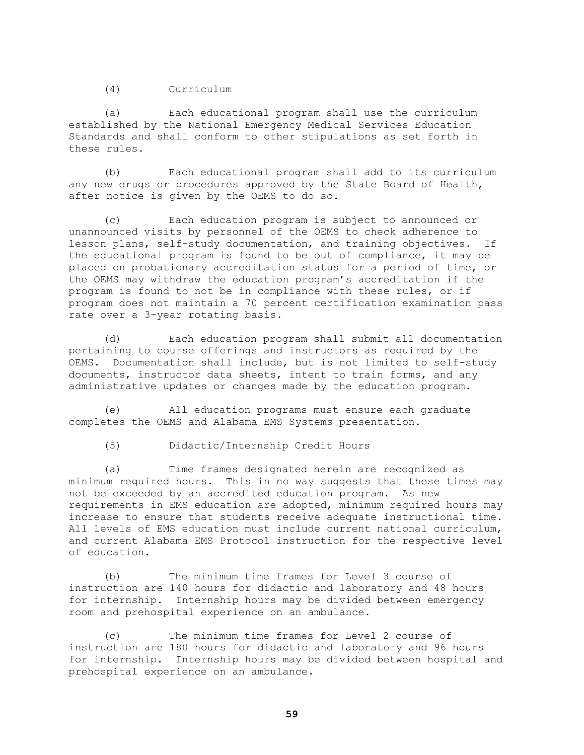(4) Curriculum

(a) Each educational program shall use the curriculum established by the National Emergency Medical Services Education Standards and shall conform to other stipulations as set forth in these rules.

(b) Each educational program shall add to its curriculum any new drugs or procedures approved by the State Board of Health, after notice is given by the OEMS to do so.

(c) Each education program is subject to announced or unannounced visits by personnel of the OEMS to check adherence to lesson plans, self-study documentation, and training objectives. If the educational program is found to be out of compliance, it may be placed on probationary accreditation status for a period of time, or the OEMS may withdraw the education program's accreditation if the program is found to not be in compliance with these rules, or if program does not maintain a 70 percent certification examination pass rate over a 3-year rotating basis.

(d) Each education program shall submit all documentation pertaining to course offerings and instructors as required by the OEMS. Documentation shall include, but is not limited to self-study documents, instructor data sheets, intent to train forms, and any administrative updates or changes made by the education program.

(e) All education programs must ensure each graduate completes the OEMS and Alabama EMS Systems presentation.

(5) Didactic/Internship Credit Hours

(a) Time frames designated herein are recognized as minimum required hours. This in no way suggests that these times may not be exceeded by an accredited education program. As new requirements in EMS education are adopted, minimum required hours may increase to ensure that students receive adequate instructional time. All levels of EMS education must include current national curriculum, and current Alabama EMS Protocol instruction for the respective level of education.

(b) The minimum time frames for Level 3 course of instruction are 140 hours for didactic and laboratory and 48 hours for internship. Internship hours may be divided between emergency room and prehospital experience on an ambulance.

(c) The minimum time frames for Level 2 course of instruction are 180 hours for didactic and laboratory and 96 hours for internship. Internship hours may be divided between hospital and prehospital experience on an ambulance.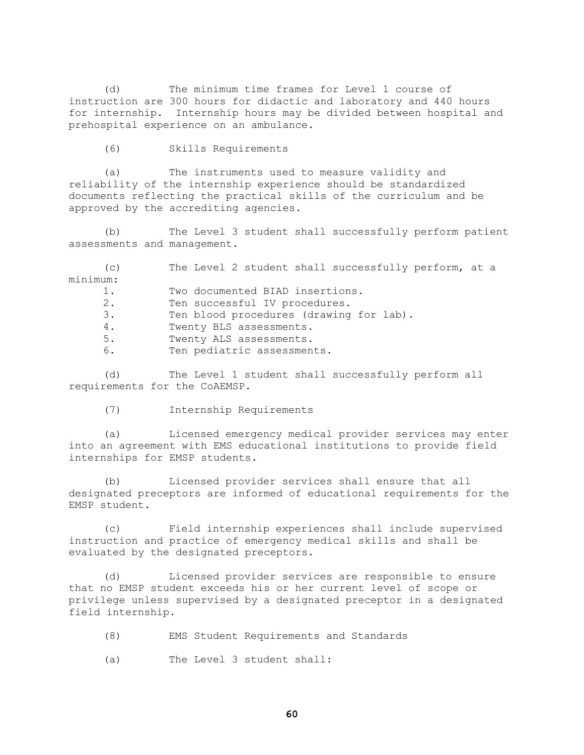(d) The minimum time frames for Level 1 course of instruction are 300 hours for didactic and laboratory and 440 hours for internship. Internship hours may be divided between hospital and prehospital experience on an ambulance.

(6) Skills Requirements

(a) The instruments used to measure validity and reliability of the internship experience should be standardized documents reflecting the practical skills of the curriculum and be approved by the accrediting agencies.

(b) The Level 3 student shall successfully perform patient assessments and management.

(c) The Level 2 student shall successfully perform, at a minimum: 1. Two documented BIAD insertions. 2. Ten successful IV procedures. 3. Ten blood procedures (drawing for lab). 4. Twenty BLS assessments. 5. Twenty ALS assessments. 6. Ten pediatric assessments.

(d) The Level 1 student shall successfully perform all requirements for the CoAEMSP.

(7) Internship Requirements

(a) Licensed emergency medical provider services may enter into an agreement with EMS educational institutions to provide field internships for EMSP students.

(b) Licensed provider services shall ensure that all designated preceptors are informed of educational requirements for the EMSP student.

(c) Field internship experiences shall include supervised instruction and practice of emergency medical skills and shall be evaluated by the designated preceptors.

(d) Licensed provider services are responsible to ensure that no EMSP student exceeds his or her current level of scope or privilege unless supervised by a designated preceptor in a designated field internship.

- (8) EMS Student Requirements and Standards
- (a) The Level 3 student shall: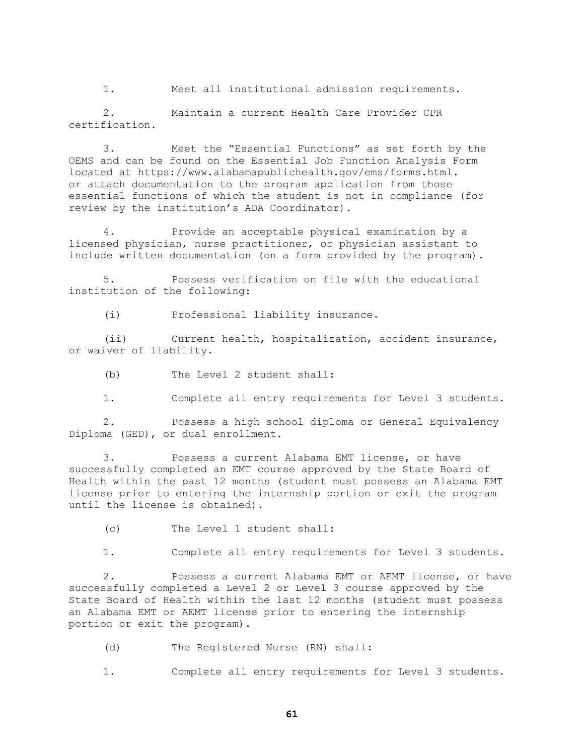1. Meet all institutional admission requirements.

2. Maintain a current Health Care Provider CPR certification.

3. Meet the "Essential Functions" as set forth by the OEMS and can be found on the Essential Job Function Analysis Form located at https://www.alabamapublichealth.gov/ems/forms.html. or attach documentation to the program application from those essential functions of which the student is not in compliance (for review by the institution's ADA Coordinator).

4. Provide an acceptable physical examination by a licensed physician, nurse practitioner, or physician assistant to include written documentation (on a form provided by the program).

5. Possess verification on file with the educational institution of the following:

(i) Professional liability insurance.

(ii) Current health, hospitalization, accident insurance, or waiver of liability.

(b) The Level 2 student shall:

1. Complete all entry requirements for Level 3 students.

2. Possess a high school diploma or General Equivalency Diploma (GED), or dual enrollment.

3. Possess a current Alabama EMT license, or have successfully completed an EMT course approved by the State Board of Health within the past 12 months (student must possess an Alabama EMT license prior to entering the internship portion or exit the program until the license is obtained).

(c) The Level 1 student shall:

1. Complete all entry requirements for Level 3 students.

2. Possess a current Alabama EMT or AEMT license, or have successfully completed a Level 2 or Level 3 course approved by the State Board of Health within the last 12 months (student must possess an Alabama EMT or AEMT license prior to entering the internship portion or exit the program).

(d) The Registered Nurse (RN) shall:

1. Complete all entry requirements for Level 3 students.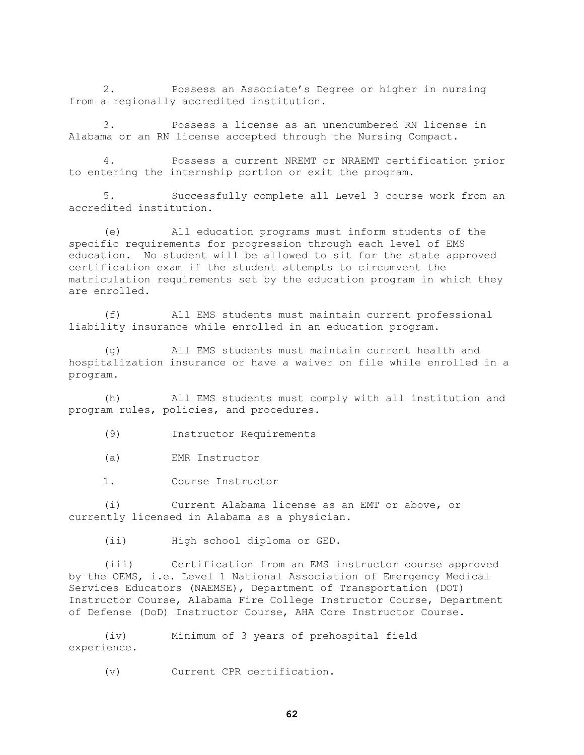2. Possess an Associate's Degree or higher in nursing from a regionally accredited institution.

3. Possess a license as an unencumbered RN license in Alabama or an RN license accepted through the Nursing Compact.

4. Possess a current NREMT or NRAEMT certification prior to entering the internship portion or exit the program.

5. Successfully complete all Level 3 course work from an accredited institution.

(e) All education programs must inform students of the specific requirements for progression through each level of EMS education. No student will be allowed to sit for the state approved certification exam if the student attempts to circumvent the matriculation requirements set by the education program in which they are enrolled.

(f) All EMS students must maintain current professional liability insurance while enrolled in an education program.

(g) All EMS students must maintain current health and hospitalization insurance or have a waiver on file while enrolled in a program.

(h) All EMS students must comply with all institution and program rules, policies, and procedures.

(9) Instructor Requirements

(a) EMR Instructor

1. Course Instructor

(i) Current Alabama license as an EMT or above, or currently licensed in Alabama as a physician.

(ii) High school diploma or GED.

(iii) Certification from an EMS instructor course approved by the OEMS, i.e. Level 1 National Association of Emergency Medical Services Educators (NAEMSE), Department of Transportation (DOT) Instructor Course, Alabama Fire College Instructor Course, Department of Defense (DoD) Instructor Course, AHA Core Instructor Course.

(iv) Minimum of 3 years of prehospital field experience.

(v) Current CPR certification.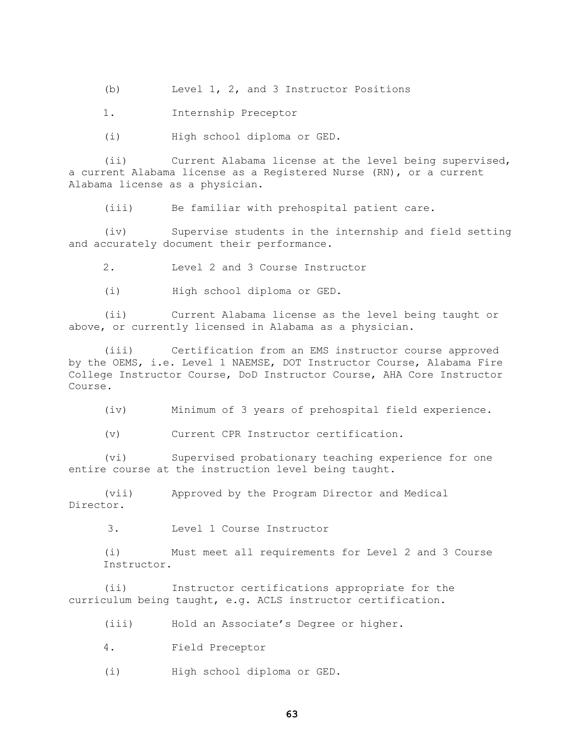(b) Level 1, 2, and 3 Instructor Positions

1. Internship Preceptor

(i) High school diploma or GED.

(ii) Current Alabama license at the level being supervised, a current Alabama license as a Registered Nurse (RN), or a current Alabama license as a physician.

(iii) Be familiar with prehospital patient care.

(iv) Supervise students in the internship and field setting and accurately document their performance.

2. Level 2 and 3 Course Instructor

(i) High school diploma or GED.

(ii) Current Alabama license as the level being taught or above, or currently licensed in Alabama as a physician.

(iii) Certification from an EMS instructor course approved by the OEMS, i.e. Level 1 NAEMSE, DOT Instructor Course, Alabama Fire College Instructor Course, DoD Instructor Course, AHA Core Instructor Course.

(iv) Minimum of 3 years of prehospital field experience.

(v) Current CPR Instructor certification.

(vi) Supervised probationary teaching experience for one entire course at the instruction level being taught.

(vii) Approved by the Program Director and Medical Director.

3. Level 1 Course Instructor

(i) Must meet all requirements for Level 2 and 3 Course Instructor.

(ii) Instructor certifications appropriate for the curriculum being taught, e.g. ACLS instructor certification.

(iii) Hold an Associate's Degree or higher.

4. Field Preceptor

(i) High school diploma or GED.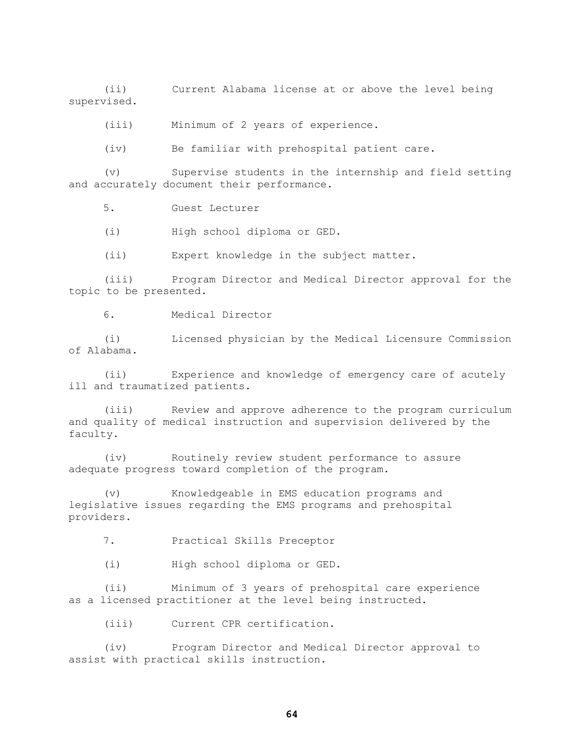(ii) Current Alabama license at or above the level being supervised.

(iii) Minimum of 2 years of experience.

(iv) Be familiar with prehospital patient care.

(v) Supervise students in the internship and field setting and accurately document their performance.

5. Guest Lecturer

(i) High school diploma or GED.

(ii) Expert knowledge in the subject matter.

(iii) Program Director and Medical Director approval for the topic to be presented.

6. Medical Director

(i) Licensed physician by the Medical Licensure Commission of Alabama.

(ii) Experience and knowledge of emergency care of acutely ill and traumatized patients.

(iii) Review and approve adherence to the program curriculum and quality of medical instruction and supervision delivered by the faculty.

(iv) Routinely review student performance to assure adequate progress toward completion of the program.

(v) Knowledgeable in EMS education programs and legislative issues regarding the EMS programs and prehospital providers.

7. Practical Skills Preceptor

(i) High school diploma or GED.

(ii) Minimum of 3 years of prehospital care experience as a licensed practitioner at the level being instructed.

(iii) Current CPR certification.

(iv) Program Director and Medical Director approval to assist with practical skills instruction.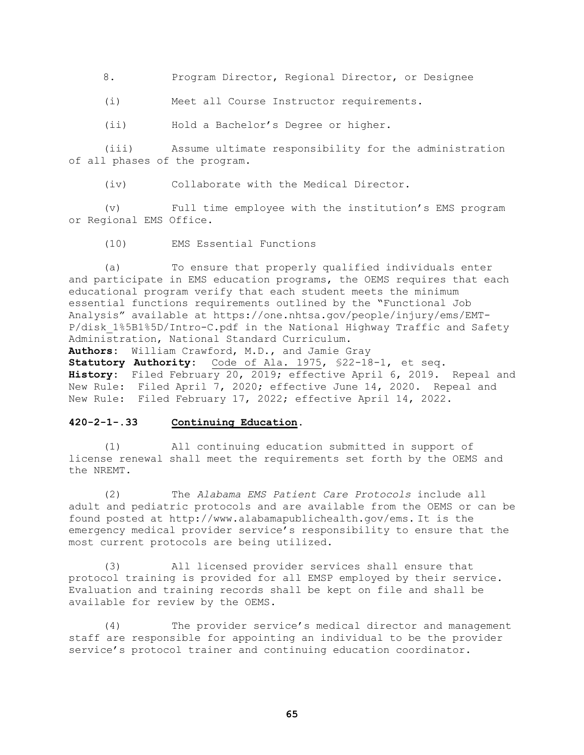8. Program Director, Regional Director, or Designee

(i) Meet all Course Instructor requirements.

(ii) Hold a Bachelor's Degree or higher.

(iii) Assume ultimate responsibility for the administration of all phases of the program.

(iv) Collaborate with the Medical Director.

(v) Full time employee with the institution's EMS program or Regional EMS Office.

(10) EMS Essential Functions

(a) To ensure that properly qualified individuals enter and participate in EMS education programs, the OEMS requires that each educational program verify that each student meets the minimum essential functions requirements outlined by the "Functional Job Analysis" available at https://one.nhtsa.gov/people/injury/ems/EMT-P/disk\_1%5B1%5D/Intro-C.pdf in the National Highway Traffic and Safety Administration, National Standard Curriculum.

**Authors:** William Crawford, M.D., and Jamie Gray

**Statutory Authority:** Code of Ala. 1975, §22-18-1, et seq. **History:** Filed February 20, 2019; effective April 6, 2019. Repeal and New Rule: Filed April 7, 2020; effective June 14, 2020. Repeal and New Rule: Filed February 17, 2022; effective April 14, 2022.

#### **420-2-1-.33 Continuing Education.**

(1) All continuing education submitted in support of license renewal shall meet the requirements set forth by the OEMS and the NREMT.

(2) The *Alabama EMS Patient Care Protocols* include all adult and pediatric protocols and are available from the OEMS or can be found posted at [http://www.alabamapublichealth.gov/ems.](http://www.adph.org/ems.) [I](http://www.adph.org/ems.)t is the emergency medical provider service's responsibility to ensure that the most current protocols are being utilized.

(3) All licensed provider services shall ensure that protocol training is provided for all EMSP employed by their service. Evaluation and training records shall be kept on file and shall be available for review by the OEMS.

(4) The provider service's medical director and management staff are responsible for appointing an individual to be the provider service's protocol trainer and continuing education coordinator.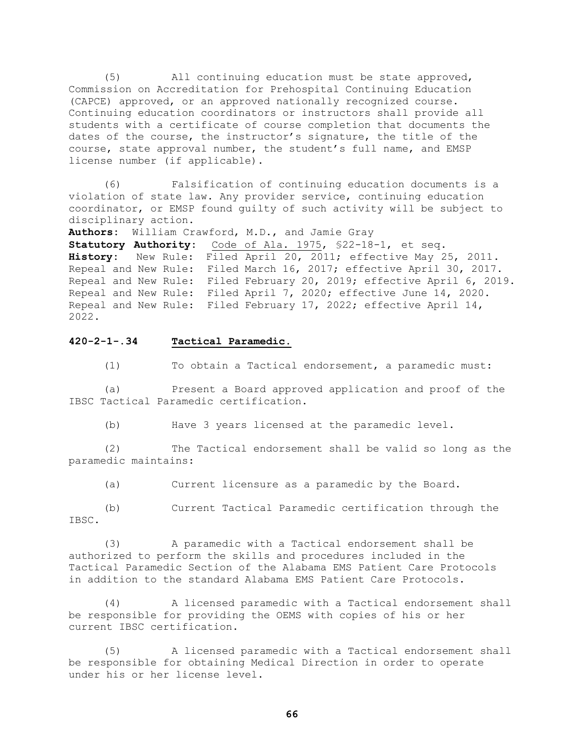(5) All continuing education must be state approved, Commission on Accreditation for Prehospital Continuing Education (CAPCE) approved, or an approved nationally recognized course. Continuing education coordinators or instructors shall provide all students with a certificate of course completion that documents the dates of the course, the instructor's signature, the title of the course, state approval number, the student's full name, and EMSP license number (if applicable).

(6) Falsification of continuing education documents is a violation of state law. Any provider service, continuing education coordinator, or EMSP found guilty of such activity will be subject to disciplinary action.

**Authors:** William Crawford, M.D., and Jamie Gray **Statutory Authority:** Code of Ala. 1975, §22-18-1, et seq. **History:** New Rule: Filed April 20, 2011; effective May 25, 2011. Repeal and New Rule: Filed March 16, 2017; effective April 30, 2017. Repeal and New Rule: Filed February 20, 2019; effective April 6, 2019. Repeal and New Rule: Filed April 7, 2020; effective June 14, 2020. Repeal and New Rule: Filed February 17, 2022; effective April 14, 2022.

### **420-2-1-.34 Tactical Paramedic.**

(1) To obtain a Tactical endorsement, a paramedic must:

(a) Present a Board approved application and proof of the IBSC Tactical Paramedic certification.

(b) Have 3 years licensed at the paramedic level.

(2) The Tactical endorsement shall be valid so long as the paramedic maintains:

(a) Current licensure as a paramedic by the Board.

(b) Current Tactical Paramedic certification through the IBSC.

(3) A paramedic with a Tactical endorsement shall be authorized to perform the skills and procedures included in the Tactical Paramedic Section of the Alabama EMS Patient Care Protocols in addition to the standard Alabama EMS Patient Care Protocols.

(4) A licensed paramedic with a Tactical endorsement shall be responsible for providing the OEMS with copies of his or her current IBSC certification.

(5) A licensed paramedic with a Tactical endorsement shall be responsible for obtaining Medical Direction in order to operate under his or her license level.